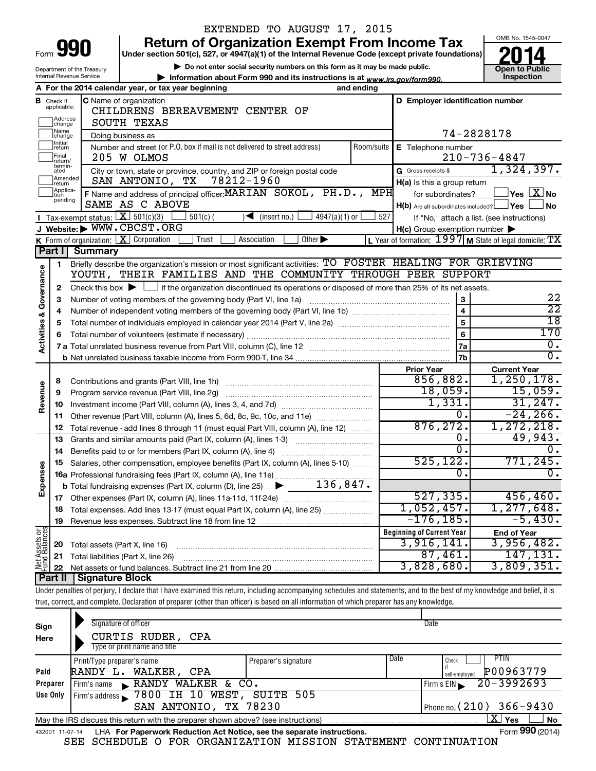|                                                                                                                |                                  |                                                                    | EXTENDED TO AUGUST 17, 2015                                                                                                                                                |                                                     |                                                             |  |  |  |  |
|----------------------------------------------------------------------------------------------------------------|----------------------------------|--------------------------------------------------------------------|----------------------------------------------------------------------------------------------------------------------------------------------------------------------------|-----------------------------------------------------|-------------------------------------------------------------|--|--|--|--|
|                                                                                                                |                                  |                                                                    | <b>Return of Organization Exempt From Income Tax</b>                                                                                                                       |                                                     | OMB No. 1545-0047                                           |  |  |  |  |
| Form 990<br>Under section 501(c), 527, or 4947(a)(1) of the Internal Revenue Code (except private foundations) |                                  |                                                                    |                                                                                                                                                                            |                                                     |                                                             |  |  |  |  |
|                                                                                                                |                                  | Department of the Treasury                                         | Do not enter social security numbers on this form as it may be made public.                                                                                                |                                                     | <b>Open to Public</b>                                       |  |  |  |  |
|                                                                                                                |                                  | Internal Revenue Service                                           | Information about Form 990 and its instructions is at www.irs.gov/form990.                                                                                                 |                                                     | Inspection                                                  |  |  |  |  |
|                                                                                                                |                                  |                                                                    | A For the 2014 calendar year, or tax year beginning<br>and ending                                                                                                          |                                                     |                                                             |  |  |  |  |
|                                                                                                                | <b>B</b> Check if<br>applicable: |                                                                    | C Name of organization<br>CHILDRENS BEREAVEMENT CENTER OF                                                                                                                  | D Employer identification number                    |                                                             |  |  |  |  |
|                                                                                                                | Address                          |                                                                    |                                                                                                                                                                            |                                                     |                                                             |  |  |  |  |
|                                                                                                                | Name                             | SOUTH TEXAS<br>change<br>74-2828178<br>Doing business as<br>change |                                                                                                                                                                            |                                                     |                                                             |  |  |  |  |
|                                                                                                                | Initial<br>return                |                                                                    | Number and street (or P.O. box if mail is not delivered to street address)<br>Room/suite                                                                                   | E Telephone number                                  |                                                             |  |  |  |  |
|                                                                                                                | Final<br>return/                 |                                                                    | 205 W OLMOS                                                                                                                                                                |                                                     | $210 - 736 - 4847$                                          |  |  |  |  |
|                                                                                                                | termin-<br>ated                  |                                                                    | City or town, state or province, country, and ZIP or foreign postal code                                                                                                   | G Gross receipts \$                                 | 1,324,397.                                                  |  |  |  |  |
|                                                                                                                | Amended<br>return                |                                                                    | SAN ANTONIO, TX 78212-1960                                                                                                                                                 | H(a) Is this a group return                         |                                                             |  |  |  |  |
|                                                                                                                | Applica-<br>tion                 |                                                                    | F Name and address of principal officer: MARIAN SOKOL, PH.D.,                                                                                                              | MPH<br>for subordinates?                            | $\overline{\ }$ Yes $\overline{\rm X}$ No                   |  |  |  |  |
|                                                                                                                | pending                          |                                                                    | SAME AS C ABOVE                                                                                                                                                            | $H(b)$ Are all subordinates included? $\Box$ Yes    | <b>No</b>                                                   |  |  |  |  |
|                                                                                                                |                                  | <b>I</b> Tax-exempt status: $X \ 501(c)(3)$                        | $4947(a)(1)$ or<br>$501(c)$ (<br>$\sqrt{\bullet}$ (insert no.)                                                                                                             | 527                                                 | If "No," attach a list. (see instructions)                  |  |  |  |  |
|                                                                                                                |                                  |                                                                    | J Website: WWW.CBCST.ORG                                                                                                                                                   | $H(c)$ Group exemption number $\blacktriangleright$ |                                                             |  |  |  |  |
|                                                                                                                |                                  | K Form of organization: X Corporation                              | Trust<br>Association<br>Other $\blacktriangleright$                                                                                                                        |                                                     | L Year of formation: $1997$ M State of legal domicile: $TX$ |  |  |  |  |
|                                                                                                                | Part I                           | <b>Summary</b>                                                     |                                                                                                                                                                            |                                                     |                                                             |  |  |  |  |
|                                                                                                                | 1                                |                                                                    | Briefly describe the organization's mission or most significant activities: TO FOSTER HEALING FOR GRIEVING                                                                 |                                                     |                                                             |  |  |  |  |
|                                                                                                                |                                  |                                                                    | YOUTH, THEIR FAMILIES AND THE COMMUNITY THROUGH PEER SUPPORT                                                                                                               |                                                     |                                                             |  |  |  |  |
|                                                                                                                | 2                                |                                                                    | Check this box $\blacktriangleright$ $\Box$ if the organization discontinued its operations or disposed of more than 25% of its net assets.                                |                                                     |                                                             |  |  |  |  |
|                                                                                                                | З                                |                                                                    | Number of voting members of the governing body (Part VI, line 1a)                                                                                                          | 3                                                   | 22                                                          |  |  |  |  |
|                                                                                                                | 4                                |                                                                    |                                                                                                                                                                            | $\overline{4}$                                      | $\overline{22}$                                             |  |  |  |  |
| Activities & Governance                                                                                        | 5                                |                                                                    | Total number of individuals employed in calendar year 2014 (Part V, line 2a) manufacture controller to intervent                                                           | $\overline{5}$                                      | $\overline{18}$                                             |  |  |  |  |
|                                                                                                                | 6                                |                                                                    |                                                                                                                                                                            | $\overline{6}$                                      | 170                                                         |  |  |  |  |
|                                                                                                                |                                  |                                                                    |                                                                                                                                                                            | 7a                                                  | $\overline{0}$ .                                            |  |  |  |  |
|                                                                                                                |                                  |                                                                    |                                                                                                                                                                            | 7b                                                  | $\overline{0}$ .                                            |  |  |  |  |
|                                                                                                                |                                  |                                                                    |                                                                                                                                                                            | <b>Prior Year</b>                                   | <b>Current Year</b>                                         |  |  |  |  |
|                                                                                                                | 8                                |                                                                    | Contributions and grants (Part VIII, line 1h)                                                                                                                              | 856,882.                                            | 1,250,178.                                                  |  |  |  |  |
| Revenue                                                                                                        | 9                                |                                                                    | Program service revenue (Part VIII, line 2g)                                                                                                                               | 18,059.                                             | 15,059.                                                     |  |  |  |  |
|                                                                                                                | 10                               |                                                                    |                                                                                                                                                                            | 1,331.<br>0.                                        | 31, 247.<br>$-24, 266.$                                     |  |  |  |  |
|                                                                                                                | 11                               |                                                                    | Other revenue (Part VIII, column (A), lines 5, 6d, 8c, 9c, 10c, and 11e)                                                                                                   | 876, 272.                                           |                                                             |  |  |  |  |
|                                                                                                                | 12                               |                                                                    | Total revenue - add lines 8 through 11 (must equal Part VIII, column (A), line 12)                                                                                         | о.                                                  | 1,272,218.<br>49,943.                                       |  |  |  |  |
|                                                                                                                | 13                               |                                                                    | Grants and similar amounts paid (Part IX, column (A), lines 1-3)                                                                                                           | $\overline{\mathfrak{o}}$ .                         | 0.                                                          |  |  |  |  |
|                                                                                                                | 14                               |                                                                    |                                                                                                                                                                            | 525, 122.                                           | 771,245 <b>.</b>                                            |  |  |  |  |
|                                                                                                                | 15                               |                                                                    | Salaries, other compensation, employee benefits (Part IX, column (A), lines 5-10)                                                                                          | О.                                                  | $\overline{0}$ .                                            |  |  |  |  |
|                                                                                                                |                                  |                                                                    |                                                                                                                                                                            |                                                     |                                                             |  |  |  |  |
| Expenses                                                                                                       |                                  |                                                                    |                                                                                                                                                                            | 527, 335.                                           | 456, 460.                                                   |  |  |  |  |
|                                                                                                                | 17                               |                                                                    |                                                                                                                                                                            | $1,052,457$ .                                       | 1, 277, 648.                                                |  |  |  |  |
|                                                                                                                | 18                               |                                                                    | Total expenses. Add lines 13-17 (must equal Part IX, column (A), line 25) <i></i>                                                                                          | $-176, 185.$                                        | $-5,430.$                                                   |  |  |  |  |
|                                                                                                                | 19                               |                                                                    |                                                                                                                                                                            | <b>Beginning of Current Year</b>                    | <b>End of Year</b>                                          |  |  |  |  |
| Net Assets or<br>Fund Balances                                                                                 | 20                               | Total assets (Part X, line 16)                                     |                                                                                                                                                                            | 3,916,141.                                          | 3,956,482.                                                  |  |  |  |  |
|                                                                                                                | 21                               |                                                                    | Total liabilities (Part X, line 26)                                                                                                                                        | 87,461.                                             | $\overline{147,131}$ .                                      |  |  |  |  |
|                                                                                                                | 22                               |                                                                    |                                                                                                                                                                            | 3,828,680.                                          | 3,809,351.                                                  |  |  |  |  |
|                                                                                                                | Part II                          | Signature Block                                                    |                                                                                                                                                                            |                                                     |                                                             |  |  |  |  |
|                                                                                                                |                                  |                                                                    | Under penalties of perjury, I declare that I have examined this return, including accompanying schedules and statements, and to the best of my knowledge and belief, it is |                                                     |                                                             |  |  |  |  |
|                                                                                                                |                                  |                                                                    | true, correct, and complete. Declaration of preparer (other than officer) is based on all information of which preparer has any knowledge.                                 |                                                     |                                                             |  |  |  |  |
|                                                                                                                |                                  |                                                                    |                                                                                                                                                                            |                                                     |                                                             |  |  |  |  |

| Sign<br>Here    | Signature of officer<br>CURTIS RUDER, CPA<br>Type or print name and title         |                      |      | Date                                        |
|-----------------|-----------------------------------------------------------------------------------|----------------------|------|---------------------------------------------|
| Paid            | Print/Type preparer's name<br>WALKER,<br>RANDY L.<br>CPA                          | Preparer's signature | Date | PIIN<br>Check<br>P00963779<br>self-emploved |
| Preparer        | RANDY WALKER & CO.<br>Firm's name<br>$\mathbf{r}$                                 |                      |      | 20-3992693<br>Firm's $EIN$                  |
| Use Only        | Firm's address $\sim 7800$ IH 10 WEST,                                            | SUITE 505            |      |                                             |
|                 | SAN ANTONIO, TX 78230                                                             |                      |      | Phone no. (210) $366 - 9430$                |
|                 | May the IRS discuss this return with the preparer shown above? (see instructions) |                      |      | х<br><b>No</b><br>Yes                       |
| 432001 11-07-14 | LHA For Paperwork Reduction Act Notice, see the separate instructions.            |                      |      | Form 990 (2014)                             |

SEE SCHEDULE O FOR ORGANIZATION MISSION STATEMENT CONTINUATION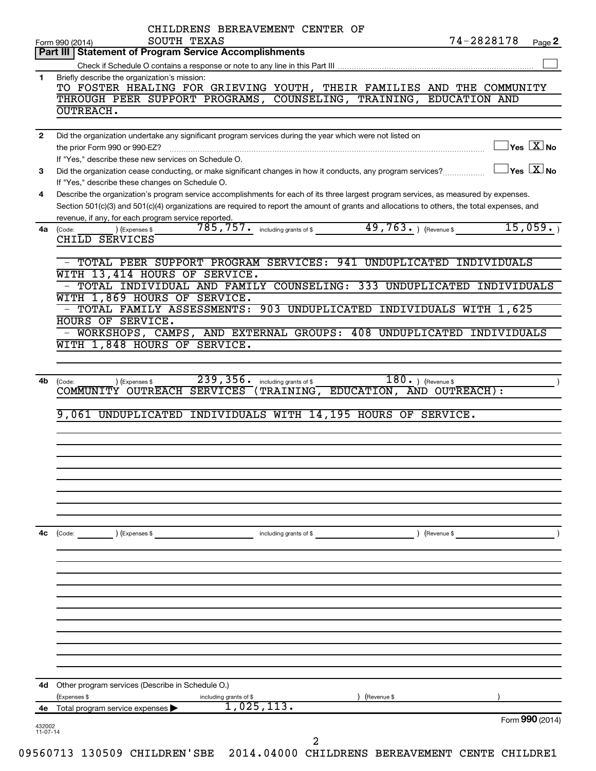|              | CHILDRENS BEREAVEMENT CENTER OF<br>74-2828178<br>SOUTH TEXAS<br>Page 2                                                                                     |
|--------------|------------------------------------------------------------------------------------------------------------------------------------------------------------|
|              | Form 990 (2014)<br>Part III   Statement of Program Service Accomplishments                                                                                 |
|              |                                                                                                                                                            |
| 1.           | Briefly describe the organization's mission:                                                                                                               |
|              | TO FOSTER HEALING FOR GRIEVING YOUTH, THEIR FAMILIES AND THE COMMUNITY                                                                                     |
|              | THROUGH PEER SUPPORT PROGRAMS, COUNSELING, TRAINING, EDUCATION AND                                                                                         |
|              | OUTREACH.                                                                                                                                                  |
| $\mathbf{2}$ | Did the organization undertake any significant program services during the year which were not listed on                                                   |
|              | $\Box$ Yes $[\overline{\mathrm{X}}]$ No<br>the prior Form 990 or 990-EZ?                                                                                   |
|              | If "Yes," describe these new services on Schedule O.                                                                                                       |
| 3            | $\sqrt{}$ Yes $\sqrt{}\,$ X $\sqrt{}\,$ No<br>Did the organization cease conducting, or make significant changes in how it conducts, any program services? |
|              | If "Yes," describe these changes on Schedule O.                                                                                                            |
| 4            | Describe the organization's program service accomplishments for each of its three largest program services, as measured by expenses.                       |
|              | Section 501(c)(3) and 501(c)(4) organizations are required to report the amount of grants and allocations to others, the total expenses, and               |
|              | revenue, if any, for each program service reported.                                                                                                        |
| 4a           | 785,757. including grants of \$ 49,763. Thevenue \$ 15,059.<br>) (Expenses \$<br>(Code:                                                                    |
|              | CHILD SERVICES                                                                                                                                             |
|              |                                                                                                                                                            |
|              | - TOTAL PEER SUPPORT PROGRAM SERVICES: 941 UNDUPLICATED INDIVIDUALS                                                                                        |
|              | WITH 13,414 HOURS OF SERVICE.                                                                                                                              |
|              | - TOTAL INDIVIDUAL AND FAMILY COUNSELING: 333 UNDUPLICATED INDIVIDUALS<br>WITH 1,869 HOURS OF SERVICE.                                                     |
|              | - TOTAL FAMILY ASSESSMENTS: 903 UNDUPLICATED INDIVIDUALS WITH 1,625                                                                                        |
|              | <b>HOURS OF SERVICE.</b>                                                                                                                                   |
|              | - WORKSHOPS, CAMPS, AND EXTERNAL GROUPS: 408 UNDUPLICATED INDIVIDUALS                                                                                      |
|              | WITH 1,848 HOURS OF SERVICE.                                                                                                                               |
|              |                                                                                                                                                            |
|              |                                                                                                                                                            |
| 4b           | 239,356.<br>$\overline{180.}$ (Revenue \$<br>including grants of \$<br>) (Expenses \$<br>(Code:                                                            |
|              | COMMUNITY OUTREACH SERVICES<br>(TRAINING, EDUCATION, AND OUTREACH):                                                                                        |
|              |                                                                                                                                                            |
|              | 9,061 UNDUPLICATED INDIVIDUALS WITH 14,195 HOURS OF SERVICE.                                                                                               |
|              |                                                                                                                                                            |
|              |                                                                                                                                                            |
|              |                                                                                                                                                            |
|              |                                                                                                                                                            |
|              |                                                                                                                                                            |
|              |                                                                                                                                                            |
|              |                                                                                                                                                            |
|              |                                                                                                                                                            |
| 4с           | ) (Revenue \$<br>(Code:<br>(Expenses \$<br>including grants of \$                                                                                          |
|              |                                                                                                                                                            |
|              |                                                                                                                                                            |
|              |                                                                                                                                                            |
|              |                                                                                                                                                            |
|              |                                                                                                                                                            |
|              |                                                                                                                                                            |
|              |                                                                                                                                                            |
|              |                                                                                                                                                            |
|              |                                                                                                                                                            |
|              |                                                                                                                                                            |
|              |                                                                                                                                                            |
|              | 4d Other program services (Describe in Schedule O.)                                                                                                        |
|              | (Expenses \$<br>including grants of \$<br>(Revenue \$                                                                                                      |
| 4е           | 1,025,113.<br>Total program service expenses<br>Form 990 (2014)                                                                                            |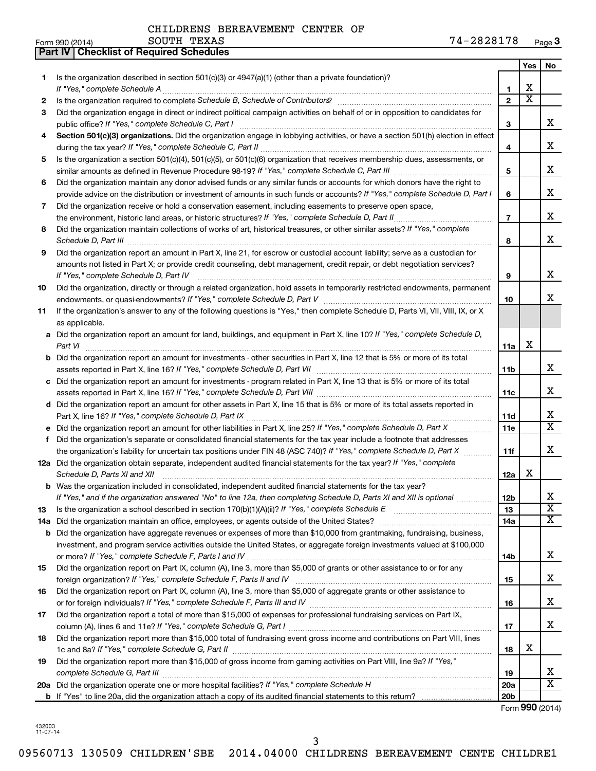|     | <b>Part IV   Checklist of Required Schedules</b>                                                                                                                                                                                    |                 |                         |                         |
|-----|-------------------------------------------------------------------------------------------------------------------------------------------------------------------------------------------------------------------------------------|-----------------|-------------------------|-------------------------|
|     |                                                                                                                                                                                                                                     |                 | Yes                     | No                      |
| 1   | Is the organization described in section 501(c)(3) or 4947(a)(1) (other than a private foundation)?                                                                                                                                 |                 |                         |                         |
|     |                                                                                                                                                                                                                                     | 1               | х                       |                         |
| 2   | Is the organization required to complete Schedule B, Schedule of Contributors? [11] the organization required to complete Schedule B, Schedule of Contributors?                                                                     | $\overline{2}$  | $\overline{\textbf{X}}$ |                         |
| З   | Did the organization engage in direct or indirect political campaign activities on behalf of or in opposition to candidates for                                                                                                     |                 |                         |                         |
|     |                                                                                                                                                                                                                                     | 3               |                         | x                       |
| 4   | Section 501(c)(3) organizations. Did the organization engage in lobbying activities, or have a section 501(h) election in effect                                                                                                    |                 |                         |                         |
|     |                                                                                                                                                                                                                                     | 4               |                         | x                       |
| 5   | Is the organization a section 501(c)(4), 501(c)(5), or 501(c)(6) organization that receives membership dues, assessments, or                                                                                                        |                 |                         |                         |
|     |                                                                                                                                                                                                                                     | 5               |                         | x                       |
| 6   | Did the organization maintain any donor advised funds or any similar funds or accounts for which donors have the right to                                                                                                           |                 |                         |                         |
|     |                                                                                                                                                                                                                                     | 6               |                         | x                       |
|     | provide advice on the distribution or investment of amounts in such funds or accounts? If "Yes," complete Schedule D, Part I                                                                                                        |                 |                         |                         |
| 7   | Did the organization receive or hold a conservation easement, including easements to preserve open space,                                                                                                                           |                 |                         | x                       |
|     |                                                                                                                                                                                                                                     | $\overline{7}$  |                         |                         |
| 8   | Did the organization maintain collections of works of art, historical treasures, or other similar assets? If "Yes," complete                                                                                                        |                 |                         | x                       |
|     | Schedule D, Part III <b>Marting Community</b> Construction of the Construction of the Construction of the Construction of the Construction of the Construction of the Construction of the Construction of the Construction of the C | 8               |                         |                         |
| 9   | Did the organization report an amount in Part X, line 21, for escrow or custodial account liability; serve as a custodian for                                                                                                       |                 |                         |                         |
|     | amounts not listed in Part X; or provide credit counseling, debt management, credit repair, or debt negotiation services?                                                                                                           |                 |                         |                         |
|     | If "Yes," complete Schedule D, Part IV                                                                                                                                                                                              | 9               |                         | x                       |
| 10  | Did the organization, directly or through a related organization, hold assets in temporarily restricted endowments, permanent                                                                                                       |                 |                         |                         |
|     |                                                                                                                                                                                                                                     | 10              |                         | x                       |
| 11  | If the organization's answer to any of the following questions is "Yes," then complete Schedule D, Parts VI, VII, VIII, IX, or X                                                                                                    |                 |                         |                         |
|     | as applicable.                                                                                                                                                                                                                      |                 |                         |                         |
|     | a Did the organization report an amount for land, buildings, and equipment in Part X, line 10? If "Yes," complete Schedule D,                                                                                                       |                 |                         |                         |
|     |                                                                                                                                                                                                                                     | 11a             | x                       |                         |
|     | <b>b</b> Did the organization report an amount for investments - other securities in Part X, line 12 that is 5% or more of its total                                                                                                |                 |                         |                         |
|     | assets reported in Part X, line 16? If "Yes," complete Schedule D, Part VII [11] [11] [12] [12] [12] [12] [12] [                                                                                                                    | 11b             |                         | x                       |
|     | c Did the organization report an amount for investments - program related in Part X, line 13 that is 5% or more of its total                                                                                                        |                 |                         |                         |
|     |                                                                                                                                                                                                                                     | 11c             |                         | x                       |
|     | d Did the organization report an amount for other assets in Part X, line 15 that is 5% or more of its total assets reported in                                                                                                      |                 |                         |                         |
|     |                                                                                                                                                                                                                                     | 11d             |                         | x                       |
|     |                                                                                                                                                                                                                                     | 11e             |                         | $\overline{\mathtt{x}}$ |
| f   | Did the organization's separate or consolidated financial statements for the tax year include a footnote that addresses                                                                                                             |                 |                         |                         |
|     | the organization's liability for uncertain tax positions under FIN 48 (ASC 740)? If "Yes," complete Schedule D, Part X                                                                                                              | 11f             |                         | x                       |
|     | 12a Did the organization obtain separate, independent audited financial statements for the tax year? If "Yes," complete                                                                                                             |                 |                         |                         |
|     | Schedule D, Parts XI and XII                                                                                                                                                                                                        | 12a             | x                       |                         |
|     | <b>b</b> Was the organization included in consolidated, independent audited financial statements for the tax year?                                                                                                                  |                 |                         |                         |
|     | If "Yes," and if the organization answered "No" to line 12a, then completing Schedule D, Parts XI and XII is optional                                                                                                               | <b>12b</b>      |                         | х                       |
| 13  |                                                                                                                                                                                                                                     | 13              |                         | $\overline{\text{x}}$   |
| 14a |                                                                                                                                                                                                                                     | 14a             |                         | $\overline{\texttt{x}}$ |
| b   | Did the organization have aggregate revenues or expenses of more than \$10,000 from grantmaking, fundraising, business,                                                                                                             |                 |                         |                         |
|     | investment, and program service activities outside the United States, or aggregate foreign investments valued at \$100,000                                                                                                          |                 |                         |                         |
|     |                                                                                                                                                                                                                                     | 14b             |                         | х                       |
| 15  | Did the organization report on Part IX, column (A), line 3, more than \$5,000 of grants or other assistance to or for any                                                                                                           |                 |                         |                         |
|     |                                                                                                                                                                                                                                     | 15              |                         | х                       |
| 16  | Did the organization report on Part IX, column (A), line 3, more than \$5,000 of aggregate grants or other assistance to                                                                                                            |                 |                         |                         |
|     |                                                                                                                                                                                                                                     | 16              |                         | х                       |
| 17  | Did the organization report a total of more than \$15,000 of expenses for professional fundraising services on Part IX,                                                                                                             |                 |                         |                         |
|     |                                                                                                                                                                                                                                     | 17              |                         | х                       |
| 18  | Did the organization report more than \$15,000 total of fundraising event gross income and contributions on Part VIII, lines                                                                                                        |                 |                         |                         |
|     |                                                                                                                                                                                                                                     | 18              | х                       |                         |
| 19  | Did the organization report more than \$15,000 of gross income from gaming activities on Part VIII, line 9a? If "Yes,"                                                                                                              |                 |                         |                         |
|     |                                                                                                                                                                                                                                     | 19              |                         | x                       |
|     |                                                                                                                                                                                                                                     | 20a             |                         | $\overline{\text{X}}$   |
|     |                                                                                                                                                                                                                                     | 20 <sub>b</sub> |                         |                         |
|     |                                                                                                                                                                                                                                     |                 |                         |                         |

Form (2014) **990**

432003 11-07-14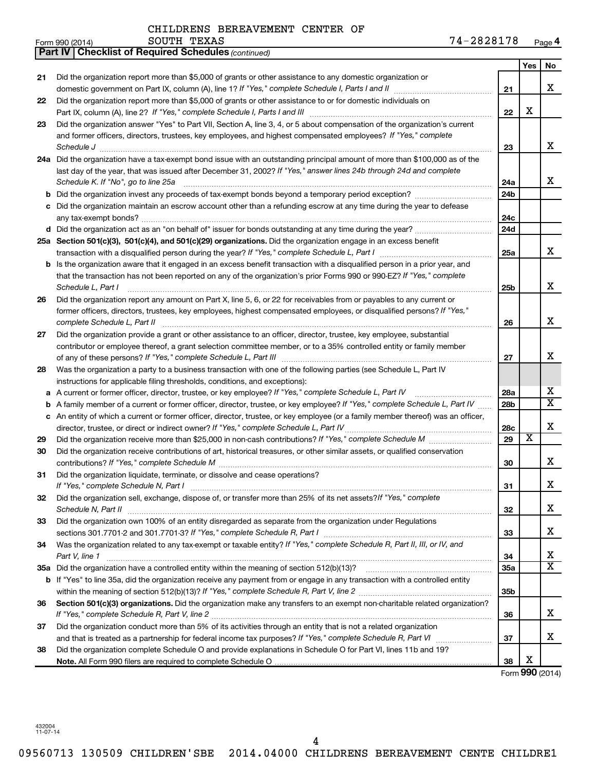|     | SOUTH TEXAS<br>Form 990 (2014)                                                                                                  | 74-2828178      |                         | Page 4                  |
|-----|---------------------------------------------------------------------------------------------------------------------------------|-----------------|-------------------------|-------------------------|
|     | <b>Part IV   Checklist of Required Schedules (continued)</b>                                                                    |                 |                         |                         |
|     |                                                                                                                                 |                 | Yes                     | No                      |
| 21  | Did the organization report more than \$5,000 of grants or other assistance to any domestic organization or                     |                 |                         |                         |
|     |                                                                                                                                 | 21              |                         | x                       |
| 22  | Did the organization report more than \$5,000 of grants or other assistance to or for domestic individuals on                   |                 |                         |                         |
|     |                                                                                                                                 | 22              | X                       |                         |
| 23  | Did the organization answer "Yes" to Part VII, Section A, line 3, 4, or 5 about compensation of the organization's current      |                 |                         |                         |
|     | and former officers, directors, trustees, key employees, and highest compensated employees? If "Yes," complete                  |                 |                         |                         |
|     | Schedule J                                                                                                                      | 23              |                         | X                       |
| 24a | Did the organization have a tax-exempt bond issue with an outstanding principal amount of more than \$100,000 as of the         |                 |                         |                         |
|     | last day of the year, that was issued after December 31, 2002? If "Yes," answer lines 24b through 24d and complete              |                 |                         |                         |
|     | Schedule K. If "No", go to line 25a                                                                                             | 24a             |                         | x                       |
| b   | Did the organization invest any proceeds of tax-exempt bonds beyond a temporary period exception?                               | 24 <sub>b</sub> |                         |                         |
|     | Did the organization maintain an escrow account other than a refunding escrow at any time during the year to defease            |                 |                         |                         |
|     |                                                                                                                                 | 24c             |                         |                         |
|     |                                                                                                                                 | 24d             |                         |                         |
|     | 25a Section 501(c)(3), 501(c)(4), and 501(c)(29) organizations. Did the organization engage in an excess benefit                |                 |                         |                         |
|     |                                                                                                                                 | 25a             |                         | X                       |
| b   | Is the organization aware that it engaged in an excess benefit transaction with a disqualified person in a prior year, and      |                 |                         |                         |
|     | that the transaction has not been reported on any of the organization's prior Forms 990 or 990-EZ? If "Yes," complete           |                 |                         |                         |
|     | Schedule L, Part I                                                                                                              | 25b             |                         | X                       |
| 26  | Did the organization report any amount on Part X, line 5, 6, or 22 for receivables from or payables to any current or           |                 |                         |                         |
|     | former officers, directors, trustees, key employees, highest compensated employees, or disqualified persons? If "Yes,"          |                 |                         |                         |
|     | complete Schedule L, Part II                                                                                                    | 26              |                         | X                       |
| 27  | Did the organization provide a grant or other assistance to an officer, director, trustee, key employee, substantial            |                 |                         |                         |
|     | contributor or employee thereof, a grant selection committee member, or to a 35% controlled entity or family member             |                 |                         |                         |
|     |                                                                                                                                 | 27              |                         | х                       |
| 28  | Was the organization a party to a business transaction with one of the following parties (see Schedule L, Part IV               |                 |                         |                         |
|     | instructions for applicable filing thresholds, conditions, and exceptions):                                                     |                 |                         |                         |
| а   | A current or former officer, director, trustee, or key employee? If "Yes," complete Schedule L, Part IV                         | 28a             |                         | х                       |
| b   | A family member of a current or former officer, director, trustee, or key employee? If "Yes," complete Schedule L, Part IV      | 28 <sub>b</sub> |                         | $\overline{\mathbf{x}}$ |
| с   | An entity of which a current or former officer, director, trustee, or key employee (or a family member thereof) was an officer, |                 |                         |                         |
|     | director, trustee, or direct or indirect owner? If "Yes," complete Schedule L, Part IV                                          | 28c             |                         | X                       |
| 29  |                                                                                                                                 | 29              | $\overline{\textbf{x}}$ |                         |
| 30  | Did the organization receive contributions of art, historical treasures, or other similar assets, or qualified conservation     |                 |                         |                         |
|     |                                                                                                                                 | 30              |                         | x                       |
| 31  | Did the organization liquidate, terminate, or dissolve and cease operations?                                                    |                 |                         |                         |
|     | If "Yes," complete Schedule N, Part I                                                                                           | 31              |                         | X                       |
| 32  | Did the organization sell, exchange, dispose of, or transfer more than 25% of its net assets? If "Yes," complete                |                 |                         |                         |
|     | Schedule N, Part II                                                                                                             | 32              |                         | x                       |
| 33  | Did the organization own 100% of an entity disregarded as separate from the organization under Regulations                      |                 |                         |                         |
|     |                                                                                                                                 | 33              |                         | x                       |
| 34  | Was the organization related to any tax-exempt or taxable entity? If "Yes," complete Schedule R, Part II, III, or IV, and       |                 |                         |                         |
|     | Part V, line 1                                                                                                                  | 34              |                         | x                       |
|     |                                                                                                                                 | 35a             |                         | $\overline{\mathtt{x}}$ |
|     | b If "Yes" to line 35a, did the organization receive any payment from or engage in any transaction with a controlled entity     |                 |                         |                         |
|     |                                                                                                                                 | 35b             |                         |                         |
| 36  | Section 501(c)(3) organizations. Did the organization make any transfers to an exempt non-charitable related organization?      |                 |                         |                         |
|     |                                                                                                                                 | 36              |                         | x                       |
| 37  | Did the organization conduct more than 5% of its activities through an entity that is not a related organization                |                 |                         |                         |
|     | and that is treated as a partnership for federal income tax purposes? If "Yes," complete Schedule R, Part VI                    | 37              |                         | X                       |

**38 Note.**  All Form 990 filers are required to complete Schedule O Did the organization complete Schedule O and provide explanations in Schedule O for Part VI, lines 11b and 19?

Form (2014) **990** X

**38**

432004 11-07-14

**21**

**22**

**29 30**

**31**

**37**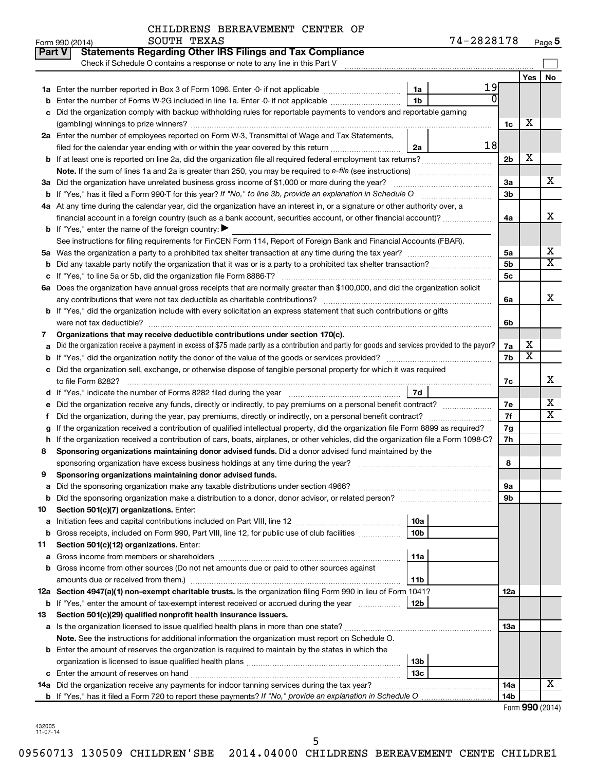|  | CHILDRENS BEREAVEMENT CENTER OF |  |  |
|--|---------------------------------|--|--|
|--|---------------------------------|--|--|

|               | SOUTH TEXAS<br>Form 990 (2014)                                                                                                                                                                                                |                 | 74-2828178 |                |                         | Page 5                  |
|---------------|-------------------------------------------------------------------------------------------------------------------------------------------------------------------------------------------------------------------------------|-----------------|------------|----------------|-------------------------|-------------------------|
| <b>Part V</b> | <b>Statements Regarding Other IRS Filings and Tax Compliance</b>                                                                                                                                                              |                 |            |                |                         |                         |
|               | Check if Schedule O contains a response or note to any line in this Part V                                                                                                                                                    |                 |            |                |                         |                         |
|               |                                                                                                                                                                                                                               |                 |            |                | <b>Yes</b>              | <b>No</b>               |
|               |                                                                                                                                                                                                                               | 1a              | 19         |                |                         |                         |
| b             | Enter the number of Forms W-2G included in line 1a. Enter -0- if not applicable                                                                                                                                               | 1 <sub>b</sub>  |            |                |                         |                         |
| c             | Did the organization comply with backup withholding rules for reportable payments to vendors and reportable gaming                                                                                                            |                 |            |                |                         |                         |
|               |                                                                                                                                                                                                                               |                 |            | 1c             | х                       |                         |
|               | 2a Enter the number of employees reported on Form W-3, Transmittal of Wage and Tax Statements,                                                                                                                                |                 |            |                |                         |                         |
|               | filed for the calendar year ending with or within the year covered by this return                                                                                                                                             | 2a              | 18         |                |                         |                         |
|               |                                                                                                                                                                                                                               |                 |            | 2 <sub>b</sub> | X                       |                         |
|               |                                                                                                                                                                                                                               |                 |            |                |                         |                         |
|               | 3a Did the organization have unrelated business gross income of \$1,000 or more during the year?                                                                                                                              |                 |            | 3a             |                         | x                       |
|               |                                                                                                                                                                                                                               |                 |            | 3b             |                         |                         |
|               | 4a At any time during the calendar year, did the organization have an interest in, or a signature or other authority over, a                                                                                                  |                 |            |                |                         |                         |
|               | financial account in a foreign country (such as a bank account, securities account, or other financial account)?                                                                                                              |                 |            | 4a             |                         | х                       |
|               | <b>b</b> If "Yes," enter the name of the foreign country: $\blacktriangleright$                                                                                                                                               |                 |            |                |                         |                         |
|               | See instructions for filing requirements for FinCEN Form 114, Report of Foreign Bank and Financial Accounts (FBAR).                                                                                                           |                 |            |                |                         |                         |
|               | 5a Was the organization a party to a prohibited tax shelter transaction at any time during the tax year?                                                                                                                      |                 |            | 5a             |                         | х                       |
| b             |                                                                                                                                                                                                                               |                 |            | 5 <sub>b</sub> |                         | $\overline{\mathtt{x}}$ |
|               |                                                                                                                                                                                                                               |                 |            | 5c             |                         |                         |
|               | 6a Does the organization have annual gross receipts that are normally greater than \$100,000, and did the organization solicit                                                                                                |                 |            |                |                         |                         |
|               | any contributions that were not tax deductible as charitable contributions?                                                                                                                                                   |                 |            | 6a             |                         | x                       |
|               | b If "Yes," did the organization include with every solicitation an express statement that such contributions or gifts                                                                                                        |                 |            |                |                         |                         |
|               |                                                                                                                                                                                                                               |                 |            | 6b             |                         |                         |
| 7             | Organizations that may receive deductible contributions under section 170(c).                                                                                                                                                 |                 |            |                |                         |                         |
| а             | Did the organization receive a payment in excess of \$75 made partly as a contribution and partly for goods and services provided to the payor?                                                                               |                 |            | 7a             | х                       |                         |
| b             |                                                                                                                                                                                                                               |                 |            | 7b             | $\overline{\textbf{x}}$ |                         |
|               | c Did the organization sell, exchange, or otherwise dispose of tangible personal property for which it was required                                                                                                           |                 |            |                |                         |                         |
|               |                                                                                                                                                                                                                               |                 |            | 7c             |                         | x                       |
|               | d If "Yes," indicate the number of Forms 8282 filed during the year [11] [11] Nest representation of the way of the way of the way of the way of the way of the way of the way of the way of the way of the way of the way of | 7d              |            |                |                         |                         |
|               | e Did the organization receive any funds, directly or indirectly, to pay premiums on a personal benefit contract?                                                                                                             |                 |            | 7e             |                         | х                       |
|               |                                                                                                                                                                                                                               |                 |            | 7f             |                         | $\overline{\mathtt{x}}$ |
|               | If the organization received a contribution of qualified intellectual property, did the organization file Form 8899 as required?                                                                                              |                 |            | 7g             |                         |                         |
|               | h If the organization received a contribution of cars, boats, airplanes, or other vehicles, did the organization file a Form 1098-C?                                                                                          |                 |            | 7h             |                         |                         |
| 8             | Sponsoring organizations maintaining donor advised funds. Did a donor advised fund maintained by the                                                                                                                          |                 |            |                |                         |                         |
|               | sponsoring organization have excess business holdings at any time during the year?                                                                                                                                            |                 |            | 8              |                         |                         |
|               | Sponsoring organizations maintaining donor advised funds.                                                                                                                                                                     |                 |            |                |                         |                         |
| а             | Did the sponsoring organization make any taxable distributions under section 4966?                                                                                                                                            |                 |            | 9а             |                         |                         |
| b             |                                                                                                                                                                                                                               |                 |            | 9b             |                         |                         |
| 10            | Section 501(c)(7) organizations. Enter:                                                                                                                                                                                       |                 |            |                |                         |                         |
| а             |                                                                                                                                                                                                                               | 10a             |            |                |                         |                         |
| b             | Gross receipts, included on Form 990, Part VIII, line 12, for public use of club facilities                                                                                                                                   | 10 <sub>b</sub> |            |                |                         |                         |
| 11            | Section 501(c)(12) organizations. Enter:                                                                                                                                                                                      |                 |            |                |                         |                         |
| а             |                                                                                                                                                                                                                               | 11a             |            |                |                         |                         |
|               | b Gross income from other sources (Do not net amounts due or paid to other sources against                                                                                                                                    |                 |            |                |                         |                         |
|               | amounts due or received from them.)                                                                                                                                                                                           | 11b             |            |                |                         |                         |
|               | 12a Section 4947(a)(1) non-exempt charitable trusts. Is the organization filing Form 990 in lieu of Form 1041?                                                                                                                |                 |            | 12a            |                         |                         |
|               | <b>b</b> If "Yes," enter the amount of tax-exempt interest received or accrued during the year                                                                                                                                | 12 <sub>b</sub> |            |                |                         |                         |
| 13            | Section 501(c)(29) qualified nonprofit health insurance issuers.                                                                                                                                                              |                 |            |                |                         |                         |
|               | a Is the organization licensed to issue qualified health plans in more than one state?                                                                                                                                        |                 |            | 1За            |                         |                         |
|               | Note. See the instructions for additional information the organization must report on Schedule O.                                                                                                                             |                 |            |                |                         |                         |
|               | <b>b</b> Enter the amount of reserves the organization is required to maintain by the states in which the                                                                                                                     |                 |            |                |                         |                         |
|               |                                                                                                                                                                                                                               | 13 <sub>b</sub> |            |                |                         |                         |
|               |                                                                                                                                                                                                                               | 13 <sub>c</sub> |            |                |                         |                         |
|               | 14a Did the organization receive any payments for indoor tanning services during the tax year?                                                                                                                                |                 |            | 14a            |                         | X                       |
|               |                                                                                                                                                                                                                               |                 |            | 14b            |                         |                         |

Form (2014) **990**

432005 11-07-14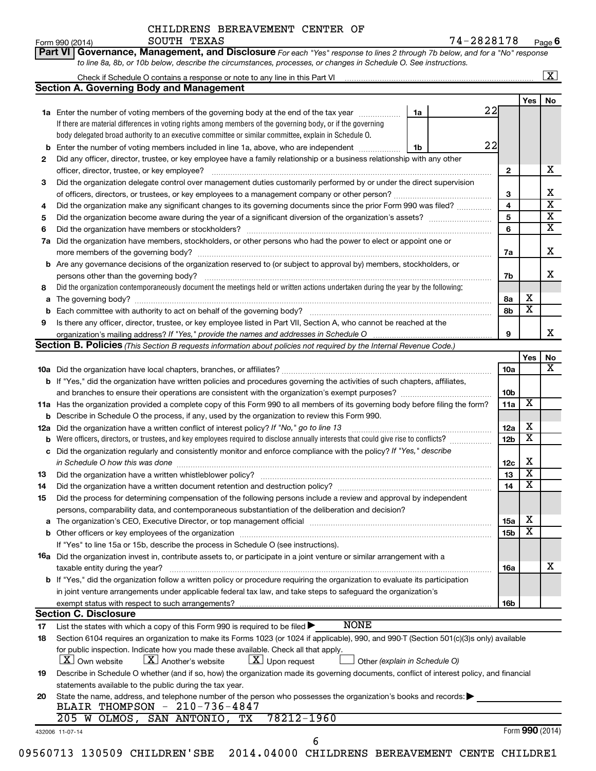| Form 990 (2014) | SOUTH TEXAS                                                                                                                        | 74-2828178 | Pag |
|-----------------|------------------------------------------------------------------------------------------------------------------------------------|------------|-----|
|                 | <b>Part VI Governance, Management, and Disclosure</b> For each "Yes" response to lines 2 through 7b below, and for a "No" response |            |     |
|                 | to line 8a, 8b, or 10b below, describe the circumstances, processes, or changes in Schedule O. See instructions.                   |            |     |

|     | X                                                                                                                                                                                                                                                         |    |    |                 |                         |                         |  |  |  |  |  |
|-----|-----------------------------------------------------------------------------------------------------------------------------------------------------------------------------------------------------------------------------------------------------------|----|----|-----------------|-------------------------|-------------------------|--|--|--|--|--|
|     | Section A. Governing Body and Management                                                                                                                                                                                                                  |    |    |                 |                         |                         |  |  |  |  |  |
|     |                                                                                                                                                                                                                                                           |    |    |                 | Yes                     | No                      |  |  |  |  |  |
|     | <b>1a</b> Enter the number of voting members of the governing body at the end of the tax year                                                                                                                                                             | 1a | 22 |                 |                         |                         |  |  |  |  |  |
|     | If there are material differences in voting rights among members of the governing body, or if the governing                                                                                                                                               |    |    |                 |                         |                         |  |  |  |  |  |
|     | body delegated broad authority to an executive committee or similar committee, explain in Schedule O.                                                                                                                                                     |    |    |                 |                         |                         |  |  |  |  |  |
| b   | Enter the number of voting members included in line 1a, above, who are independent                                                                                                                                                                        | 1b | 22 |                 |                         |                         |  |  |  |  |  |
| 2   | Did any officer, director, trustee, or key employee have a family relationship or a business relationship with any other                                                                                                                                  |    |    |                 |                         |                         |  |  |  |  |  |
|     | officer, director, trustee, or key employee?                                                                                                                                                                                                              |    |    | 2               |                         | x                       |  |  |  |  |  |
| 3   | Did the organization delegate control over management duties customarily performed by or under the direct supervision                                                                                                                                     |    |    |                 |                         |                         |  |  |  |  |  |
|     |                                                                                                                                                                                                                                                           |    |    | 3               |                         | х                       |  |  |  |  |  |
| 4   | Did the organization make any significant changes to its governing documents since the prior Form 990 was filed?                                                                                                                                          |    |    | 4               |                         | $\overline{\textbf{x}}$ |  |  |  |  |  |
| 5   |                                                                                                                                                                                                                                                           |    |    |                 |                         |                         |  |  |  |  |  |
| 6   | Did the organization have members or stockholders?                                                                                                                                                                                                        |    |    | 6               |                         | $\overline{\mathtt{x}}$ |  |  |  |  |  |
| 7a  | Did the organization have members, stockholders, or other persons who had the power to elect or appoint one or                                                                                                                                            |    |    |                 |                         |                         |  |  |  |  |  |
|     | more members of the governing body?                                                                                                                                                                                                                       |    |    | 7a              |                         | х                       |  |  |  |  |  |
|     | <b>b</b> Are any governance decisions of the organization reserved to (or subject to approval by) members, stockholders, or                                                                                                                               |    |    |                 |                         |                         |  |  |  |  |  |
|     | persons other than the governing body?                                                                                                                                                                                                                    |    |    | 7b              |                         | х                       |  |  |  |  |  |
| 8   | Did the organization contemporaneously document the meetings held or written actions undertaken during the year by the following:                                                                                                                         |    |    |                 |                         |                         |  |  |  |  |  |
| a   |                                                                                                                                                                                                                                                           |    |    | 8а              | х                       |                         |  |  |  |  |  |
| b   |                                                                                                                                                                                                                                                           |    |    | 8b              | $\overline{\textbf{x}}$ |                         |  |  |  |  |  |
| 9   | Is there any officer, director, trustee, or key employee listed in Part VII, Section A, who cannot be reached at the                                                                                                                                      |    |    |                 |                         |                         |  |  |  |  |  |
|     |                                                                                                                                                                                                                                                           |    |    | 9               |                         | x                       |  |  |  |  |  |
|     | Section B. Policies (This Section B requests information about policies not required by the Internal Revenue Code.)                                                                                                                                       |    |    |                 |                         |                         |  |  |  |  |  |
|     |                                                                                                                                                                                                                                                           |    |    |                 | Yes                     | No                      |  |  |  |  |  |
|     |                                                                                                                                                                                                                                                           |    |    | <b>10a</b>      |                         | $\overline{\mathbf{X}}$ |  |  |  |  |  |
|     | <b>b</b> If "Yes," did the organization have written policies and procedures governing the activities of such chapters, affiliates,                                                                                                                       |    |    |                 |                         |                         |  |  |  |  |  |
|     |                                                                                                                                                                                                                                                           |    |    |                 |                         |                         |  |  |  |  |  |
|     | 11a Has the organization provided a complete copy of this Form 990 to all members of its governing body before filing the form?                                                                                                                           |    |    |                 |                         |                         |  |  |  |  |  |
|     | <b>b</b> Describe in Schedule O the process, if any, used by the organization to review this Form 990.                                                                                                                                                    |    |    |                 |                         |                         |  |  |  |  |  |
|     |                                                                                                                                                                                                                                                           |    |    |                 |                         |                         |  |  |  |  |  |
| 12a | Did the organization have a written conflict of interest policy? If "No," go to line 13                                                                                                                                                                   |    |    |                 |                         |                         |  |  |  |  |  |
| b   | Were officers, directors, or trustees, and key employees required to disclose annually interests that could give rise to conflicts?<br>Did the organization regularly and consistently monitor and enforce compliance with the policy? If "Yes," describe |    |    | 12 <sub>b</sub> | $\overline{\textbf{x}}$ |                         |  |  |  |  |  |
| с   |                                                                                                                                                                                                                                                           |    |    |                 | х                       |                         |  |  |  |  |  |
|     | in Schedule O how this was done                                                                                                                                                                                                                           |    |    | 12c             | $\overline{\textbf{x}}$ |                         |  |  |  |  |  |
| 13  | Did the organization have a written whistleblower policy?                                                                                                                                                                                                 |    |    | 13              | $\overline{\textbf{x}}$ |                         |  |  |  |  |  |
| 14  | Did the organization have a written document retention and destruction policy? [11] manuscription materials and destruction policy? [11] manuscription materials and the organization have a written document retention and de                            |    |    | 14              |                         |                         |  |  |  |  |  |
| 15  | Did the process for determining compensation of the following persons include a review and approval by independent                                                                                                                                        |    |    |                 |                         |                         |  |  |  |  |  |
|     | persons, comparability data, and contemporaneous substantiation of the deliberation and decision?                                                                                                                                                         |    |    |                 | Χ                       |                         |  |  |  |  |  |
|     |                                                                                                                                                                                                                                                           |    |    | 15a             |                         |                         |  |  |  |  |  |
|     |                                                                                                                                                                                                                                                           |    |    | 15b             | $\overline{\textbf{x}}$ |                         |  |  |  |  |  |
|     | If "Yes" to line 15a or 15b, describe the process in Schedule O (see instructions).                                                                                                                                                                       |    |    |                 |                         |                         |  |  |  |  |  |
|     | <b>16a</b> Did the organization invest in, contribute assets to, or participate in a joint venture or similar arrangement with a                                                                                                                          |    |    |                 |                         |                         |  |  |  |  |  |
|     | taxable entity during the year?                                                                                                                                                                                                                           |    |    | 16a             |                         | х                       |  |  |  |  |  |
|     | b If "Yes," did the organization follow a written policy or procedure requiring the organization to evaluate its participation                                                                                                                            |    |    |                 |                         |                         |  |  |  |  |  |
|     | in joint venture arrangements under applicable federal tax law, and take steps to safeguard the organization's                                                                                                                                            |    |    |                 |                         |                         |  |  |  |  |  |
|     | exempt status with respect to such arrangements?                                                                                                                                                                                                          |    |    | 16b             |                         |                         |  |  |  |  |  |
|     | <b>Section C. Disclosure</b>                                                                                                                                                                                                                              |    |    |                 |                         |                         |  |  |  |  |  |
| 17  | <b>NONE</b><br>List the states with which a copy of this Form 990 is required to be filed $\blacktriangleright$                                                                                                                                           |    |    |                 |                         |                         |  |  |  |  |  |
| 18  | Section 6104 requires an organization to make its Forms 1023 (or 1024 if applicable), 990, and 990-T (Section 501(c)(3)s only) available                                                                                                                  |    |    |                 |                         |                         |  |  |  |  |  |
|     | for public inspection. Indicate how you made these available. Check all that apply.                                                                                                                                                                       |    |    |                 |                         |                         |  |  |  |  |  |
|     | $\lfloor x \rfloor$ Upon request<br>  X   Own website<br>$\lfloor X \rfloor$ Another's website<br>Other (explain in Schedule O)                                                                                                                           |    |    |                 |                         |                         |  |  |  |  |  |
| 19  | Describe in Schedule O whether (and if so, how) the organization made its governing documents, conflict of interest policy, and financial                                                                                                                 |    |    |                 |                         |                         |  |  |  |  |  |
|     | statements available to the public during the tax year.                                                                                                                                                                                                   |    |    |                 |                         |                         |  |  |  |  |  |
| 20  | State the name, address, and telephone number of the person who possesses the organization's books and records:                                                                                                                                           |    |    |                 |                         |                         |  |  |  |  |  |
|     | BLAIR THOMPSON - 210-736-4847                                                                                                                                                                                                                             |    |    |                 |                         |                         |  |  |  |  |  |
|     | 205 W OLMOS, SAN ANTONIO, TX<br>78212-1960                                                                                                                                                                                                                |    |    |                 |                         |                         |  |  |  |  |  |
|     | 432006 11-07-14                                                                                                                                                                                                                                           |    |    |                 |                         | Form 990 (2014)         |  |  |  |  |  |
|     | 6                                                                                                                                                                                                                                                         |    |    |                 |                         |                         |  |  |  |  |  |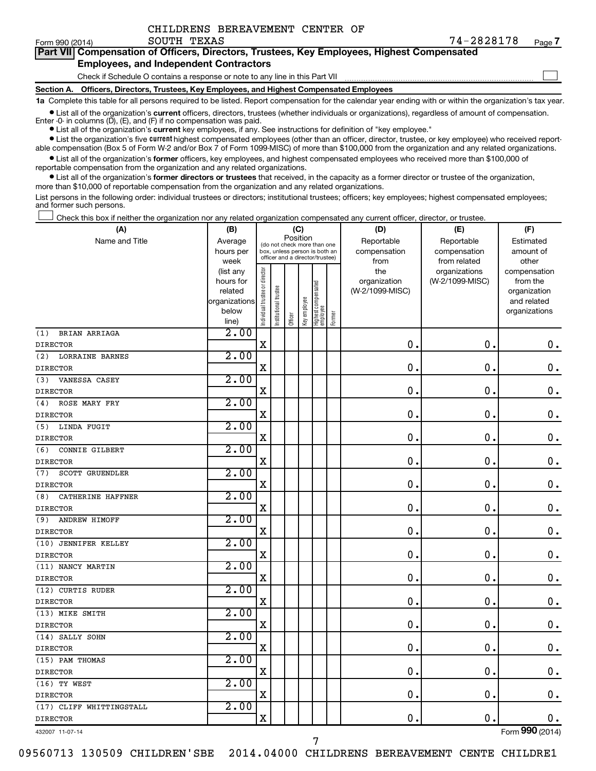| CHILDRENS BEREAVEMENT CENTER OF |
|---------------------------------|
|                                 |

Form 990 (2014) Page SOUTH TEXAS 74-2828178 **7**

| Part VII Compensation of Officers, Directors, Trustees, Key Employees, Highest Compensated<br><b>Employees, and Independent Contractors</b> |  |
|---------------------------------------------------------------------------------------------------------------------------------------------|--|
| Check if Schedule O contains a response or note to any line in this Part VII                                                                |  |

**Section A. Officers, Directors, Trustees, Key Employees, and Highest Compensated Employees**

**1a**  Complete this table for all persons required to be listed. Report compensation for the calendar year ending with or within the organization's tax year.

**•** List all of the organization's current officers, directors, trustees (whether individuals or organizations), regardless of amount of compensation. Enter -0- in columns  $(D)$ ,  $(E)$ , and  $(F)$  if no compensation was paid.

**•** List all of the organization's **current** key employees, if any. See instructions for definition of "key employee."

**•** List the organization's five current highest compensated employees (other than an officer, director, trustee, or key employee) who received reportable compensation (Box 5 of Form W-2 and/or Box 7 of Form 1099-MISC) of more than \$100,000 from the organization and any related organizations.

**•** List all of the organization's former officers, key employees, and highest compensated employees who received more than \$100,000 of reportable compensation from the organization and any related organizations.

**•** List all of the organization's former directors or trustees that received, in the capacity as a former director or trustee of the organization, more than \$10,000 of reportable compensation from the organization and any related organizations.

List persons in the following order: individual trustees or directors; institutional trustees; officers; key employees; highest compensated employees; and former such persons.

Check this box if neither the organization nor any related organization compensated any current officer, director, or trustee.  $\Box$ 

| Position<br>Name and Title<br>Reportable<br>Reportable<br>Average<br>Estimated<br>(do not check more than one<br>compensation<br>hours per<br>box, unless person is both an<br>compensation<br>amount of<br>officer and a director/trustee)<br>week<br>from related<br>other<br>from<br>Individual trustee or director<br>the<br>organizations<br>(list any<br>compensation<br>(W-2/1099-MISC)<br>hours for<br>organization<br>from the<br>Highest compensated<br>employee<br>Institutional trustee<br>(W-2/1099-MISC)<br>related<br>organization<br>Key employee<br>organizations<br>and related<br>below<br>organizations<br>Former<br>Officer<br>line)<br>2.00<br>BRIAN ARRIAGA<br>$\mathbf X$<br>0.<br>0.<br>2.00<br>(2)<br><b>LORRAINE BARNES</b><br>$\mathbf X$<br>$\mathbf 0$ .<br>$\mathbf 0$ .<br>$\mathbf 0$ .<br>2.00<br>VANESSA CASEY<br>$\mathbf 0$ .<br>X<br>$\mathbf 0$<br>$\mathbf 0$ .<br>2.00<br>ROSE MARY FRY<br>(4)<br>$\mathbf X$<br>$\mathbf 0$<br>$\mathbf 0$ .<br>$\mathbf 0$ .<br>2.00<br>LINDA FUGIT<br>(5)<br>$\mathbf 0$ .<br>X<br>$\mathbf 0$<br>$\boldsymbol{0}$ .<br>2.00<br>(6)<br>CONNIE GILBERT<br>$\mathbf X$<br>$\mathbf 0$<br>$\mathbf 0$ .<br>$\mathbf 0$ .<br>2.00<br><b>SCOTT GRUENDLER</b><br>0<br>$\mathbf 0$<br>X<br>$\mathbf 0$ .<br>2.00<br>(8)<br>CATHERINE HAFFNER<br>$\mathbf X$<br>$\mathbf 0$<br>$\mathbf 0$<br>$\mathbf 0$ .<br>2.00<br>ANDREW HIMOFF<br>(9)<br>$\mathbf X$<br>0<br>$\mathbf 0$ .<br>$\mathbf 0$ .<br>2.00<br>$\mathbf X$<br>$\mathbf 0$<br>$\mathbf 0$ .<br>$\mathbf 0$ .<br>2.00<br>X<br>$\mathbf 0$<br>0.<br>$\mathbf 0$ .<br>2.00<br>(12) CURTIS RUDER<br>$\mathbf X$<br>$\mathbf 0$<br>$\mathbf 0$ .<br>$\mathbf 0$ .<br>2.00<br>$\mathbf X$<br>$\mathbf 0$<br>$\mathbf 0$ .<br>$\mathbf 0$ .<br>2.00<br>$\mathbf X$<br>$\mathbf 0$<br>$\mathbf 0$ .<br>0.<br>2.00<br>$\mathbf X$<br>$\mathbf 0$ .<br>$\mathbf 0$ .<br>$\mathbf 0$ .<br>2.00<br>$\mathbf X$<br>0.<br>$\mathbf 0$ .<br>0.<br>2.00<br>(17) CLIFF WHITTINGSTALL<br>$\mathbf 0$ .<br>$\mathbf X$<br>$\mathbf 0$ .<br>$\mathbf 0$ . | (A)                  | (B) |  |  | (C) |  |  | (D) | (E) | (F) |  |  |
|------------------------------------------------------------------------------------------------------------------------------------------------------------------------------------------------------------------------------------------------------------------------------------------------------------------------------------------------------------------------------------------------------------------------------------------------------------------------------------------------------------------------------------------------------------------------------------------------------------------------------------------------------------------------------------------------------------------------------------------------------------------------------------------------------------------------------------------------------------------------------------------------------------------------------------------------------------------------------------------------------------------------------------------------------------------------------------------------------------------------------------------------------------------------------------------------------------------------------------------------------------------------------------------------------------------------------------------------------------------------------------------------------------------------------------------------------------------------------------------------------------------------------------------------------------------------------------------------------------------------------------------------------------------------------------------------------------------------------------------------------------------------------------------------------------------------------------------------------------------------------------------------------------------------------------------------------------------------------------------------------------------------------------------------------------------------|----------------------|-----|--|--|-----|--|--|-----|-----|-----|--|--|
|                                                                                                                                                                                                                                                                                                                                                                                                                                                                                                                                                                                                                                                                                                                                                                                                                                                                                                                                                                                                                                                                                                                                                                                                                                                                                                                                                                                                                                                                                                                                                                                                                                                                                                                                                                                                                                                                                                                                                                                                                                                                        |                      |     |  |  |     |  |  |     |     |     |  |  |
|                                                                                                                                                                                                                                                                                                                                                                                                                                                                                                                                                                                                                                                                                                                                                                                                                                                                                                                                                                                                                                                                                                                                                                                                                                                                                                                                                                                                                                                                                                                                                                                                                                                                                                                                                                                                                                                                                                                                                                                                                                                                        |                      |     |  |  |     |  |  |     |     |     |  |  |
| $\mathbf 0$ .                                                                                                                                                                                                                                                                                                                                                                                                                                                                                                                                                                                                                                                                                                                                                                                                                                                                                                                                                                                                                                                                                                                                                                                                                                                                                                                                                                                                                                                                                                                                                                                                                                                                                                                                                                                                                                                                                                                                                                                                                                                          |                      |     |  |  |     |  |  |     |     |     |  |  |
|                                                                                                                                                                                                                                                                                                                                                                                                                                                                                                                                                                                                                                                                                                                                                                                                                                                                                                                                                                                                                                                                                                                                                                                                                                                                                                                                                                                                                                                                                                                                                                                                                                                                                                                                                                                                                                                                                                                                                                                                                                                                        |                      |     |  |  |     |  |  |     |     |     |  |  |
|                                                                                                                                                                                                                                                                                                                                                                                                                                                                                                                                                                                                                                                                                                                                                                                                                                                                                                                                                                                                                                                                                                                                                                                                                                                                                                                                                                                                                                                                                                                                                                                                                                                                                                                                                                                                                                                                                                                                                                                                                                                                        |                      |     |  |  |     |  |  |     |     |     |  |  |
|                                                                                                                                                                                                                                                                                                                                                                                                                                                                                                                                                                                                                                                                                                                                                                                                                                                                                                                                                                                                                                                                                                                                                                                                                                                                                                                                                                                                                                                                                                                                                                                                                                                                                                                                                                                                                                                                                                                                                                                                                                                                        |                      |     |  |  |     |  |  |     |     |     |  |  |
|                                                                                                                                                                                                                                                                                                                                                                                                                                                                                                                                                                                                                                                                                                                                                                                                                                                                                                                                                                                                                                                                                                                                                                                                                                                                                                                                                                                                                                                                                                                                                                                                                                                                                                                                                                                                                                                                                                                                                                                                                                                                        |                      |     |  |  |     |  |  |     |     |     |  |  |
|                                                                                                                                                                                                                                                                                                                                                                                                                                                                                                                                                                                                                                                                                                                                                                                                                                                                                                                                                                                                                                                                                                                                                                                                                                                                                                                                                                                                                                                                                                                                                                                                                                                                                                                                                                                                                                                                                                                                                                                                                                                                        |                      |     |  |  |     |  |  |     |     |     |  |  |
|                                                                                                                                                                                                                                                                                                                                                                                                                                                                                                                                                                                                                                                                                                                                                                                                                                                                                                                                                                                                                                                                                                                                                                                                                                                                                                                                                                                                                                                                                                                                                                                                                                                                                                                                                                                                                                                                                                                                                                                                                                                                        | (1)                  |     |  |  |     |  |  |     |     |     |  |  |
|                                                                                                                                                                                                                                                                                                                                                                                                                                                                                                                                                                                                                                                                                                                                                                                                                                                                                                                                                                                                                                                                                                                                                                                                                                                                                                                                                                                                                                                                                                                                                                                                                                                                                                                                                                                                                                                                                                                                                                                                                                                                        | <b>DIRECTOR</b>      |     |  |  |     |  |  |     |     |     |  |  |
|                                                                                                                                                                                                                                                                                                                                                                                                                                                                                                                                                                                                                                                                                                                                                                                                                                                                                                                                                                                                                                                                                                                                                                                                                                                                                                                                                                                                                                                                                                                                                                                                                                                                                                                                                                                                                                                                                                                                                                                                                                                                        |                      |     |  |  |     |  |  |     |     |     |  |  |
|                                                                                                                                                                                                                                                                                                                                                                                                                                                                                                                                                                                                                                                                                                                                                                                                                                                                                                                                                                                                                                                                                                                                                                                                                                                                                                                                                                                                                                                                                                                                                                                                                                                                                                                                                                                                                                                                                                                                                                                                                                                                        | <b>DIRECTOR</b>      |     |  |  |     |  |  |     |     |     |  |  |
|                                                                                                                                                                                                                                                                                                                                                                                                                                                                                                                                                                                                                                                                                                                                                                                                                                                                                                                                                                                                                                                                                                                                                                                                                                                                                                                                                                                                                                                                                                                                                                                                                                                                                                                                                                                                                                                                                                                                                                                                                                                                        | (3)                  |     |  |  |     |  |  |     |     |     |  |  |
|                                                                                                                                                                                                                                                                                                                                                                                                                                                                                                                                                                                                                                                                                                                                                                                                                                                                                                                                                                                                                                                                                                                                                                                                                                                                                                                                                                                                                                                                                                                                                                                                                                                                                                                                                                                                                                                                                                                                                                                                                                                                        | <b>DIRECTOR</b>      |     |  |  |     |  |  |     |     |     |  |  |
|                                                                                                                                                                                                                                                                                                                                                                                                                                                                                                                                                                                                                                                                                                                                                                                                                                                                                                                                                                                                                                                                                                                                                                                                                                                                                                                                                                                                                                                                                                                                                                                                                                                                                                                                                                                                                                                                                                                                                                                                                                                                        |                      |     |  |  |     |  |  |     |     |     |  |  |
|                                                                                                                                                                                                                                                                                                                                                                                                                                                                                                                                                                                                                                                                                                                                                                                                                                                                                                                                                                                                                                                                                                                                                                                                                                                                                                                                                                                                                                                                                                                                                                                                                                                                                                                                                                                                                                                                                                                                                                                                                                                                        | <b>DIRECTOR</b>      |     |  |  |     |  |  |     |     |     |  |  |
|                                                                                                                                                                                                                                                                                                                                                                                                                                                                                                                                                                                                                                                                                                                                                                                                                                                                                                                                                                                                                                                                                                                                                                                                                                                                                                                                                                                                                                                                                                                                                                                                                                                                                                                                                                                                                                                                                                                                                                                                                                                                        |                      |     |  |  |     |  |  |     |     |     |  |  |
|                                                                                                                                                                                                                                                                                                                                                                                                                                                                                                                                                                                                                                                                                                                                                                                                                                                                                                                                                                                                                                                                                                                                                                                                                                                                                                                                                                                                                                                                                                                                                                                                                                                                                                                                                                                                                                                                                                                                                                                                                                                                        | <b>DIRECTOR</b>      |     |  |  |     |  |  |     |     |     |  |  |
|                                                                                                                                                                                                                                                                                                                                                                                                                                                                                                                                                                                                                                                                                                                                                                                                                                                                                                                                                                                                                                                                                                                                                                                                                                                                                                                                                                                                                                                                                                                                                                                                                                                                                                                                                                                                                                                                                                                                                                                                                                                                        |                      |     |  |  |     |  |  |     |     |     |  |  |
|                                                                                                                                                                                                                                                                                                                                                                                                                                                                                                                                                                                                                                                                                                                                                                                                                                                                                                                                                                                                                                                                                                                                                                                                                                                                                                                                                                                                                                                                                                                                                                                                                                                                                                                                                                                                                                                                                                                                                                                                                                                                        | <b>DIRECTOR</b>      |     |  |  |     |  |  |     |     |     |  |  |
|                                                                                                                                                                                                                                                                                                                                                                                                                                                                                                                                                                                                                                                                                                                                                                                                                                                                                                                                                                                                                                                                                                                                                                                                                                                                                                                                                                                                                                                                                                                                                                                                                                                                                                                                                                                                                                                                                                                                                                                                                                                                        | (7)                  |     |  |  |     |  |  |     |     |     |  |  |
|                                                                                                                                                                                                                                                                                                                                                                                                                                                                                                                                                                                                                                                                                                                                                                                                                                                                                                                                                                                                                                                                                                                                                                                                                                                                                                                                                                                                                                                                                                                                                                                                                                                                                                                                                                                                                                                                                                                                                                                                                                                                        | <b>DIRECTOR</b>      |     |  |  |     |  |  |     |     |     |  |  |
|                                                                                                                                                                                                                                                                                                                                                                                                                                                                                                                                                                                                                                                                                                                                                                                                                                                                                                                                                                                                                                                                                                                                                                                                                                                                                                                                                                                                                                                                                                                                                                                                                                                                                                                                                                                                                                                                                                                                                                                                                                                                        |                      |     |  |  |     |  |  |     |     |     |  |  |
|                                                                                                                                                                                                                                                                                                                                                                                                                                                                                                                                                                                                                                                                                                                                                                                                                                                                                                                                                                                                                                                                                                                                                                                                                                                                                                                                                                                                                                                                                                                                                                                                                                                                                                                                                                                                                                                                                                                                                                                                                                                                        | <b>DIRECTOR</b>      |     |  |  |     |  |  |     |     |     |  |  |
|                                                                                                                                                                                                                                                                                                                                                                                                                                                                                                                                                                                                                                                                                                                                                                                                                                                                                                                                                                                                                                                                                                                                                                                                                                                                                                                                                                                                                                                                                                                                                                                                                                                                                                                                                                                                                                                                                                                                                                                                                                                                        |                      |     |  |  |     |  |  |     |     |     |  |  |
|                                                                                                                                                                                                                                                                                                                                                                                                                                                                                                                                                                                                                                                                                                                                                                                                                                                                                                                                                                                                                                                                                                                                                                                                                                                                                                                                                                                                                                                                                                                                                                                                                                                                                                                                                                                                                                                                                                                                                                                                                                                                        | <b>DIRECTOR</b>      |     |  |  |     |  |  |     |     |     |  |  |
|                                                                                                                                                                                                                                                                                                                                                                                                                                                                                                                                                                                                                                                                                                                                                                                                                                                                                                                                                                                                                                                                                                                                                                                                                                                                                                                                                                                                                                                                                                                                                                                                                                                                                                                                                                                                                                                                                                                                                                                                                                                                        | (10) JENNIFER KELLEY |     |  |  |     |  |  |     |     |     |  |  |
|                                                                                                                                                                                                                                                                                                                                                                                                                                                                                                                                                                                                                                                                                                                                                                                                                                                                                                                                                                                                                                                                                                                                                                                                                                                                                                                                                                                                                                                                                                                                                                                                                                                                                                                                                                                                                                                                                                                                                                                                                                                                        | <b>DIRECTOR</b>      |     |  |  |     |  |  |     |     |     |  |  |
|                                                                                                                                                                                                                                                                                                                                                                                                                                                                                                                                                                                                                                                                                                                                                                                                                                                                                                                                                                                                                                                                                                                                                                                                                                                                                                                                                                                                                                                                                                                                                                                                                                                                                                                                                                                                                                                                                                                                                                                                                                                                        | (11) NANCY MARTIN    |     |  |  |     |  |  |     |     |     |  |  |
|                                                                                                                                                                                                                                                                                                                                                                                                                                                                                                                                                                                                                                                                                                                                                                                                                                                                                                                                                                                                                                                                                                                                                                                                                                                                                                                                                                                                                                                                                                                                                                                                                                                                                                                                                                                                                                                                                                                                                                                                                                                                        | <b>DIRECTOR</b>      |     |  |  |     |  |  |     |     |     |  |  |
|                                                                                                                                                                                                                                                                                                                                                                                                                                                                                                                                                                                                                                                                                                                                                                                                                                                                                                                                                                                                                                                                                                                                                                                                                                                                                                                                                                                                                                                                                                                                                                                                                                                                                                                                                                                                                                                                                                                                                                                                                                                                        |                      |     |  |  |     |  |  |     |     |     |  |  |
|                                                                                                                                                                                                                                                                                                                                                                                                                                                                                                                                                                                                                                                                                                                                                                                                                                                                                                                                                                                                                                                                                                                                                                                                                                                                                                                                                                                                                                                                                                                                                                                                                                                                                                                                                                                                                                                                                                                                                                                                                                                                        | <b>DIRECTOR</b>      |     |  |  |     |  |  |     |     |     |  |  |
|                                                                                                                                                                                                                                                                                                                                                                                                                                                                                                                                                                                                                                                                                                                                                                                                                                                                                                                                                                                                                                                                                                                                                                                                                                                                                                                                                                                                                                                                                                                                                                                                                                                                                                                                                                                                                                                                                                                                                                                                                                                                        | (13) MIKE SMITH      |     |  |  |     |  |  |     |     |     |  |  |
|                                                                                                                                                                                                                                                                                                                                                                                                                                                                                                                                                                                                                                                                                                                                                                                                                                                                                                                                                                                                                                                                                                                                                                                                                                                                                                                                                                                                                                                                                                                                                                                                                                                                                                                                                                                                                                                                                                                                                                                                                                                                        | <b>DIRECTOR</b>      |     |  |  |     |  |  |     |     |     |  |  |
|                                                                                                                                                                                                                                                                                                                                                                                                                                                                                                                                                                                                                                                                                                                                                                                                                                                                                                                                                                                                                                                                                                                                                                                                                                                                                                                                                                                                                                                                                                                                                                                                                                                                                                                                                                                                                                                                                                                                                                                                                                                                        | (14) SALLY SOHN      |     |  |  |     |  |  |     |     |     |  |  |
|                                                                                                                                                                                                                                                                                                                                                                                                                                                                                                                                                                                                                                                                                                                                                                                                                                                                                                                                                                                                                                                                                                                                                                                                                                                                                                                                                                                                                                                                                                                                                                                                                                                                                                                                                                                                                                                                                                                                                                                                                                                                        | <b>DIRECTOR</b>      |     |  |  |     |  |  |     |     |     |  |  |
|                                                                                                                                                                                                                                                                                                                                                                                                                                                                                                                                                                                                                                                                                                                                                                                                                                                                                                                                                                                                                                                                                                                                                                                                                                                                                                                                                                                                                                                                                                                                                                                                                                                                                                                                                                                                                                                                                                                                                                                                                                                                        | (15) PAM THOMAS      |     |  |  |     |  |  |     |     |     |  |  |
|                                                                                                                                                                                                                                                                                                                                                                                                                                                                                                                                                                                                                                                                                                                                                                                                                                                                                                                                                                                                                                                                                                                                                                                                                                                                                                                                                                                                                                                                                                                                                                                                                                                                                                                                                                                                                                                                                                                                                                                                                                                                        | <b>DIRECTOR</b>      |     |  |  |     |  |  |     |     |     |  |  |
|                                                                                                                                                                                                                                                                                                                                                                                                                                                                                                                                                                                                                                                                                                                                                                                                                                                                                                                                                                                                                                                                                                                                                                                                                                                                                                                                                                                                                                                                                                                                                                                                                                                                                                                                                                                                                                                                                                                                                                                                                                                                        | $(16)$ TY WEST       |     |  |  |     |  |  |     |     |     |  |  |
|                                                                                                                                                                                                                                                                                                                                                                                                                                                                                                                                                                                                                                                                                                                                                                                                                                                                                                                                                                                                                                                                                                                                                                                                                                                                                                                                                                                                                                                                                                                                                                                                                                                                                                                                                                                                                                                                                                                                                                                                                                                                        | <b>DIRECTOR</b>      |     |  |  |     |  |  |     |     |     |  |  |
|                                                                                                                                                                                                                                                                                                                                                                                                                                                                                                                                                                                                                                                                                                                                                                                                                                                                                                                                                                                                                                                                                                                                                                                                                                                                                                                                                                                                                                                                                                                                                                                                                                                                                                                                                                                                                                                                                                                                                                                                                                                                        |                      |     |  |  |     |  |  |     |     |     |  |  |
|                                                                                                                                                                                                                                                                                                                                                                                                                                                                                                                                                                                                                                                                                                                                                                                                                                                                                                                                                                                                                                                                                                                                                                                                                                                                                                                                                                                                                                                                                                                                                                                                                                                                                                                                                                                                                                                                                                                                                                                                                                                                        | <b>DIRECTOR</b>      |     |  |  |     |  |  |     |     |     |  |  |

432007 11-07-14

Form (2014) **990**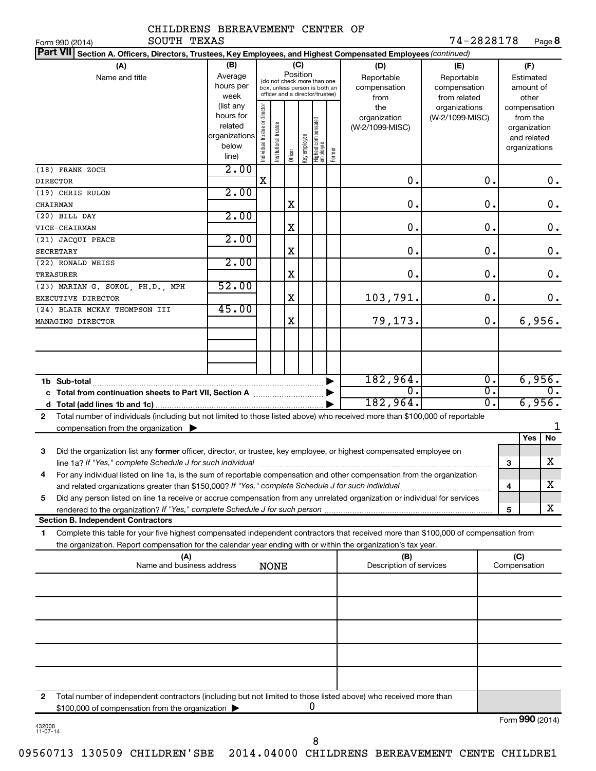| CHILDRENS BEREAVEMENT CENTER OF                                                                                                                                                                                                                                                                                                                             |                                                                        |                                |                       |             |              |                                                                                                 |        |                                           |                                                   |   |                                                                          |
|-------------------------------------------------------------------------------------------------------------------------------------------------------------------------------------------------------------------------------------------------------------------------------------------------------------------------------------------------------------|------------------------------------------------------------------------|--------------------------------|-----------------------|-------------|--------------|-------------------------------------------------------------------------------------------------|--------|-------------------------------------------|---------------------------------------------------|---|--------------------------------------------------------------------------|
| SOUTH TEXAS<br>Form 990 (2014)                                                                                                                                                                                                                                                                                                                              |                                                                        |                                |                       |             |              |                                                                                                 |        |                                           | 74-2828178                                        |   | Page 8                                                                   |
| <b>Part VII</b><br>Section A. Officers, Directors, Trustees, Key Employees, and Highest Compensated Employees (continued)                                                                                                                                                                                                                                   |                                                                        |                                |                       |             |              |                                                                                                 |        |                                           |                                                   |   |                                                                          |
| (A)<br>Name and title                                                                                                                                                                                                                                                                                                                                       | (B)<br>Average<br>hours per<br>week                                    |                                |                       | Position    | (C)          | (do not check more than one<br>box, unless person is both an<br>officer and a director/trustee) |        | (D)<br>Reportable<br>compensation<br>from | (E)<br>Reportable<br>compensation<br>from related |   | (F)<br>Estimated<br>amount of<br>other                                   |
|                                                                                                                                                                                                                                                                                                                                                             | (list any<br>hours for<br>related<br> organizations <br>below<br>line) | Individual trustee or director | Institutional trustee | Officer     | Key employee | Highest compensated<br>employee                                                                 | Former | the<br>organization<br>(W-2/1099-MISC)    | organizations<br>(W-2/1099-MISC)                  |   | compensation<br>from the<br>organization<br>and related<br>organizations |
| (18) FRANK ZOCH<br><b>DIRECTOR</b>                                                                                                                                                                                                                                                                                                                          | 2.00                                                                   | X                              |                       |             |              |                                                                                                 |        | 0.                                        | 0.                                                |   | 0.                                                                       |
| (19) CHRIS RULON                                                                                                                                                                                                                                                                                                                                            | 2.00                                                                   |                                |                       |             |              |                                                                                                 |        |                                           |                                                   |   |                                                                          |
| CHAIRMAN                                                                                                                                                                                                                                                                                                                                                    |                                                                        |                                |                       | X           |              |                                                                                                 |        | 0.                                        | 0.                                                |   | 0.                                                                       |
| (20) BILL DAY                                                                                                                                                                                                                                                                                                                                               | 2.00                                                                   |                                |                       |             |              |                                                                                                 |        |                                           |                                                   |   |                                                                          |
| VICE-CHAIRMAN                                                                                                                                                                                                                                                                                                                                               |                                                                        |                                |                       | X           |              |                                                                                                 |        | $\mathbf 0$ .                             | 0.                                                |   | 0.                                                                       |
| (21) JACQUI PEACE                                                                                                                                                                                                                                                                                                                                           | 2.00                                                                   |                                |                       |             |              |                                                                                                 |        |                                           |                                                   |   |                                                                          |
| SECRETARY                                                                                                                                                                                                                                                                                                                                                   |                                                                        |                                |                       | X           |              |                                                                                                 |        | 0.                                        | 0.                                                |   | 0.                                                                       |
| (22) RONALD WEISS<br>TREASURER                                                                                                                                                                                                                                                                                                                              | 2.00                                                                   |                                |                       | X           |              |                                                                                                 |        | 0.                                        | 0.                                                |   | 0.                                                                       |
| (23) MARIAN G. SOKOL, PH.D., MPH<br>EXECUTIVE DIRECTOR                                                                                                                                                                                                                                                                                                      | 52.00                                                                  |                                |                       | X           |              |                                                                                                 |        | 103,791.                                  | 0.                                                |   | 0.                                                                       |
| (24) BLAIR MCKAY THOMPSON III<br>MANAGING DIRECTOR                                                                                                                                                                                                                                                                                                          | 45.00                                                                  |                                |                       | $\mathbf X$ |              |                                                                                                 |        | 79,173.                                   | 0.                                                |   | 6,956.                                                                   |
|                                                                                                                                                                                                                                                                                                                                                             |                                                                        |                                |                       |             |              |                                                                                                 |        |                                           |                                                   |   |                                                                          |
| 1b Sub-total                                                                                                                                                                                                                                                                                                                                                |                                                                        |                                |                       |             |              |                                                                                                 |        | 182,964.                                  | 0.                                                |   | 6,956.                                                                   |
| c Total from continuation sheets to Part VII, Section A manuscreen continuum                                                                                                                                                                                                                                                                                |                                                                        |                                |                       |             |              |                                                                                                 |        | $\overline{0}$ .                          | $\overline{0}$ .                                  |   | $0$ .                                                                    |
|                                                                                                                                                                                                                                                                                                                                                             |                                                                        |                                |                       |             |              |                                                                                                 |        | 182,964.                                  | $\overline{0}$ .                                  |   | 6,956.                                                                   |
| Total number of individuals (including but not limited to those listed above) who received more than \$100,000 of reportable<br>$\overline{2}$<br>compensation from the organization $\blacktriangleright$                                                                                                                                                  |                                                                        |                                |                       |             |              |                                                                                                 |        |                                           |                                                   |   | 1                                                                        |
|                                                                                                                                                                                                                                                                                                                                                             |                                                                        |                                |                       |             |              |                                                                                                 |        |                                           |                                                   |   | Yes<br>No                                                                |
| Did the organization list any former officer, director, or trustee, key employee, or highest compensated employee on<br>3<br>line 1a? If "Yes," complete Schedule J for such individual [11] [12] manument content in the set of the Schedule J for such individual [11] manument content in the set of the Schedule J for such a late of the set of the Sc |                                                                        |                                |                       |             |              |                                                                                                 |        |                                           |                                                   | з | $\overline{\mathbf{x}}$                                                  |
| For any individual listed on line 1a, is the sum of reportable compensation and other compensation from the organization<br>4                                                                                                                                                                                                                               |                                                                        |                                |                       |             |              |                                                                                                 |        |                                           |                                                   |   |                                                                          |
|                                                                                                                                                                                                                                                                                                                                                             |                                                                        |                                |                       |             |              |                                                                                                 |        |                                           |                                                   | 4 | x                                                                        |
| Did any person listed on line 1a receive or accrue compensation from any unrelated organization or individual for services<br>5                                                                                                                                                                                                                             |                                                                        |                                |                       |             |              |                                                                                                 |        |                                           |                                                   |   | x                                                                        |
| <b>Section B. Independent Contractors</b>                                                                                                                                                                                                                                                                                                                   |                                                                        |                                |                       |             |              |                                                                                                 |        |                                           |                                                   | 5 |                                                                          |
| Complete this table for your five highest compensated independent contractors that received more than \$100,000 of compensation from<br>1<br>the organization. Report compensation for the calendar year ending with or within the organization's tax year.                                                                                                 |                                                                        |                                |                       |             |              |                                                                                                 |        |                                           |                                                   |   |                                                                          |
| (A)                                                                                                                                                                                                                                                                                                                                                         |                                                                        |                                |                       |             |              |                                                                                                 |        | (B)                                       |                                                   |   | (C)                                                                      |
| Name and business address                                                                                                                                                                                                                                                                                                                                   |                                                                        |                                | <b>NONE</b>           |             |              |                                                                                                 |        | Description of services                   |                                                   |   | Compensation                                                             |
|                                                                                                                                                                                                                                                                                                                                                             |                                                                        |                                |                       |             |              |                                                                                                 |        |                                           |                                                   |   |                                                                          |
|                                                                                                                                                                                                                                                                                                                                                             |                                                                        |                                |                       |             |              |                                                                                                 |        |                                           |                                                   |   |                                                                          |
|                                                                                                                                                                                                                                                                                                                                                             |                                                                        |                                |                       |             |              |                                                                                                 |        |                                           |                                                   |   |                                                                          |
|                                                                                                                                                                                                                                                                                                                                                             |                                                                        |                                |                       |             |              |                                                                                                 |        |                                           |                                                   |   |                                                                          |
|                                                                                                                                                                                                                                                                                                                                                             |                                                                        |                                |                       |             |              |                                                                                                 |        |                                           |                                                   |   |                                                                          |
|                                                                                                                                                                                                                                                                                                                                                             |                                                                        |                                |                       |             |              |                                                                                                 |        |                                           |                                                   |   |                                                                          |

**2** Total number of independent contractors (including but not limited to those listed above) who received more than \$100,000 of compensation from the organization  $\blacktriangleright$ 0

Form (2014) **990**

8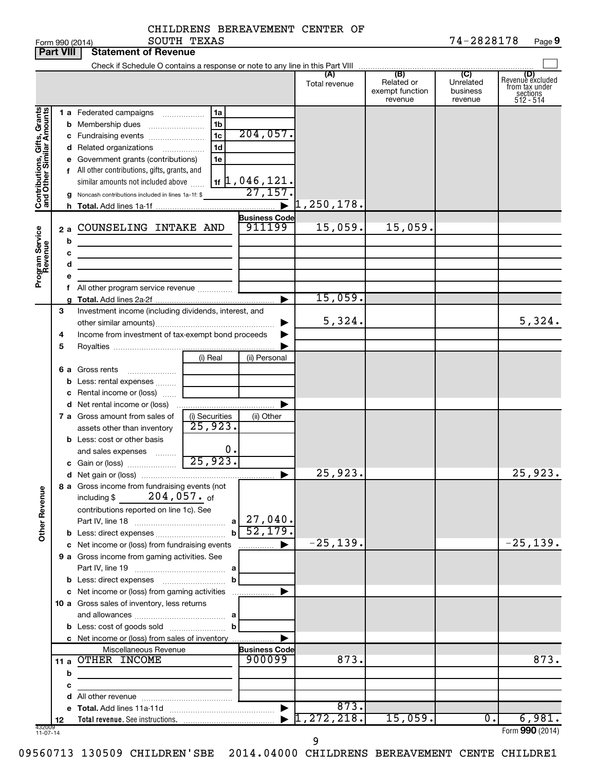|  | CHILDRENS BEREAVEMENT CENTER OF |  |  |
|--|---------------------------------|--|--|
|--|---------------------------------|--|--|

|                                                           | <b>Part VIII</b>  | <b>Statement of Revenue</b>                                                                                                                                                                                                                                                                 |                                                  |                                                     |                      |                                                 |                                                    |                                                                      |
|-----------------------------------------------------------|-------------------|---------------------------------------------------------------------------------------------------------------------------------------------------------------------------------------------------------------------------------------------------------------------------------------------|--------------------------------------------------|-----------------------------------------------------|----------------------|-------------------------------------------------|----------------------------------------------------|----------------------------------------------------------------------|
|                                                           |                   |                                                                                                                                                                                                                                                                                             |                                                  |                                                     |                      |                                                 |                                                    |                                                                      |
|                                                           |                   |                                                                                                                                                                                                                                                                                             |                                                  |                                                     | (A)<br>Total revenue | (B)<br>Related or<br>exempt function<br>revenue | $\overline{C}$<br>Unrelated<br>business<br>revenue | (D)<br>Revenue excluded<br>from tax under<br>sections<br>$512 - 514$ |
| Contributions, Gifts, Grants<br>and Other Similar Amounts |                   | 1 a Federated campaigns<br><b>b</b> Membership dues<br>c Fundraising events<br>d Related organizations<br>e Government grants (contributions)<br>f All other contributions, gifts, grants, and<br>similar amounts not included above<br>g Noncash contributions included in lines 1a-1f: \$ | 1a<br>1b<br>1 <sub>c</sub><br>1d<br>.<br>1e      | 204,057.<br>$\frac{11}{16}$ , 046, 121.<br>27, 157. | 1, 250, 178.         |                                                 |                                                    |                                                                      |
|                                                           |                   |                                                                                                                                                                                                                                                                                             |                                                  | <b>Business Code</b>                                |                      |                                                 |                                                    |                                                                      |
| Program Service<br>Revenue                                | 2a<br>b<br>c<br>d | COUNSELING INTAKE AND<br><u> 1989 - Johann Barn, mars ann an t-Amhain ann an t-A</u><br>the control of the control of the control of the                                                                                                                                                    |                                                  | 911199                                              | 15,059.              | 15,059.                                         |                                                    |                                                                      |
|                                                           |                   | All other program service revenue                                                                                                                                                                                                                                                           |                                                  |                                                     |                      |                                                 |                                                    |                                                                      |
|                                                           |                   |                                                                                                                                                                                                                                                                                             |                                                  |                                                     | 15,059.              |                                                 |                                                    |                                                                      |
|                                                           | 3<br>4            | Investment income (including dividends, interest, and<br>Income from investment of tax-exempt bond proceeds                                                                                                                                                                                 |                                                  |                                                     | 5,324.               |                                                 |                                                    | 5,324.                                                               |
|                                                           | 5                 |                                                                                                                                                                                                                                                                                             | (i) Real                                         | (ii) Personal                                       |                      |                                                 |                                                    |                                                                      |
|                                                           |                   | 6 a Gross rents<br><b>b</b> Less: rental expenses<br>c Rental income or (loss)                                                                                                                                                                                                              |                                                  |                                                     |                      |                                                 |                                                    |                                                                      |
|                                                           |                   |                                                                                                                                                                                                                                                                                             |                                                  |                                                     |                      |                                                 |                                                    |                                                                      |
|                                                           |                   | 7 a Gross amount from sales of<br>assets other than inventory<br><b>b</b> Less: cost or other basis                                                                                                                                                                                         | (i) Securities<br>$\overline{25,923}$ .          | (ii) Other                                          |                      |                                                 |                                                    |                                                                      |
|                                                           |                   | and sales expenses<br>c Gain or (loss)                                                                                                                                                                                                                                                      | 0.<br>25,923.                                    | ▶                                                   | 25,923.              |                                                 |                                                    | 25,923.                                                              |
| <b>Other Revenue</b>                                      |                   | 8 a Gross income from fundraising events (not<br>$204,057.$ of<br>including \$<br>contributions reported on line 1c). See                                                                                                                                                                   | a                                                | $27,040$ .                                          |                      |                                                 |                                                    |                                                                      |
|                                                           |                   |                                                                                                                                                                                                                                                                                             | $\mathbf b$                                      | 52, 179.                                            |                      |                                                 |                                                    |                                                                      |
|                                                           |                   | c Net income or (loss) from fundraising events                                                                                                                                                                                                                                              |                                                  | .                                                   | $-25, 139.$          |                                                 |                                                    | $-25, 139.$                                                          |
|                                                           |                   | 9 a Gross income from gaming activities. See                                                                                                                                                                                                                                                | b                                                |                                                     |                      |                                                 |                                                    |                                                                      |
|                                                           |                   | c Net income or (loss) from gaming activities                                                                                                                                                                                                                                               |                                                  |                                                     |                      |                                                 |                                                    |                                                                      |
|                                                           |                   | 10 a Gross sales of inventory, less returns<br>c Net income or (loss) from sales of inventory                                                                                                                                                                                               | b                                                |                                                     |                      |                                                 |                                                    |                                                                      |
|                                                           |                   | Miscellaneous Revenue                                                                                                                                                                                                                                                                       |                                                  | <b>Business Code</b>                                |                      |                                                 |                                                    |                                                                      |
|                                                           | 11 a<br>b         | OTHER INCOME<br><u> 1980 - Johann Barbara, martxa alemaniar a</u>                                                                                                                                                                                                                           |                                                  | 900099                                              | 873.                 |                                                 |                                                    | 873.                                                                 |
|                                                           | с                 |                                                                                                                                                                                                                                                                                             | the control of the control of the control of the |                                                     |                      |                                                 |                                                    |                                                                      |
|                                                           |                   |                                                                                                                                                                                                                                                                                             |                                                  | $\blacktriangleright$                               | 873.                 |                                                 |                                                    |                                                                      |
|                                                           | 12                |                                                                                                                                                                                                                                                                                             |                                                  |                                                     | 1,272,218.           | 15,059.                                         | $\overline{0}$ .                                   | 6,981.                                                               |
| 432009<br>11-07-14                                        |                   |                                                                                                                                                                                                                                                                                             |                                                  |                                                     |                      |                                                 |                                                    | Form 990 (2014)                                                      |
|                                                           |                   |                                                                                                                                                                                                                                                                                             |                                                  |                                                     | 9                    |                                                 |                                                    |                                                                      |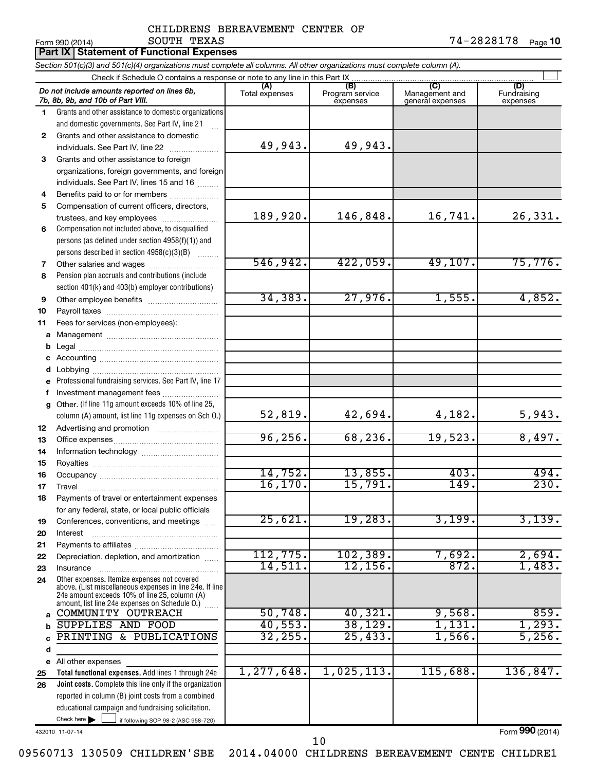### CHILDRENS BEREAVEMENT CENTER OF SOUTH TEXAS 74-2828178

 $\frac{1}{4}$   $\frac{1}{2014}$   $\frac{1}{800}$   $\frac{1}{201}$   $\frac{1}{201}$   $\frac{1}{201}$   $\frac{1}{201}$   $\frac{1}{201}$   $\frac{1}{201}$   $\frac{1}{201}$   $\frac{1}{201}$   $\frac{1}{201}$   $\frac{1}{201}$   $\frac{1}{201}$   $\frac{1}{201}$   $\frac{1}{201}$   $\frac{1}{201}$   $\frac{1}{201}$   $\frac{1}{$ 74-2828178 Page 10

|              | <b>Part IX Statement of Functional Expenses</b>                                                                                                               |                       |                                    |                                           |                                |
|--------------|---------------------------------------------------------------------------------------------------------------------------------------------------------------|-----------------------|------------------------------------|-------------------------------------------|--------------------------------|
|              | Section 501(c)(3) and 501(c)(4) organizations must complete all columns. All other organizations must complete column (A).                                    |                       |                                    |                                           |                                |
|              | Check if Schedule O contains a response or note to any line in this Part IX                                                                                   |                       |                                    |                                           |                                |
|              | Do not include amounts reported on lines 6b,<br>7b, 8b, 9b, and 10b of Part VIII.                                                                             | (A)<br>Total expenses | (B)<br>Program service<br>expenses | (C)<br>Management and<br>general expenses | (D)<br>Fundraising<br>expenses |
| 1.           | Grants and other assistance to domestic organizations                                                                                                         |                       |                                    |                                           |                                |
|              | and domestic governments. See Part IV, line 21                                                                                                                |                       |                                    |                                           |                                |
| $\mathbf{2}$ | Grants and other assistance to domestic                                                                                                                       |                       |                                    |                                           |                                |
|              | individuals. See Part IV, line 22                                                                                                                             | 49,943.               | 49,943.                            |                                           |                                |
| 3            | Grants and other assistance to foreign                                                                                                                        |                       |                                    |                                           |                                |
|              | organizations, foreign governments, and foreign                                                                                                               |                       |                                    |                                           |                                |
| 4            | individuals. See Part IV, lines 15 and 16<br>Benefits paid to or for members                                                                                  |                       |                                    |                                           |                                |
| 5            | Compensation of current officers, directors,                                                                                                                  |                       |                                    |                                           |                                |
|              | trustees, and key employees                                                                                                                                   | 189,920.              | 146,848.                           | 16,741.                                   | 26,331.                        |
| 6            | Compensation not included above, to disqualified                                                                                                              |                       |                                    |                                           |                                |
|              | persons (as defined under section 4958(f)(1)) and                                                                                                             |                       |                                    |                                           |                                |
|              | persons described in section 4958(c)(3)(B)                                                                                                                    |                       |                                    |                                           |                                |
| 7            | Other salaries and wages                                                                                                                                      | 546,942.              | 422,059.                           | 49,107.                                   | 75,776.                        |
| 8            | Pension plan accruals and contributions (include                                                                                                              |                       |                                    |                                           |                                |
|              | section 401(k) and 403(b) employer contributions)                                                                                                             |                       |                                    |                                           |                                |
| 9            |                                                                                                                                                               | 34, 383.              | 27,976.                            | 1,555.                                    | 4,852.                         |
| 10           |                                                                                                                                                               |                       |                                    |                                           |                                |
| 11           | Fees for services (non-employees):                                                                                                                            |                       |                                    |                                           |                                |
| a            |                                                                                                                                                               |                       |                                    |                                           |                                |
| b            |                                                                                                                                                               |                       |                                    |                                           |                                |
| с            |                                                                                                                                                               |                       |                                    |                                           |                                |
| d            |                                                                                                                                                               |                       |                                    |                                           |                                |
| е            | Professional fundraising services. See Part IV, line 17                                                                                                       |                       |                                    |                                           |                                |
| f<br>g       | Investment management fees<br>Other. (If line 11g amount exceeds 10% of line 25,                                                                              |                       |                                    |                                           |                                |
|              | column (A) amount, list line 11g expenses on Sch O.)                                                                                                          | 52,819.               | 42,694.                            | 4,182.                                    | 5,943.                         |
| 12           |                                                                                                                                                               |                       |                                    |                                           |                                |
| 13           |                                                                                                                                                               | 96, 256.              | 68, 236.                           | 19,523.                                   | 8,497.                         |
| 14           |                                                                                                                                                               |                       |                                    |                                           |                                |
| 15           |                                                                                                                                                               |                       |                                    |                                           |                                |
| 16           |                                                                                                                                                               | 14,752.               | 13,855.                            | 403.                                      | 494.                           |
| 17           | Travel                                                                                                                                                        | 16, 170.              | 15,791.                            | 149                                       | 230.                           |
| 18           | Payments of travel or entertainment expenses                                                                                                                  |                       |                                    |                                           |                                |
|              | for any federal, state, or local public officials                                                                                                             |                       |                                    |                                           |                                |
| 19           | Conferences, conventions, and meetings                                                                                                                        | 25,621.               | 19,283.                            | 3,199.                                    | 3,139.                         |
| 20           | Interest                                                                                                                                                      |                       |                                    |                                           |                                |
| 21           |                                                                                                                                                               | 112, 775.             | 102, 389.                          | 7,692.                                    | 2,694.                         |
| 22           | Depreciation, depletion, and amortization                                                                                                                     | 14,511.               | 12, 156.                           | 872.                                      | 1,483.                         |
| 23           | Insurance<br>Other expenses. Itemize expenses not covered                                                                                                     |                       |                                    |                                           |                                |
| 24           | above. (List miscellaneous expenses in line 24e. If line<br>24e amount exceeds 10% of line 25, column (A)<br>amount, list line 24e expenses on Schedule O.) [ |                       |                                    |                                           |                                |
| a            | COMMUNITY OUTREACH                                                                                                                                            | 50,748.               | 40,321.                            | 9,568.                                    | 859.                           |
| b            | <b>SUPPLIES AND FOOD</b>                                                                                                                                      | 40,553.               | 38, 129.                           | 1,131.                                    | 1,293.                         |
|              | PRINTING & PUBLICATIONS                                                                                                                                       | 32, 255.              | 25,433.                            | 1,566.                                    | 5,256.                         |
| d            |                                                                                                                                                               |                       |                                    |                                           |                                |
|              | e All other expenses                                                                                                                                          |                       |                                    |                                           |                                |
| 25           | Total functional expenses. Add lines 1 through 24e                                                                                                            | 1,277,648.            | 1,025,113.                         | 115,688.                                  | 136,847.                       |
| 26           | Joint costs. Complete this line only if the organization                                                                                                      |                       |                                    |                                           |                                |
|              | reported in column (B) joint costs from a combined                                                                                                            |                       |                                    |                                           |                                |
|              | educational campaign and fundraising solicitation.                                                                                                            |                       |                                    |                                           |                                |
|              | Check here $\blacktriangleright$<br>if following SOP 98-2 (ASC 958-720)                                                                                       |                       |                                    |                                           |                                |

432010 11-07-14

Form (2014) **990**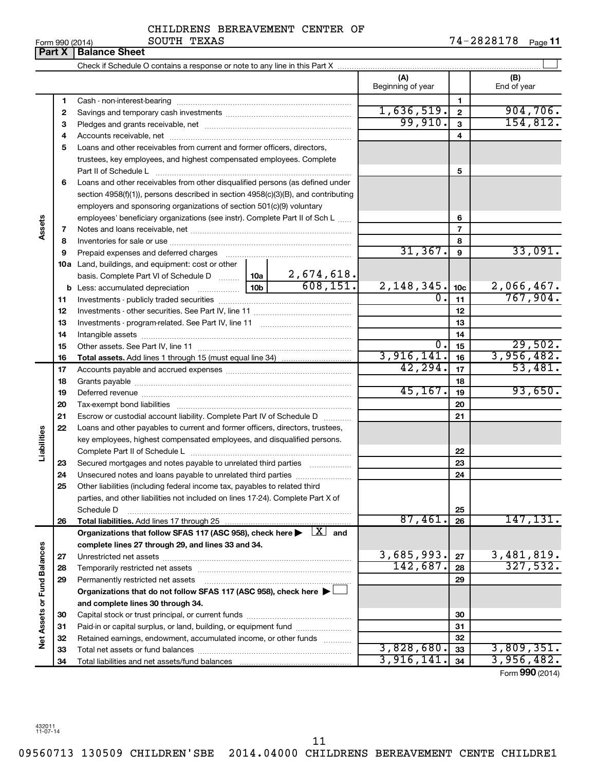| Form 990 (2014 |  |  |
|----------------|--|--|

Ĭ.

**Part X Balance Sheet**

### CHILDRENS BEREAVEMENT CENTER OF SOUTH TEXAS

|                             |    |                                                                                                                                                                                                                                | (A)<br>Beginning of year |                         | (B)<br>End of year            |
|-----------------------------|----|--------------------------------------------------------------------------------------------------------------------------------------------------------------------------------------------------------------------------------|--------------------------|-------------------------|-------------------------------|
|                             | 1  |                                                                                                                                                                                                                                |                          | 1                       |                               |
|                             | 2  |                                                                                                                                                                                                                                | 1,636,519.               | $\mathbf{2}$            | 904,706.                      |
|                             | з  |                                                                                                                                                                                                                                | 99,910.                  | $\mathbf{3}$            | 154,812.                      |
|                             | 4  |                                                                                                                                                                                                                                |                          | $\overline{\mathbf{4}}$ |                               |
|                             | 5  | Loans and other receivables from current and former officers, directors,                                                                                                                                                       |                          |                         |                               |
|                             |    | trustees, key employees, and highest compensated employees. Complete                                                                                                                                                           |                          |                         |                               |
|                             |    |                                                                                                                                                                                                                                |                          | 5                       |                               |
|                             | 6  | Loans and other receivables from other disqualified persons (as defined under                                                                                                                                                  |                          |                         |                               |
|                             |    | section 4958(f)(1)), persons described in section 4958(c)(3)(B), and contributing                                                                                                                                              |                          |                         |                               |
|                             |    | employers and sponsoring organizations of section 501(c)(9) voluntary                                                                                                                                                          |                          |                         |                               |
|                             |    | employees' beneficiary organizations (see instr). Complete Part II of Sch L                                                                                                                                                    |                          | 6                       |                               |
| Assets                      | 7  |                                                                                                                                                                                                                                |                          | $\overline{7}$          |                               |
|                             | 8  |                                                                                                                                                                                                                                |                          | 8                       |                               |
|                             | 9  | Prepaid expenses and deferred charges [11] matter continuum matter and referred charges [11] matter continuum matter continuum matter and continuum matter continuum matter continuum matter continuum matter continuum matter | 31, 367.                 | 9                       | 33,091.                       |
|                             |    | <b>10a</b> Land, buildings, and equipment: cost or other                                                                                                                                                                       |                          |                         |                               |
|                             |    | $\frac{2,674,618.}{608,151.}$<br>basis. Complete Part VI of Schedule D  10a                                                                                                                                                    |                          |                         |                               |
|                             |    |                                                                                                                                                                                                                                | 2,148,345.               | 10 <sub>c</sub>         | $\frac{2,066,467.}{767,904.}$ |
|                             | 11 |                                                                                                                                                                                                                                | $\overline{0}$ .         | 11                      |                               |
|                             | 12 |                                                                                                                                                                                                                                |                          | 12                      |                               |
|                             | 13 |                                                                                                                                                                                                                                |                          | 13                      |                               |
|                             | 14 |                                                                                                                                                                                                                                |                          | 14                      |                               |
|                             | 15 |                                                                                                                                                                                                                                | $\overline{0}$ .         | 15                      | 29,502.                       |
|                             | 16 |                                                                                                                                                                                                                                | 3,916,141.               | 16                      | 3,956,482.                    |
|                             | 17 |                                                                                                                                                                                                                                | 42, 294.                 | 17                      | 53,481.                       |
|                             | 18 |                                                                                                                                                                                                                                |                          | 18                      |                               |
|                             | 19 |                                                                                                                                                                                                                                | 45, 167.                 | 19                      | 93,650.                       |
|                             | 20 |                                                                                                                                                                                                                                |                          | 20                      |                               |
|                             | 21 | Escrow or custodial account liability. Complete Part IV of Schedule D                                                                                                                                                          |                          | 21                      |                               |
|                             | 22 | Loans and other payables to current and former officers, directors, trustees,                                                                                                                                                  |                          |                         |                               |
| abilities                   |    | key employees, highest compensated employees, and disqualified persons.                                                                                                                                                        |                          |                         |                               |
|                             |    |                                                                                                                                                                                                                                |                          | 22                      |                               |
|                             | 23 | Secured mortgages and notes payable to unrelated third parties                                                                                                                                                                 |                          | 23                      |                               |
|                             | 24 | Unsecured notes and loans payable to unrelated third parties                                                                                                                                                                   |                          | 24                      |                               |
|                             | 25 | Other liabilities (including federal income tax, payables to related third                                                                                                                                                     |                          |                         |                               |
|                             |    | parties, and other liabilities not included on lines 17-24). Complete Part X of                                                                                                                                                |                          |                         |                               |
|                             |    | Schedule D                                                                                                                                                                                                                     |                          | 25                      |                               |
|                             | 26 | Total liabilities. Add lines 17 through 25                                                                                                                                                                                     | 87,461.                  | 26                      | 147, 131.                     |
|                             |    | Organizations that follow SFAS 117 (ASC 958), check here $\blacktriangleright \begin{array}{c} \boxed{X} \end{array}$ and                                                                                                      |                          |                         |                               |
|                             |    | complete lines 27 through 29, and lines 33 and 34.                                                                                                                                                                             |                          |                         |                               |
|                             | 27 |                                                                                                                                                                                                                                | 3,685,993.               | 27                      | 3,481,819.<br>327,532.        |
|                             | 28 |                                                                                                                                                                                                                                | 142,687.                 | 28                      |                               |
|                             | 29 | Permanently restricted net assets                                                                                                                                                                                              |                          | 29                      |                               |
|                             |    | Organizations that do not follow SFAS 117 (ASC 958), check here $\blacktriangleright$                                                                                                                                          |                          |                         |                               |
|                             |    | and complete lines 30 through 34.                                                                                                                                                                                              |                          |                         |                               |
|                             | 30 |                                                                                                                                                                                                                                |                          | 30                      |                               |
|                             | 31 | Paid-in or capital surplus, or land, building, or equipment fund                                                                                                                                                               |                          | 31                      |                               |
| Net Assets or Fund Balances | 32 | Retained earnings, endowment, accumulated income, or other funds                                                                                                                                                               | 3,828,680.               | 32                      | 3,809,351.                    |
|                             | 33 |                                                                                                                                                                                                                                | 3,916,141.               | 33<br>34                | 3,956,482.                    |
|                             | 34 |                                                                                                                                                                                                                                |                          |                         |                               |

Form (2014) **990**

432011 11-07-14

11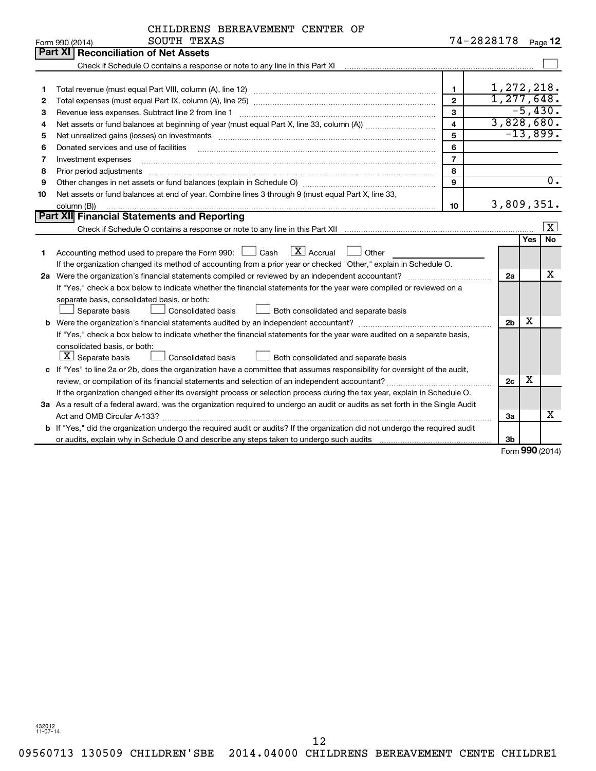| 74-2828178<br>Page 12<br>Form 990 (2014)<br>Part XI<br><b>Reconciliation of Net Assets</b><br>1,272,218.<br>$\mathbf{1}$<br>1<br>1, 277, 648.<br>$\overline{2}$<br>2<br>$-5,430.$<br>3<br>З<br>Revenue less expenses. Subtract line 2 from line 1<br>3,828,680.<br>$\overline{\mathbf{4}}$<br>4<br>$-13,899.$<br>5<br>Net unrealized gains (losses) on investments [11] matter contracts and the state of the state of the state of the state of the state of the state of the state of the state of the state of the state of the state of the stat<br>5<br>6<br>Donated services and use of facilities<br>6<br>$\overline{7}$<br>7<br>Investment expenses<br>8<br>8<br>Prior period adjustments<br>$\overline{0}$ .<br>9<br>9<br>Net assets or fund balances at end of year. Combine lines 3 through 9 (must equal Part X, line 33,<br>10<br>3,809,351.<br>10<br>column (B))<br>Part XII Financial Statements and Reporting<br>$\vert x \vert$<br>No<br><b>Yes</b><br>$\mathbf{X}$ Accrual<br>Accounting method used to prepare the Form 990: [130] Cash<br>Other<br>1<br>If the organization changed its method of accounting from a prior year or checked "Other," explain in Schedule O.<br>х<br>2a<br>If "Yes," check a box below to indicate whether the financial statements for the year were compiled or reviewed on a<br>separate basis, consolidated basis, or both:<br>Separate basis<br><b>Consolidated basis</b><br>Both consolidated and separate basis<br>x<br>2 <sub>b</sub><br>If "Yes," check a box below to indicate whether the financial statements for the year were audited on a separate basis,<br>consolidated basis, or both:<br>$\lfloor \underline{X} \rfloor$ Separate basis<br><b>Consolidated basis</b><br>Both consolidated and separate basis<br>c If "Yes" to line 2a or 2b, does the organization have a committee that assumes responsibility for oversight of the audit,<br>х<br>2c<br>If the organization changed either its oversight process or selection process during the tax year, explain in Schedule O.<br>3a As a result of a federal award, was the organization required to undergo an audit or audits as set forth in the Single Audit<br>x<br>За<br>b If "Yes," did the organization undergo the required audit or audits? If the organization did not undergo the required audit<br>3 <sub>b</sub> | CHILDRENS BEREAVEMENT CENTER OF |  |  |
|----------------------------------------------------------------------------------------------------------------------------------------------------------------------------------------------------------------------------------------------------------------------------------------------------------------------------------------------------------------------------------------------------------------------------------------------------------------------------------------------------------------------------------------------------------------------------------------------------------------------------------------------------------------------------------------------------------------------------------------------------------------------------------------------------------------------------------------------------------------------------------------------------------------------------------------------------------------------------------------------------------------------------------------------------------------------------------------------------------------------------------------------------------------------------------------------------------------------------------------------------------------------------------------------------------------------------------------------------------------------------------------------------------------------------------------------------------------------------------------------------------------------------------------------------------------------------------------------------------------------------------------------------------------------------------------------------------------------------------------------------------------------------------------------------------------------------------------------------------------------------------------------------------------------------------------------------------------------------------------------------------------------------------------------------------------------------------------------------------------------------------------------------------------------------------------------------------------------------------------------------------------------------------------------------------------------------------------------------------|---------------------------------|--|--|
|                                                                                                                                                                                                                                                                                                                                                                                                                                                                                                                                                                                                                                                                                                                                                                                                                                                                                                                                                                                                                                                                                                                                                                                                                                                                                                                                                                                                                                                                                                                                                                                                                                                                                                                                                                                                                                                                                                                                                                                                                                                                                                                                                                                                                                                                                                                                                          | SOUTH TEXAS                     |  |  |
|                                                                                                                                                                                                                                                                                                                                                                                                                                                                                                                                                                                                                                                                                                                                                                                                                                                                                                                                                                                                                                                                                                                                                                                                                                                                                                                                                                                                                                                                                                                                                                                                                                                                                                                                                                                                                                                                                                                                                                                                                                                                                                                                                                                                                                                                                                                                                          |                                 |  |  |
|                                                                                                                                                                                                                                                                                                                                                                                                                                                                                                                                                                                                                                                                                                                                                                                                                                                                                                                                                                                                                                                                                                                                                                                                                                                                                                                                                                                                                                                                                                                                                                                                                                                                                                                                                                                                                                                                                                                                                                                                                                                                                                                                                                                                                                                                                                                                                          |                                 |  |  |
|                                                                                                                                                                                                                                                                                                                                                                                                                                                                                                                                                                                                                                                                                                                                                                                                                                                                                                                                                                                                                                                                                                                                                                                                                                                                                                                                                                                                                                                                                                                                                                                                                                                                                                                                                                                                                                                                                                                                                                                                                                                                                                                                                                                                                                                                                                                                                          |                                 |  |  |
|                                                                                                                                                                                                                                                                                                                                                                                                                                                                                                                                                                                                                                                                                                                                                                                                                                                                                                                                                                                                                                                                                                                                                                                                                                                                                                                                                                                                                                                                                                                                                                                                                                                                                                                                                                                                                                                                                                                                                                                                                                                                                                                                                                                                                                                                                                                                                          |                                 |  |  |
|                                                                                                                                                                                                                                                                                                                                                                                                                                                                                                                                                                                                                                                                                                                                                                                                                                                                                                                                                                                                                                                                                                                                                                                                                                                                                                                                                                                                                                                                                                                                                                                                                                                                                                                                                                                                                                                                                                                                                                                                                                                                                                                                                                                                                                                                                                                                                          |                                 |  |  |
|                                                                                                                                                                                                                                                                                                                                                                                                                                                                                                                                                                                                                                                                                                                                                                                                                                                                                                                                                                                                                                                                                                                                                                                                                                                                                                                                                                                                                                                                                                                                                                                                                                                                                                                                                                                                                                                                                                                                                                                                                                                                                                                                                                                                                                                                                                                                                          |                                 |  |  |
|                                                                                                                                                                                                                                                                                                                                                                                                                                                                                                                                                                                                                                                                                                                                                                                                                                                                                                                                                                                                                                                                                                                                                                                                                                                                                                                                                                                                                                                                                                                                                                                                                                                                                                                                                                                                                                                                                                                                                                                                                                                                                                                                                                                                                                                                                                                                                          |                                 |  |  |
|                                                                                                                                                                                                                                                                                                                                                                                                                                                                                                                                                                                                                                                                                                                                                                                                                                                                                                                                                                                                                                                                                                                                                                                                                                                                                                                                                                                                                                                                                                                                                                                                                                                                                                                                                                                                                                                                                                                                                                                                                                                                                                                                                                                                                                                                                                                                                          |                                 |  |  |
|                                                                                                                                                                                                                                                                                                                                                                                                                                                                                                                                                                                                                                                                                                                                                                                                                                                                                                                                                                                                                                                                                                                                                                                                                                                                                                                                                                                                                                                                                                                                                                                                                                                                                                                                                                                                                                                                                                                                                                                                                                                                                                                                                                                                                                                                                                                                                          |                                 |  |  |
|                                                                                                                                                                                                                                                                                                                                                                                                                                                                                                                                                                                                                                                                                                                                                                                                                                                                                                                                                                                                                                                                                                                                                                                                                                                                                                                                                                                                                                                                                                                                                                                                                                                                                                                                                                                                                                                                                                                                                                                                                                                                                                                                                                                                                                                                                                                                                          |                                 |  |  |
|                                                                                                                                                                                                                                                                                                                                                                                                                                                                                                                                                                                                                                                                                                                                                                                                                                                                                                                                                                                                                                                                                                                                                                                                                                                                                                                                                                                                                                                                                                                                                                                                                                                                                                                                                                                                                                                                                                                                                                                                                                                                                                                                                                                                                                                                                                                                                          |                                 |  |  |
|                                                                                                                                                                                                                                                                                                                                                                                                                                                                                                                                                                                                                                                                                                                                                                                                                                                                                                                                                                                                                                                                                                                                                                                                                                                                                                                                                                                                                                                                                                                                                                                                                                                                                                                                                                                                                                                                                                                                                                                                                                                                                                                                                                                                                                                                                                                                                          |                                 |  |  |
|                                                                                                                                                                                                                                                                                                                                                                                                                                                                                                                                                                                                                                                                                                                                                                                                                                                                                                                                                                                                                                                                                                                                                                                                                                                                                                                                                                                                                                                                                                                                                                                                                                                                                                                                                                                                                                                                                                                                                                                                                                                                                                                                                                                                                                                                                                                                                          |                                 |  |  |
|                                                                                                                                                                                                                                                                                                                                                                                                                                                                                                                                                                                                                                                                                                                                                                                                                                                                                                                                                                                                                                                                                                                                                                                                                                                                                                                                                                                                                                                                                                                                                                                                                                                                                                                                                                                                                                                                                                                                                                                                                                                                                                                                                                                                                                                                                                                                                          |                                 |  |  |
|                                                                                                                                                                                                                                                                                                                                                                                                                                                                                                                                                                                                                                                                                                                                                                                                                                                                                                                                                                                                                                                                                                                                                                                                                                                                                                                                                                                                                                                                                                                                                                                                                                                                                                                                                                                                                                                                                                                                                                                                                                                                                                                                                                                                                                                                                                                                                          |                                 |  |  |
|                                                                                                                                                                                                                                                                                                                                                                                                                                                                                                                                                                                                                                                                                                                                                                                                                                                                                                                                                                                                                                                                                                                                                                                                                                                                                                                                                                                                                                                                                                                                                                                                                                                                                                                                                                                                                                                                                                                                                                                                                                                                                                                                                                                                                                                                                                                                                          |                                 |  |  |
|                                                                                                                                                                                                                                                                                                                                                                                                                                                                                                                                                                                                                                                                                                                                                                                                                                                                                                                                                                                                                                                                                                                                                                                                                                                                                                                                                                                                                                                                                                                                                                                                                                                                                                                                                                                                                                                                                                                                                                                                                                                                                                                                                                                                                                                                                                                                                          |                                 |  |  |
|                                                                                                                                                                                                                                                                                                                                                                                                                                                                                                                                                                                                                                                                                                                                                                                                                                                                                                                                                                                                                                                                                                                                                                                                                                                                                                                                                                                                                                                                                                                                                                                                                                                                                                                                                                                                                                                                                                                                                                                                                                                                                                                                                                                                                                                                                                                                                          |                                 |  |  |
|                                                                                                                                                                                                                                                                                                                                                                                                                                                                                                                                                                                                                                                                                                                                                                                                                                                                                                                                                                                                                                                                                                                                                                                                                                                                                                                                                                                                                                                                                                                                                                                                                                                                                                                                                                                                                                                                                                                                                                                                                                                                                                                                                                                                                                                                                                                                                          |                                 |  |  |
|                                                                                                                                                                                                                                                                                                                                                                                                                                                                                                                                                                                                                                                                                                                                                                                                                                                                                                                                                                                                                                                                                                                                                                                                                                                                                                                                                                                                                                                                                                                                                                                                                                                                                                                                                                                                                                                                                                                                                                                                                                                                                                                                                                                                                                                                                                                                                          |                                 |  |  |
|                                                                                                                                                                                                                                                                                                                                                                                                                                                                                                                                                                                                                                                                                                                                                                                                                                                                                                                                                                                                                                                                                                                                                                                                                                                                                                                                                                                                                                                                                                                                                                                                                                                                                                                                                                                                                                                                                                                                                                                                                                                                                                                                                                                                                                                                                                                                                          |                                 |  |  |
|                                                                                                                                                                                                                                                                                                                                                                                                                                                                                                                                                                                                                                                                                                                                                                                                                                                                                                                                                                                                                                                                                                                                                                                                                                                                                                                                                                                                                                                                                                                                                                                                                                                                                                                                                                                                                                                                                                                                                                                                                                                                                                                                                                                                                                                                                                                                                          |                                 |  |  |
|                                                                                                                                                                                                                                                                                                                                                                                                                                                                                                                                                                                                                                                                                                                                                                                                                                                                                                                                                                                                                                                                                                                                                                                                                                                                                                                                                                                                                                                                                                                                                                                                                                                                                                                                                                                                                                                                                                                                                                                                                                                                                                                                                                                                                                                                                                                                                          |                                 |  |  |
|                                                                                                                                                                                                                                                                                                                                                                                                                                                                                                                                                                                                                                                                                                                                                                                                                                                                                                                                                                                                                                                                                                                                                                                                                                                                                                                                                                                                                                                                                                                                                                                                                                                                                                                                                                                                                                                                                                                                                                                                                                                                                                                                                                                                                                                                                                                                                          |                                 |  |  |
|                                                                                                                                                                                                                                                                                                                                                                                                                                                                                                                                                                                                                                                                                                                                                                                                                                                                                                                                                                                                                                                                                                                                                                                                                                                                                                                                                                                                                                                                                                                                                                                                                                                                                                                                                                                                                                                                                                                                                                                                                                                                                                                                                                                                                                                                                                                                                          |                                 |  |  |
|                                                                                                                                                                                                                                                                                                                                                                                                                                                                                                                                                                                                                                                                                                                                                                                                                                                                                                                                                                                                                                                                                                                                                                                                                                                                                                                                                                                                                                                                                                                                                                                                                                                                                                                                                                                                                                                                                                                                                                                                                                                                                                                                                                                                                                                                                                                                                          |                                 |  |  |
|                                                                                                                                                                                                                                                                                                                                                                                                                                                                                                                                                                                                                                                                                                                                                                                                                                                                                                                                                                                                                                                                                                                                                                                                                                                                                                                                                                                                                                                                                                                                                                                                                                                                                                                                                                                                                                                                                                                                                                                                                                                                                                                                                                                                                                                                                                                                                          |                                 |  |  |
|                                                                                                                                                                                                                                                                                                                                                                                                                                                                                                                                                                                                                                                                                                                                                                                                                                                                                                                                                                                                                                                                                                                                                                                                                                                                                                                                                                                                                                                                                                                                                                                                                                                                                                                                                                                                                                                                                                                                                                                                                                                                                                                                                                                                                                                                                                                                                          |                                 |  |  |
|                                                                                                                                                                                                                                                                                                                                                                                                                                                                                                                                                                                                                                                                                                                                                                                                                                                                                                                                                                                                                                                                                                                                                                                                                                                                                                                                                                                                                                                                                                                                                                                                                                                                                                                                                                                                                                                                                                                                                                                                                                                                                                                                                                                                                                                                                                                                                          |                                 |  |  |
|                                                                                                                                                                                                                                                                                                                                                                                                                                                                                                                                                                                                                                                                                                                                                                                                                                                                                                                                                                                                                                                                                                                                                                                                                                                                                                                                                                                                                                                                                                                                                                                                                                                                                                                                                                                                                                                                                                                                                                                                                                                                                                                                                                                                                                                                                                                                                          |                                 |  |  |
|                                                                                                                                                                                                                                                                                                                                                                                                                                                                                                                                                                                                                                                                                                                                                                                                                                                                                                                                                                                                                                                                                                                                                                                                                                                                                                                                                                                                                                                                                                                                                                                                                                                                                                                                                                                                                                                                                                                                                                                                                                                                                                                                                                                                                                                                                                                                                          |                                 |  |  |
|                                                                                                                                                                                                                                                                                                                                                                                                                                                                                                                                                                                                                                                                                                                                                                                                                                                                                                                                                                                                                                                                                                                                                                                                                                                                                                                                                                                                                                                                                                                                                                                                                                                                                                                                                                                                                                                                                                                                                                                                                                                                                                                                                                                                                                                                                                                                                          |                                 |  |  |
|                                                                                                                                                                                                                                                                                                                                                                                                                                                                                                                                                                                                                                                                                                                                                                                                                                                                                                                                                                                                                                                                                                                                                                                                                                                                                                                                                                                                                                                                                                                                                                                                                                                                                                                                                                                                                                                                                                                                                                                                                                                                                                                                                                                                                                                                                                                                                          |                                 |  |  |
|                                                                                                                                                                                                                                                                                                                                                                                                                                                                                                                                                                                                                                                                                                                                                                                                                                                                                                                                                                                                                                                                                                                                                                                                                                                                                                                                                                                                                                                                                                                                                                                                                                                                                                                                                                                                                                                                                                                                                                                                                                                                                                                                                                                                                                                                                                                                                          |                                 |  |  |

Form (2014) **990**

432012 11-07-14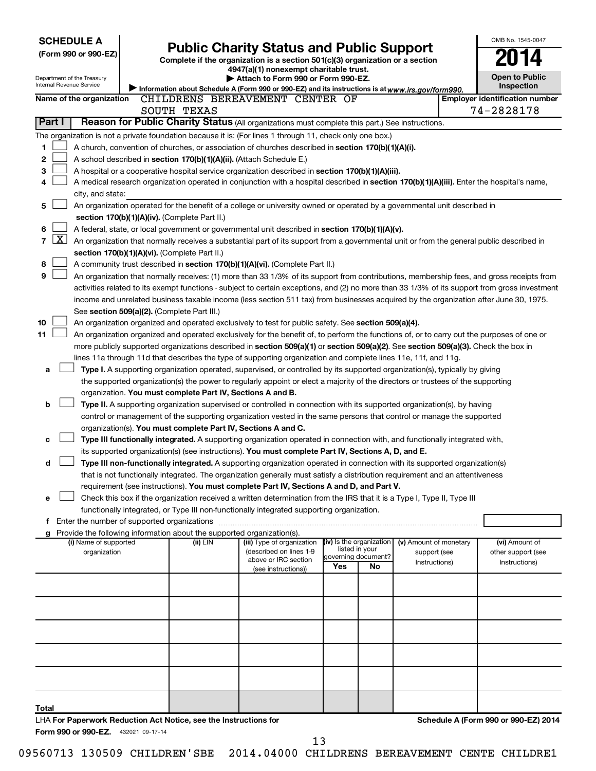| <b>SCHEDULE A</b> |                     |                                     |  |                                                                          |                                                                                                                                               |                                            |                     |                        | OMB No. 1545-0047 |                                       |
|-------------------|---------------------|-------------------------------------|--|--------------------------------------------------------------------------|-----------------------------------------------------------------------------------------------------------------------------------------------|--------------------------------------------|---------------------|------------------------|-------------------|---------------------------------------|
|                   |                     | (Form 990 or 990-EZ)                |  |                                                                          | <b>Public Charity Status and Public Support</b>                                                                                               |                                            |                     |                        |                   |                                       |
|                   |                     |                                     |  |                                                                          | Complete if the organization is a section 501(c)(3) organization or a section<br>4947(a)(1) nonexempt charitable trust.                       |                                            |                     |                        |                   |                                       |
|                   |                     | Department of the Treasury          |  |                                                                          | Attach to Form 990 or Form 990-EZ.                                                                                                            |                                            |                     |                        |                   | <b>Open to Public</b>                 |
|                   |                     | Internal Revenue Service            |  |                                                                          | Information about Schedule A (Form 990 or 990-EZ) and its instructions is at www.irs.gov/form990.                                             |                                            |                     |                        |                   | <b>Inspection</b>                     |
|                   |                     | Name of the organization            |  |                                                                          | CHILDRENS BEREAVEMENT CENTER OF                                                                                                               |                                            |                     |                        |                   | <b>Employer identification number</b> |
|                   |                     |                                     |  | SOUTH TEXAS                                                              |                                                                                                                                               |                                            |                     |                        |                   | 74-2828178                            |
|                   | Part I              |                                     |  |                                                                          | Reason for Public Charity Status (All organizations must complete this part.) See instructions.                                               |                                            |                     |                        |                   |                                       |
|                   |                     |                                     |  |                                                                          | The organization is not a private foundation because it is: (For lines 1 through 11, check only one box.)                                     |                                            |                     |                        |                   |                                       |
| 1                 |                     |                                     |  |                                                                          | A church, convention of churches, or association of churches described in section 170(b)(1)(A)(i).                                            |                                            |                     |                        |                   |                                       |
| 2                 |                     |                                     |  |                                                                          | A school described in section 170(b)(1)(A)(ii). (Attach Schedule E.)                                                                          |                                            |                     |                        |                   |                                       |
| 3                 |                     |                                     |  |                                                                          | A hospital or a cooperative hospital service organization described in section 170(b)(1)(A)(iii).                                             |                                            |                     |                        |                   |                                       |
| 4                 |                     |                                     |  |                                                                          | A medical research organization operated in conjunction with a hospital described in section 170(b)(1)(A)(iii). Enter the hospital's name,    |                                            |                     |                        |                   |                                       |
|                   |                     | city, and state:                    |  |                                                                          |                                                                                                                                               |                                            |                     |                        |                   |                                       |
| 5                 |                     |                                     |  |                                                                          | An organization operated for the benefit of a college or university owned or operated by a governmental unit described in                     |                                            |                     |                        |                   |                                       |
|                   |                     |                                     |  | section 170(b)(1)(A)(iv). (Complete Part II.)                            |                                                                                                                                               |                                            |                     |                        |                   |                                       |
| 6                 |                     |                                     |  |                                                                          | A federal, state, or local government or governmental unit described in section 170(b)(1)(A)(v).                                              |                                            |                     |                        |                   |                                       |
| $\overline{7}$    | $\lfloor x \rfloor$ |                                     |  |                                                                          | An organization that normally receives a substantial part of its support from a governmental unit or from the general public described in     |                                            |                     |                        |                   |                                       |
|                   |                     |                                     |  | section 170(b)(1)(A)(vi). (Complete Part II.)                            |                                                                                                                                               |                                            |                     |                        |                   |                                       |
| 8                 |                     |                                     |  |                                                                          | A community trust described in section 170(b)(1)(A)(vi). (Complete Part II.)                                                                  |                                            |                     |                        |                   |                                       |
| 9                 |                     |                                     |  |                                                                          | An organization that normally receives: (1) more than 33 1/3% of its support from contributions, membership fees, and gross receipts from     |                                            |                     |                        |                   |                                       |
|                   |                     |                                     |  |                                                                          | activities related to its exempt functions - subject to certain exceptions, and (2) no more than 33 1/3% of its support from gross investment |                                            |                     |                        |                   |                                       |
|                   |                     |                                     |  |                                                                          | income and unrelated business taxable income (less section 511 tax) from businesses acquired by the organization after June 30, 1975.         |                                            |                     |                        |                   |                                       |
|                   |                     |                                     |  | See section 509(a)(2). (Complete Part III.)                              |                                                                                                                                               |                                            |                     |                        |                   |                                       |
| 10                |                     |                                     |  |                                                                          | An organization organized and operated exclusively to test for public safety. See section 509(a)(4).                                          |                                            |                     |                        |                   |                                       |
| 11                |                     |                                     |  |                                                                          | An organization organized and operated exclusively for the benefit of, to perform the functions of, or to carry out the purposes of one or    |                                            |                     |                        |                   |                                       |
|                   |                     |                                     |  |                                                                          | more publicly supported organizations described in section 509(a)(1) or section 509(a)(2). See section 509(a)(3). Check the box in            |                                            |                     |                        |                   |                                       |
|                   |                     |                                     |  |                                                                          | lines 11a through 11d that describes the type of supporting organization and complete lines 11e, 11f, and 11g.                                |                                            |                     |                        |                   |                                       |
| а                 |                     |                                     |  |                                                                          | Type I. A supporting organization operated, supervised, or controlled by its supported organization(s), typically by giving                   |                                            |                     |                        |                   |                                       |
|                   |                     |                                     |  |                                                                          | the supported organization(s) the power to regularly appoint or elect a majority of the directors or trustees of the supporting               |                                            |                     |                        |                   |                                       |
|                   |                     |                                     |  | organization. You must complete Part IV, Sections A and B.               |                                                                                                                                               |                                            |                     |                        |                   |                                       |
| b                 |                     |                                     |  |                                                                          | Type II. A supporting organization supervised or controlled in connection with its supported organization(s), by having                       |                                            |                     |                        |                   |                                       |
|                   |                     |                                     |  |                                                                          | control or management of the supporting organization vested in the same persons that control or manage the supported                          |                                            |                     |                        |                   |                                       |
|                   |                     |                                     |  | organization(s). You must complete Part IV, Sections A and C.            |                                                                                                                                               |                                            |                     |                        |                   |                                       |
| с                 |                     |                                     |  |                                                                          | Type III functionally integrated. A supporting organization operated in connection with, and functionally integrated with,                    |                                            |                     |                        |                   |                                       |
|                   |                     |                                     |  |                                                                          | its supported organization(s) (see instructions). You must complete Part IV, Sections A, D, and E.                                            |                                            |                     |                        |                   |                                       |
| d                 |                     |                                     |  |                                                                          | Type III non-functionally integrated. A supporting organization operated in connection with its supported organization(s)                     |                                            |                     |                        |                   |                                       |
|                   |                     |                                     |  |                                                                          | that is not functionally integrated. The organization generally must satisfy a distribution requirement and an attentiveness                  |                                            |                     |                        |                   |                                       |
|                   |                     |                                     |  |                                                                          | requirement (see instructions). You must complete Part IV, Sections A and D, and Part V.                                                      |                                            |                     |                        |                   |                                       |
| е                 |                     |                                     |  |                                                                          | Check this box if the organization received a written determination from the IRS that it is a Type I, Type II, Type III                       |                                            |                     |                        |                   |                                       |
|                   |                     |                                     |  |                                                                          | functionally integrated, or Type III non-functionally integrated supporting organization.                                                     |                                            |                     |                        |                   |                                       |
|                   |                     |                                     |  |                                                                          |                                                                                                                                               |                                            |                     |                        |                   |                                       |
|                   |                     |                                     |  | g Provide the following information about the supported organization(s). |                                                                                                                                               |                                            |                     |                        |                   |                                       |
|                   |                     | (i) Name of supported               |  | (ii) EIN                                                                 | (iii) Type of organization                                                                                                                    | (iv) Is the organization<br>listed in your |                     | (v) Amount of monetary |                   | (vi) Amount of                        |
|                   |                     | organization                        |  |                                                                          | (described on lines 1-9<br>above or IRC section                                                                                               |                                            | governing document? | support (see           |                   | other support (see                    |
|                   |                     |                                     |  |                                                                          | (see instructions))                                                                                                                           | Yes                                        | No                  | Instructions)          |                   | Instructions)                         |
|                   |                     |                                     |  |                                                                          |                                                                                                                                               |                                            |                     |                        |                   |                                       |
|                   |                     |                                     |  |                                                                          |                                                                                                                                               |                                            |                     |                        |                   |                                       |
|                   |                     |                                     |  |                                                                          |                                                                                                                                               |                                            |                     |                        |                   |                                       |
|                   |                     |                                     |  |                                                                          |                                                                                                                                               |                                            |                     |                        |                   |                                       |
|                   |                     |                                     |  |                                                                          |                                                                                                                                               |                                            |                     |                        |                   |                                       |
|                   |                     |                                     |  |                                                                          |                                                                                                                                               |                                            |                     |                        |                   |                                       |
|                   |                     |                                     |  |                                                                          |                                                                                                                                               |                                            |                     |                        |                   |                                       |
|                   |                     |                                     |  |                                                                          |                                                                                                                                               |                                            |                     |                        |                   |                                       |
|                   |                     |                                     |  |                                                                          |                                                                                                                                               |                                            |                     |                        |                   |                                       |
|                   |                     |                                     |  |                                                                          |                                                                                                                                               |                                            |                     |                        |                   |                                       |
|                   |                     |                                     |  |                                                                          |                                                                                                                                               |                                            |                     |                        |                   |                                       |
| Total             |                     |                                     |  |                                                                          |                                                                                                                                               |                                            |                     |                        |                   |                                       |
|                   |                     |                                     |  | LHA For Paperwork Reduction Act Notice, see the Instructions for         |                                                                                                                                               |                                            |                     |                        |                   | Schedule A (Form 990 or 990-EZ) 2014  |
|                   |                     | Form 990 or 990-EZ. 432021 09-17-14 |  |                                                                          |                                                                                                                                               |                                            |                     |                        |                   |                                       |
|                   |                     |                                     |  |                                                                          | 13                                                                                                                                            |                                            |                     |                        |                   |                                       |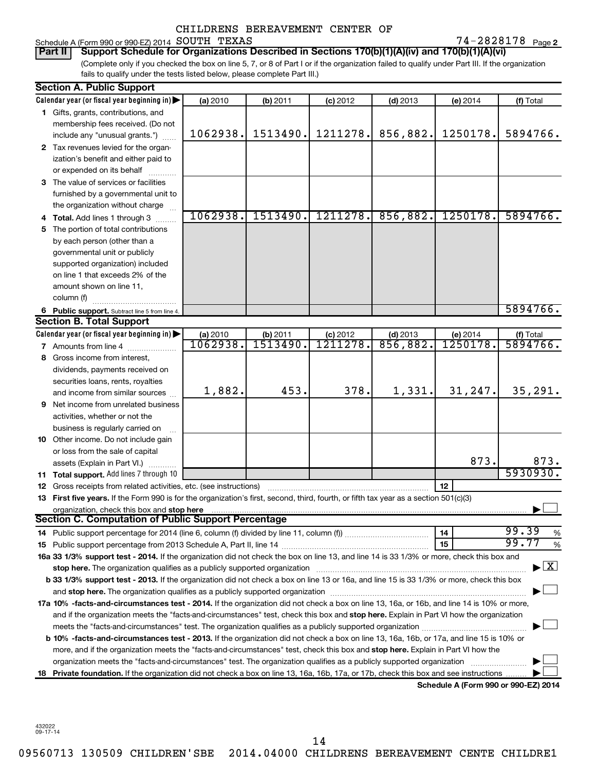### Schedule A (Form 990 or 990-EZ) 2014 Page SOUTH TEXAS 74-2828178

74-2828178 Page 2

(Complete only if you checked the box on line 5, 7, or 8 of Part I or if the organization failed to qualify under Part III. If the organization fails to qualify under the tests listed below, please complete Part III.) **Part II Support Schedule for Organizations Described in Sections 170(b)(1)(A)(iv) and 170(b)(1)(A)(vi)**

|    | <b>Section A. Public Support</b>                                                                                                                                                                                               |                      |                      |                             |                        |                                      |                                    |
|----|--------------------------------------------------------------------------------------------------------------------------------------------------------------------------------------------------------------------------------|----------------------|----------------------|-----------------------------|------------------------|--------------------------------------|------------------------------------|
|    | Calendar year (or fiscal year beginning in)                                                                                                                                                                                    | (a) 2010             | (b) 2011             | $(c)$ 2012                  | $(d)$ 2013             | $(e)$ 2014                           | (f) Total                          |
|    | 1 Gifts, grants, contributions, and                                                                                                                                                                                            |                      |                      |                             |                        |                                      |                                    |
|    | membership fees received. (Do not                                                                                                                                                                                              |                      |                      |                             |                        |                                      |                                    |
|    | include any "unusual grants.")                                                                                                                                                                                                 | 1062938.             | 1513490.             | 1211278.                    | 856,882.               | 1250178.                             | 5894766.                           |
|    | 2 Tax revenues levied for the organ-                                                                                                                                                                                           |                      |                      |                             |                        |                                      |                                    |
|    | ization's benefit and either paid to                                                                                                                                                                                           |                      |                      |                             |                        |                                      |                                    |
|    | or expended on its behalf                                                                                                                                                                                                      |                      |                      |                             |                        |                                      |                                    |
|    | 3 The value of services or facilities                                                                                                                                                                                          |                      |                      |                             |                        |                                      |                                    |
|    | furnished by a governmental unit to                                                                                                                                                                                            |                      |                      |                             |                        |                                      |                                    |
|    | the organization without charge                                                                                                                                                                                                |                      |                      |                             |                        |                                      |                                    |
|    | 4 Total. Add lines 1 through 3                                                                                                                                                                                                 | 1062938.             | 1513490.             | 1211278.                    | 856,882.               | 1250178.                             | 5894766.                           |
| 5. | The portion of total contributions                                                                                                                                                                                             |                      |                      |                             |                        |                                      |                                    |
|    | by each person (other than a                                                                                                                                                                                                   |                      |                      |                             |                        |                                      |                                    |
|    | governmental unit or publicly                                                                                                                                                                                                  |                      |                      |                             |                        |                                      |                                    |
|    | supported organization) included                                                                                                                                                                                               |                      |                      |                             |                        |                                      |                                    |
|    | on line 1 that exceeds 2% of the                                                                                                                                                                                               |                      |                      |                             |                        |                                      |                                    |
|    | amount shown on line 11,                                                                                                                                                                                                       |                      |                      |                             |                        |                                      |                                    |
|    |                                                                                                                                                                                                                                |                      |                      |                             |                        |                                      |                                    |
|    | column (f)                                                                                                                                                                                                                     |                      |                      |                             |                        |                                      | 5894766.                           |
|    | 6 Public support. Subtract line 5 from line 4.<br><b>Section B. Total Support</b>                                                                                                                                              |                      |                      |                             |                        |                                      |                                    |
|    |                                                                                                                                                                                                                                |                      |                      |                             |                        |                                      |                                    |
|    | Calendar year (or fiscal year beginning in) $\blacktriangleright$                                                                                                                                                              | (a) 2010<br>1062938. | (b) 2011<br>IŠÍ3490. | (c) 2012<br><u>1211278.</u> | $(d)$ 2013<br>856,882. | (e) 2014<br>1250178.                 | (f) Total<br>5894766.              |
|    | <b>7</b> Amounts from line 4                                                                                                                                                                                                   |                      |                      |                             |                        |                                      |                                    |
| 8  | Gross income from interest,                                                                                                                                                                                                    |                      |                      |                             |                        |                                      |                                    |
|    | dividends, payments received on                                                                                                                                                                                                |                      |                      |                             |                        |                                      |                                    |
|    | securities loans, rents, royalties                                                                                                                                                                                             |                      |                      |                             |                        |                                      |                                    |
|    | and income from similar sources                                                                                                                                                                                                | 1,882.               | 453.                 | 378.                        | 1,331.                 | 31,247.                              | 35, 291.                           |
|    | <b>9</b> Net income from unrelated business                                                                                                                                                                                    |                      |                      |                             |                        |                                      |                                    |
|    | activities, whether or not the                                                                                                                                                                                                 |                      |                      |                             |                        |                                      |                                    |
|    | business is regularly carried on                                                                                                                                                                                               |                      |                      |                             |                        |                                      |                                    |
|    | 10 Other income. Do not include gain                                                                                                                                                                                           |                      |                      |                             |                        |                                      |                                    |
|    | or loss from the sale of capital                                                                                                                                                                                               |                      |                      |                             |                        |                                      |                                    |
|    | assets (Explain in Part VI.)                                                                                                                                                                                                   |                      |                      |                             |                        | 873.                                 | 873.                               |
|    | 11 Total support. Add lines 7 through 10                                                                                                                                                                                       |                      |                      |                             |                        |                                      | 5930930.                           |
|    | 12 Gross receipts from related activities, etc. (see instructions)                                                                                                                                                             |                      |                      |                             |                        | 12                                   |                                    |
|    | 13 First five years. If the Form 990 is for the organization's first, second, third, fourth, or fifth tax year as a section 501(c)(3)                                                                                          |                      |                      |                             |                        |                                      |                                    |
|    | organization, check this box and stop here                                                                                                                                                                                     |                      |                      |                             |                        |                                      |                                    |
|    | Section C. Computation of Public Support Percentage                                                                                                                                                                            |                      |                      |                             |                        |                                      |                                    |
|    |                                                                                                                                                                                                                                |                      |                      |                             |                        | 14                                   | 99.39<br>%                         |
|    |                                                                                                                                                                                                                                |                      |                      |                             |                        | 15                                   | 99.77<br>%                         |
|    | 16a 33 1/3% support test - 2014. If the organization did not check the box on line 13, and line 14 is 33 1/3% or more, check this box and                                                                                      |                      |                      |                             |                        |                                      |                                    |
|    | stop here. The organization qualifies as a publicly supported organization manufactured content and the content of the state of the state of the state of the state of the state of the state of the state of the state of the |                      |                      |                             |                        |                                      | $\blacktriangleright$ $\mathbf{X}$ |
|    | b 33 1/3% support test - 2013. If the organization did not check a box on line 13 or 16a, and line 15 is 33 1/3% or more, check this box                                                                                       |                      |                      |                             |                        |                                      |                                    |
|    |                                                                                                                                                                                                                                |                      |                      |                             |                        |                                      |                                    |
|    | 17a 10% -facts-and-circumstances test - 2014. If the organization did not check a box on line 13, 16a, or 16b, and line 14 is 10% or more,                                                                                     |                      |                      |                             |                        |                                      |                                    |
|    | and if the organization meets the "facts-and-circumstances" test, check this box and stop here. Explain in Part VI how the organization                                                                                        |                      |                      |                             |                        |                                      |                                    |
|    |                                                                                                                                                                                                                                |                      |                      |                             |                        |                                      |                                    |
|    | b 10% -facts-and-circumstances test - 2013. If the organization did not check a box on line 13, 16a, 16b, or 17a, and line 15 is 10% or                                                                                        |                      |                      |                             |                        |                                      |                                    |
|    | more, and if the organization meets the "facts-and-circumstances" test, check this box and stop here. Explain in Part VI how the                                                                                               |                      |                      |                             |                        |                                      |                                    |
|    |                                                                                                                                                                                                                                |                      |                      |                             |                        |                                      |                                    |
|    | organization meets the "facts-and-circumstances" test. The organization qualifies as a publicly supported organization                                                                                                         |                      |                      |                             |                        |                                      |                                    |
|    | 18 Private foundation. If the organization did not check a box on line 13, 16a, 16b, 17a, or 17b, check this box and see instructions.                                                                                         |                      |                      |                             |                        | Schodule A (Form 000 or 000 F7) 2014 |                                    |

**Schedule A (Form 990 or 990-EZ) 2014**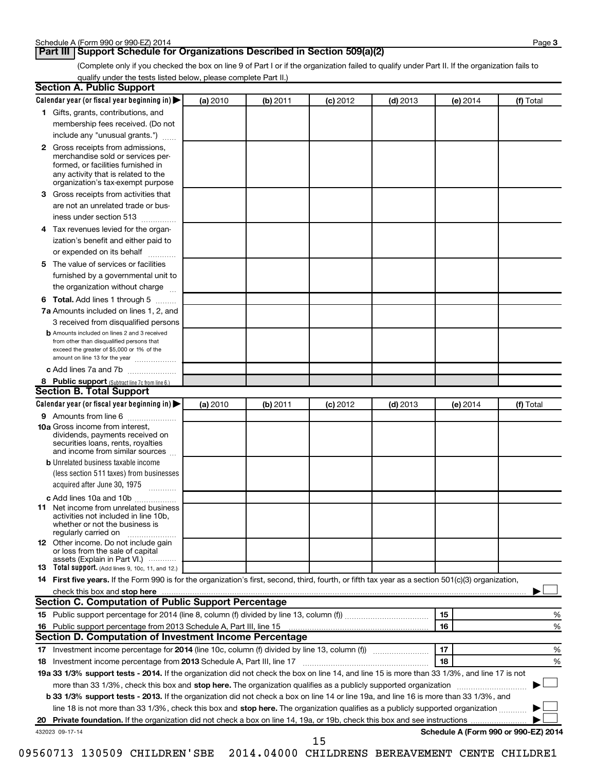### **Part III Support Schedule for Organizations Described in Section 509(a)(2)**

(Complete only if you checked the box on line 9 of Part I or if the organization failed to qualify under Part II. If the organization fails to qualify under the tests listed below, please complete Part II.)

| <b>Section A. Public Support</b>                                                                                                                                                                                         |          |          |            |            |          |                                      |
|--------------------------------------------------------------------------------------------------------------------------------------------------------------------------------------------------------------------------|----------|----------|------------|------------|----------|--------------------------------------|
| Calendar year (or fiscal year beginning in)                                                                                                                                                                              | (a) 2010 | (b) 2011 | $(c)$ 2012 | $(d)$ 2013 | (e) 2014 | (f) Total                            |
| 1 Gifts, grants, contributions, and                                                                                                                                                                                      |          |          |            |            |          |                                      |
| membership fees received. (Do not                                                                                                                                                                                        |          |          |            |            |          |                                      |
| include any "unusual grants.")                                                                                                                                                                                           |          |          |            |            |          |                                      |
| 2 Gross receipts from admissions,<br>merchandise sold or services per-<br>formed, or facilities furnished in<br>any activity that is related to the                                                                      |          |          |            |            |          |                                      |
| organization's tax-exempt purpose<br>3 Gross receipts from activities that                                                                                                                                               |          |          |            |            |          |                                      |
| are not an unrelated trade or bus-                                                                                                                                                                                       |          |          |            |            |          |                                      |
| iness under section 513                                                                                                                                                                                                  |          |          |            |            |          |                                      |
|                                                                                                                                                                                                                          |          |          |            |            |          |                                      |
| 4 Tax revenues levied for the organ-                                                                                                                                                                                     |          |          |            |            |          |                                      |
| ization's benefit and either paid to                                                                                                                                                                                     |          |          |            |            |          |                                      |
| or expended on its behalf<br>.                                                                                                                                                                                           |          |          |            |            |          |                                      |
| 5 The value of services or facilities                                                                                                                                                                                    |          |          |            |            |          |                                      |
| furnished by a governmental unit to                                                                                                                                                                                      |          |          |            |            |          |                                      |
| the organization without charge                                                                                                                                                                                          |          |          |            |            |          |                                      |
| 6 Total. Add lines 1 through 5                                                                                                                                                                                           |          |          |            |            |          |                                      |
| 7a Amounts included on lines 1, 2, and                                                                                                                                                                                   |          |          |            |            |          |                                      |
| 3 received from disqualified persons<br><b>b</b> Amounts included on lines 2 and 3 received<br>from other than disqualified persons that<br>exceed the greater of \$5,000 or 1% of the<br>amount on line 13 for the year |          |          |            |            |          |                                      |
| c Add lines 7a and 7b                                                                                                                                                                                                    |          |          |            |            |          |                                      |
| 8 Public support (Subtract line 7c from line 6.)                                                                                                                                                                         |          |          |            |            |          |                                      |
| <b>Section B. Total Support</b>                                                                                                                                                                                          |          |          |            |            |          |                                      |
| Calendar year (or fiscal year beginning in)                                                                                                                                                                              | (a) 2010 | (b) 2011 | $(c)$ 2012 | $(d)$ 2013 | (e) 2014 | (f) Total                            |
| 9 Amounts from line 6                                                                                                                                                                                                    |          |          |            |            |          |                                      |
| <b>10a</b> Gross income from interest,<br>dividends, payments received on<br>securities loans, rents, royalties<br>and income from similar sources                                                                       |          |          |            |            |          |                                      |
| <b>b</b> Unrelated business taxable income                                                                                                                                                                               |          |          |            |            |          |                                      |
| (less section 511 taxes) from businesses                                                                                                                                                                                 |          |          |            |            |          |                                      |
| acquired after June 30, 1975<br>$\overline{\phantom{a}}$                                                                                                                                                                 |          |          |            |            |          |                                      |
| c Add lines 10a and 10b                                                                                                                                                                                                  |          |          |            |            |          |                                      |
| <b>11</b> Net income from unrelated business<br>activities not included in line 10b.<br>whether or not the business is<br>regularly carried on                                                                           |          |          |            |            |          |                                      |
| 12 Other income. Do not include gain<br>or loss from the sale of capital<br>assets (Explain in Part VI.)                                                                                                                 |          |          |            |            |          |                                      |
| <b>13</b> Total support. (Add lines 9, 10c, 11, and 12.)                                                                                                                                                                 |          |          |            |            |          |                                      |
| 14 First five years. If the Form 990 is for the organization's first, second, third, fourth, or fifth tax year as a section 501(c)(3) organization,                                                                      |          |          |            |            |          |                                      |
| check this box and stop here                                                                                                                                                                                             |          |          |            |            |          |                                      |
| <b>Section C. Computation of Public Support Percentage</b>                                                                                                                                                               |          |          |            |            |          |                                      |
|                                                                                                                                                                                                                          |          |          |            |            | 15       | %                                    |
|                                                                                                                                                                                                                          |          |          |            |            | 16       | %                                    |
| Section D. Computation of Investment Income Percentage                                                                                                                                                                   |          |          |            |            |          |                                      |
|                                                                                                                                                                                                                          |          |          |            |            | 17       | %                                    |
| 18 Investment income percentage from 2013 Schedule A, Part III, line 17                                                                                                                                                  |          |          |            |            | 18       | %                                    |
| 19a 33 1/3% support tests - 2014. If the organization did not check the box on line 14, and line 15 is more than 33 1/3%, and line 17 is not                                                                             |          |          |            |            |          |                                      |
| more than 33 1/3%, check this box and stop here. The organization qualifies as a publicly supported organization                                                                                                         |          |          |            |            |          |                                      |
| b 33 1/3% support tests - 2013. If the organization did not check a box on line 14 or line 19a, and line 16 is more than 33 1/3%, and                                                                                    |          |          |            |            |          |                                      |
| line 18 is not more than 33 1/3%, check this box and stop here. The organization qualifies as a publicly supported organization <i></i>                                                                                  |          |          |            |            |          |                                      |
|                                                                                                                                                                                                                          |          |          |            |            |          |                                      |
| 432023 09-17-14                                                                                                                                                                                                          |          |          | 15         |            |          | Schedule A (Form 990 or 990-EZ) 2014 |
|                                                                                                                                                                                                                          |          |          |            |            |          |                                      |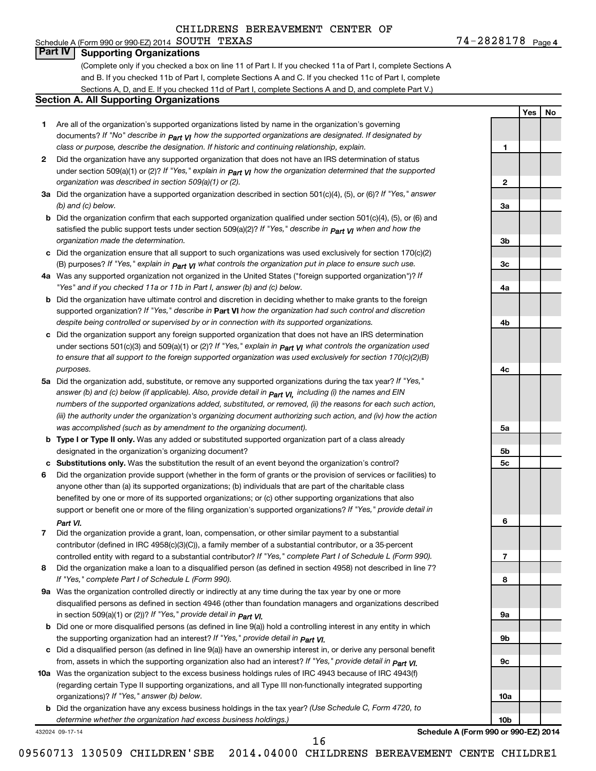### Schedule A (Form 990 or 990-EZ) 2014 Page SOUTH TEXAS 74-2828178 **Part IV Supporting Organizations**

(Complete only if you checked a box on line 11 of Part I. If you checked 11a of Part I, complete Sections A and B. If you checked 11b of Part I, complete Sections A and C. If you checked 11c of Part I, complete Sections A, D, and E. If you checked 11d of Part I, complete Sections A and D, and complete Part V.)

#### **Section A. All Supporting Organizations**

- **1** Are all of the organization's supported organizations listed by name in the organization's governing documents? If "No" describe in  $_{\mathsf{Part}}$   $_{\mathsf{V}}$  how the supported organizations are designated. If designated by *class or purpose, describe the designation. If historic and continuing relationship, explain.*
- **2** Did the organization have any supported organization that does not have an IRS determination of status under section 509(a)(1) or (2)? If "Yes," explain in  $_{\sf Part}$   $_{\sf VI}$  how the organization determined that the supported *organization was described in section 509(a)(1) or (2).*
- **3a** Did the organization have a supported organization described in section 501(c)(4), (5), or (6)? If "Yes," answer *(b) and (c) below.*
- **b** Did the organization confirm that each supported organization qualified under section 501(c)(4), (5), or (6) and satisfied the public support tests under section 509(a)(2)? If "Yes," describe in  $_{\rm Part}$   $_{\rm VI}$  when and how the *organization made the determination.*
- **c** Did the organization ensure that all support to such organizations was used exclusively for section 170(c)(2) (B) purposes? If "Yes," explain in  $_{\mathsf{Part}}$   $_{\mathsf{V}}$  what controls the organization put in place to ensure such use.
- **4 a** *If* Was any supported organization not organized in the United States ("foreign supported organization")? *"Yes" and if you checked 11a or 11b in Part I, answer (b) and (c) below.*
- **b** Did the organization have ultimate control and discretion in deciding whether to make grants to the foreign supported organization? If "Yes," describe in Part VI how the organization had such control and discretion *despite being controlled or supervised by or in connection with its supported organizations.*
- **c** Did the organization support any foreign supported organization that does not have an IRS determination under sections 501(c)(3) and 509(a)(1) or (2)? If "Yes," ex*plain in*  $_{\sf Part}$  *v*J what controls the organization used *to ensure that all support to the foreign supported organization was used exclusively for section 170(c)(2)(B) purposes.*
- **5a** Did the organization add, substitute, or remove any supported organizations during the tax year? If "Yes," answer (b) and (c) below (if applicable). Also, provide detail in  $_{\mathsf{Part}}$   $_{\mathsf{V{\mathsf{I}}}}$ , including (i) the names and EIN *numbers of the supported organizations added, substituted, or removed, (ii) the reasons for each such action, (iii) the authority under the organization's organizing document authorizing such action, and (iv) how the action was accomplished (such as by amendment to the organizing document).*
- **b** Type I or Type II only. Was any added or substituted supported organization part of a class already designated in the organization's organizing document?
- **c Substitutions only.**  Was the substitution the result of an event beyond the organization's control?
- **6** Did the organization provide support (whether in the form of grants or the provision of services or facilities) to support or benefit one or more of the filing organization's supported organizations? If "Yes," provide detail in anyone other than (a) its supported organizations; (b) individuals that are part of the charitable class benefited by one or more of its supported organizations; or (c) other supporting organizations that also *Part VI.*
- **7** Did the organization provide a grant, loan, compensation, or other similar payment to a substantial controlled entity with regard to a substantial contributor? If "Yes," complete Part I of Schedule L (Form 990). contributor (defined in IRC 4958(c)(3)(C)), a family member of a substantial contributor, or a 35-percent
- **8** Did the organization make a loan to a disqualified person (as defined in section 4958) not described in line 7? *If "Yes," complete Part I of Schedule L (Form 990).*
- **9 a** Was the organization controlled directly or indirectly at any time during the tax year by one or more *If "Yes," provide detail in*  in section 509(a)(1) or (2))? *Part VI.* disqualified persons as defined in section 4946 (other than foundation managers and organizations described
- **b** Did one or more disqualified persons (as defined in line 9(a)) hold a controlling interest in any entity in which  *If "Yes," provide detail in*  the supporting organization had an interest? *Part VI.*
- **c** Did a disqualified person (as defined in line 9(a)) have an ownership interest in, or derive any personal benefit from, assets in which the supporting organization also had an interest? If "Yes," *provide detail in Part VI.*
- **10 a** Was the organization subject to the excess business holdings rules of IRC 4943 because of IRC 4943(f)  *If "Yes," answer (b) below.* organizations)? (regarding certain Type II supporting organizations, and all Type III non-functionally integrated supporting
- **b** Did the organization have any excess business holdings in the tax year? (Use Schedule C, Form 4720, to *determine whether the organization had excess business holdings.)*

432024 09-17-14

**Schedule A (Form 990 or 990-EZ) 2014**

09560713 130509 CHILDREN'SBE 2014.04000 CHILDRENS BEREAVEMENT CENTE CHILDRE1

16

**1**

**2**

**3a**

**3b**

**3c**

**4a**

**4b**

**4c**

**5a**

**5b 5c**

**6**

**7**

**8**

**9a**

**9b**

**9c**

**10a**

**10b**

**Yes No**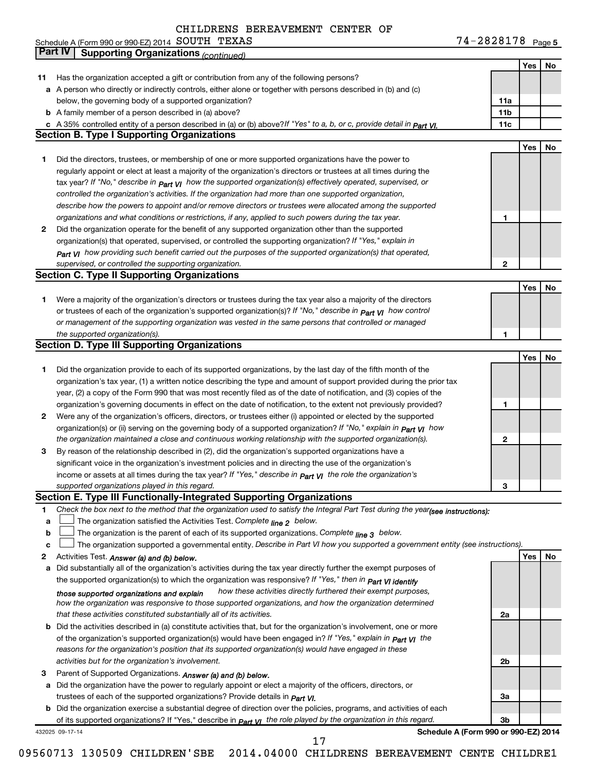| TEXAS<br>Schedule A (Form 990 or 990-EZ) 2014 $\,$ $\rm SOUTH$ | 0000170<br>Page 5<br>7070T10 |
|----------------------------------------------------------------|------------------------------|
|----------------------------------------------------------------|------------------------------|

|              | Part IV<br><b>Supporting Organizations (continued)</b>                                                                           |                 |     |    |
|--------------|----------------------------------------------------------------------------------------------------------------------------------|-----------------|-----|----|
|              |                                                                                                                                  |                 | Yes | No |
| 11           | Has the organization accepted a gift or contribution from any of the following persons?                                          |                 |     |    |
|              | a A person who directly or indirectly controls, either alone or together with persons described in (b) and (c)                   |                 |     |    |
|              | below, the governing body of a supported organization?                                                                           | 11a             |     |    |
|              | <b>b</b> A family member of a person described in (a) above?                                                                     | 11 <sub>b</sub> |     |    |
|              | c A 35% controlled entity of a person described in (a) or (b) above?If "Yes" to a, b, or c, provide detail in Part VI.           | 11c             |     |    |
|              | <b>Section B. Type I Supporting Organizations</b>                                                                                |                 |     |    |
|              |                                                                                                                                  |                 | Yes | No |
|              |                                                                                                                                  |                 |     |    |
| 1            | Did the directors, trustees, or membership of one or more supported organizations have the power to                              |                 |     |    |
|              | regularly appoint or elect at least a majority of the organization's directors or trustees at all times during the               |                 |     |    |
|              | tax year? If "No," describe in $_{Part}$ $_{VI}$ how the supported organization(s) effectively operated, supervised, or          |                 |     |    |
|              | controlled the organization's activities. If the organization had more than one supported organization,                          |                 |     |    |
|              | describe how the powers to appoint and/or remove directors or trustees were allocated among the supported                        |                 |     |    |
|              | organizations and what conditions or restrictions, if any, applied to such powers during the tax year.                           | 1               |     |    |
| 2            | Did the organization operate for the benefit of any supported organization other than the supported                              |                 |     |    |
|              | organization(s) that operated, supervised, or controlled the supporting organization? If "Yes," explain in                       |                 |     |    |
|              | $_{Part}$ v <sub>I</sub> how providing such benefit carried out the purposes of the supported organization(s) that operated,     |                 |     |    |
|              | supervised, or controlled the supporting organization.                                                                           | $\mathbf{2}$    |     |    |
|              | <b>Section C. Type II Supporting Organizations</b>                                                                               |                 |     |    |
|              |                                                                                                                                  |                 | Yes | No |
| 1            | Were a majority of the organization's directors or trustees during the tax year also a majority of the directors                 |                 |     |    |
|              | or trustees of each of the organization's supported organization(s)? If "No," describe in <b>Part VI</b> how control             |                 |     |    |
|              | or management of the supporting organization was vested in the same persons that controlled or managed                           |                 |     |    |
|              | the supported organization(s).                                                                                                   | 1               |     |    |
|              | <b>Section D. Type III Supporting Organizations</b>                                                                              |                 |     |    |
|              |                                                                                                                                  |                 | Yes | No |
| 1            | Did the organization provide to each of its supported organizations, by the last day of the fifth month of the                   |                 |     |    |
|              | organization's tax year, (1) a written notice describing the type and amount of support provided during the prior tax            |                 |     |    |
|              |                                                                                                                                  |                 |     |    |
|              | year, (2) a copy of the Form 990 that was most recently filed as of the date of notification, and (3) copies of the              |                 |     |    |
|              | organization's governing documents in effect on the date of notification, to the extent not previously provided?                 | 1               |     |    |
| $\mathbf{2}$ | Were any of the organization's officers, directors, or trustees either (i) appointed or elected by the supported                 |                 |     |    |
|              | organization(s) or (ii) serving on the governing body of a supported organization? If "No," explain in part VI how               |                 |     |    |
|              | the organization maintained a close and continuous working relationship with the supported organization(s).                      | 2               |     |    |
| 3            | By reason of the relationship described in (2), did the organization's supported organizations have a                            |                 |     |    |
|              | significant voice in the organization's investment policies and in directing the use of the organization's                       |                 |     |    |
|              | income or assets at all times during the tax year? If "Yes," describe in $P_{\text{art } VI}$ the role the organization's        |                 |     |    |
|              | supported organizations played in this regard.                                                                                   | з               |     |    |
|              | Section E. Type III Functionally-Integrated Supporting Organizations                                                             |                 |     |    |
| 1            | Check the box next to the method that the organization used to satisfy the Integral Part Test during the year(see instructions): |                 |     |    |
| a            | The organization satisfied the Activities Test. Complete line 2 below.                                                           |                 |     |    |
| b            | The organization is the parent of each of its supported organizations. Complete $_{\text{line 3}}$ below.                        |                 |     |    |
| c            | The organization supported a governmental entity. Describe in Part VI how you supported a government entity (see instructions).  |                 |     |    |
| 2            | Activities Test. Answer (a) and (b) below.                                                                                       |                 | Yes | No |
| a            | Did substantially all of the organization's activities during the tax year directly further the exempt purposes of               |                 |     |    |
|              | the supported organization(s) to which the organization was responsive? If "Yes," then in Part VI identify                       |                 |     |    |
|              | how these activities directly furthered their exempt purposes,<br>those supported organizations and explain                      |                 |     |    |
|              | how the organization was responsive to those supported organizations, and how the organization determined                        |                 |     |    |
|              | that these activities constituted substantially all of its activities.                                                           | 2a              |     |    |
|              | <b>b</b> Did the activities described in (a) constitute activities that, but for the organization's involvement, one or more     |                 |     |    |
|              | of the organization's supported organization(s) would have been engaged in? If "Yes," explain in <b>Part VI</b> the              |                 |     |    |
|              | reasons for the organization's position that its supported organization(s) would have engaged in these                           |                 |     |    |
|              | activities but for the organization's involvement.                                                                               | 2b              |     |    |
| З            | Parent of Supported Organizations. Answer (a) and (b) below.                                                                     |                 |     |    |
|              |                                                                                                                                  |                 |     |    |
|              | a Did the organization have the power to regularly appoint or elect a majority of the officers, directors, or                    |                 |     |    |
|              | trustees of each of the supported organizations? Provide details in <i>Part VI.</i>                                              | За              |     |    |
|              | <b>b</b> Did the organization exercise a substantial degree of direction over the policies, programs, and activities of each     |                 |     |    |
|              | of its supported organizations? If "Yes," describe in $P_{\text{art}}$ VI the role played by the organization in this regard.    | Зb              |     |    |
|              | Schedule A (Form 990 or 990-EZ) 2014<br>432025 09-17-14<br>17                                                                    |                 |     |    |
|              |                                                                                                                                  |                 |     |    |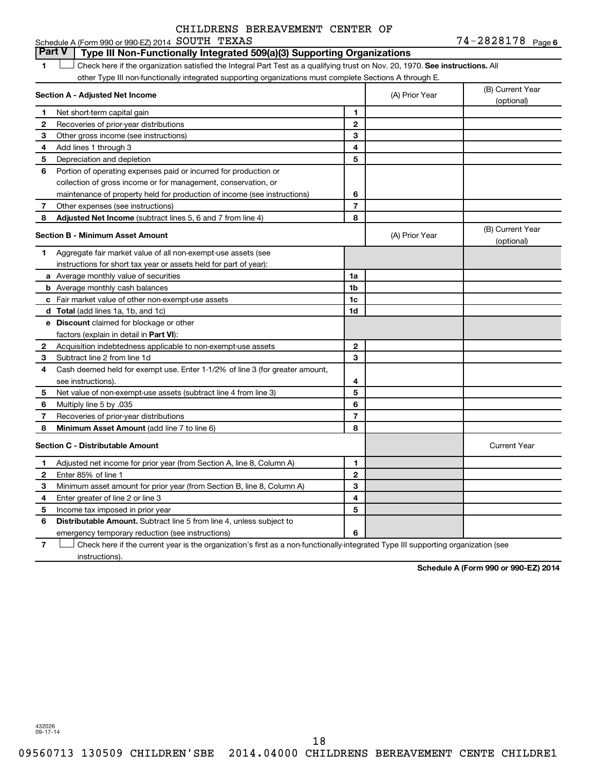#### 1  $\Box$  Check here if the organization satisfied the Integral Part Test as a qualifying trust on Nov. 20, 1970. See instructions. All **Section A - Adjusted Net Income 1 2 3 4 5 6 7 8 1 2 3 4 5 6 7 Adjusted Net Income** (subtract lines 5, 6 and 7 from line 4) **8 8 Section B - Minimum Asset Amount 1 2 3 4 5 6 7 8 a** Average monthly value of securities **b** Average monthly cash balances **c** Fair market value of other non-exempt-use assets **d Total**  (add lines 1a, 1b, and 1c) **e Discount** claimed for blockage or other **1a 1b 1c 1d 2 3 4 5 6 7 8** factors (explain in detail in Part VI): **Minimum Asset Amount**  (add line 7 to line 6) **Section C - Distributable Amount 1 2 3 4 5 6 1 2 3 4 5 6** Distributable Amount. Subtract line 5 from line 4, unless subject to Schedule A (Form 990 or 990-EZ) 2014 Page SOUTH TEXAS 74-2828178 other Type III non-functionally integrated supporting organizations must complete Sections A through E. (B) Current Year (A) Prior Year  $\left\vert \right\rangle$  (optional) Net short-term capital gain Recoveries of prior-year distributions Other gross income (see instructions) Add lines 1 through 3 Depreciation and depletion Portion of operating expenses paid or incurred for production or collection of gross income or for management, conservation, or maintenance of property held for production of income (see instructions) Other expenses (see instructions) (B) Current Year (A) Prior Year (b) Current 1 Aggregate fair market value of all non-exempt-use assets (see instructions for short tax year or assets held for part of year): Acquisition indebtedness applicable to non-exempt-use assets Subtract line 2 from line 1d Cash deemed held for exempt use. Enter 1-1/2% of line 3 (for greater amount, see instructions). Net value of non-exempt-use assets (subtract line 4 from line 3) Multiply line 5 by .035 Recoveries of prior-year distributions Current Year Adjusted net income for prior year (from Section A, line 8, Column A) Enter 85% of line 1 Minimum asset amount for prior year (from Section B, line 8, Column A) Enter greater of line 2 or line 3 Income tax imposed in prior year emergency temporary reduction (see instructions) **Part V Type III Non-Functionally Integrated 509(a)(3) Supporting Organizations**   $\Box$

**7** Check here if the current year is the organization's first as a non-functionally-integrated Type III supporting organization (see † instructions).

**Schedule A (Form 990 or 990-EZ) 2014**

432026 09-17-14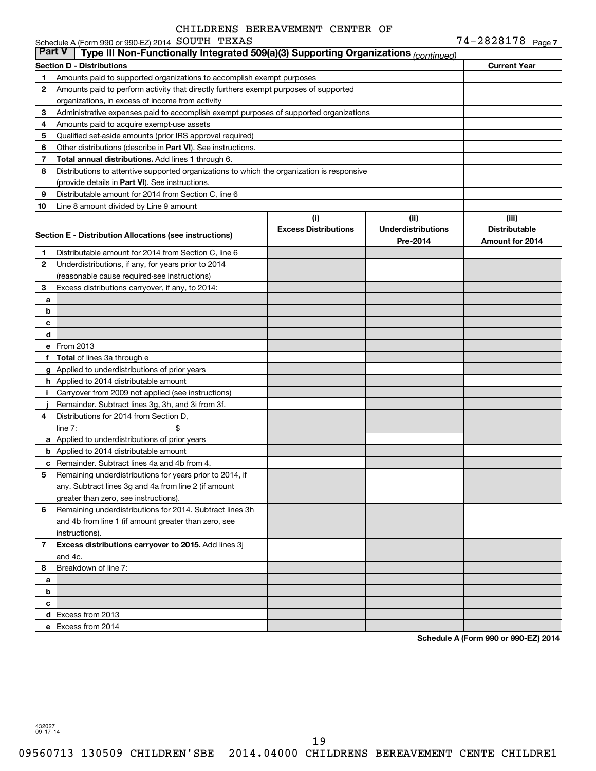|               | Schedule A (Form 990 or 990-EZ) 2014 SOUTH TEXAS                                           |                             |                           | $74 - 2828178$ Page 7  |
|---------------|--------------------------------------------------------------------------------------------|-----------------------------|---------------------------|------------------------|
| <b>Part V</b> | Type III Non-Functionally Integrated 509(a)(3) Supporting Organizations (continued)        |                             |                           |                        |
|               | <b>Section D - Distributions</b>                                                           |                             |                           | <b>Current Year</b>    |
| 1             | Amounts paid to supported organizations to accomplish exempt purposes                      |                             |                           |                        |
| 2             | Amounts paid to perform activity that directly furthers exempt purposes of supported       |                             |                           |                        |
|               | organizations, in excess of income from activity                                           |                             |                           |                        |
| 3             | Administrative expenses paid to accomplish exempt purposes of supported organizations      |                             |                           |                        |
| 4             | Amounts paid to acquire exempt-use assets                                                  |                             |                           |                        |
| 5             | Qualified set-aside amounts (prior IRS approval required)                                  |                             |                           |                        |
| 6             | Other distributions (describe in Part VI). See instructions.                               |                             |                           |                        |
| 7             | Total annual distributions. Add lines 1 through 6.                                         |                             |                           |                        |
| 8             | Distributions to attentive supported organizations to which the organization is responsive |                             |                           |                        |
|               | (provide details in Part VI). See instructions.                                            |                             |                           |                        |
| 9             | Distributable amount for 2014 from Section C, line 6                                       |                             |                           |                        |
| 10            | Line 8 amount divided by Line 9 amount                                                     |                             |                           |                        |
|               |                                                                                            | (i)                         | (ii)                      | (iii)                  |
|               |                                                                                            | <b>Excess Distributions</b> | <b>Underdistributions</b> | <b>Distributable</b>   |
|               | Section E - Distribution Allocations (see instructions)                                    |                             | Pre-2014                  | <b>Amount for 2014</b> |
| 1             | Distributable amount for 2014 from Section C, line 6                                       |                             |                           |                        |
| 2             | Underdistributions, if any, for years prior to 2014                                        |                             |                           |                        |
|               | (reasonable cause required-see instructions)                                               |                             |                           |                        |
| 3             | Excess distributions carryover, if any, to 2014:                                           |                             |                           |                        |
| a             |                                                                                            |                             |                           |                        |
| b             |                                                                                            |                             |                           |                        |
| с             |                                                                                            |                             |                           |                        |
| d             |                                                                                            |                             |                           |                        |
|               | e From 2013                                                                                |                             |                           |                        |
| f             | <b>Total</b> of lines 3a through e                                                         |                             |                           |                        |
|               | g Applied to underdistributions of prior years                                             |                             |                           |                        |
|               | h Applied to 2014 distributable amount                                                     |                             |                           |                        |
| Ť.            | Carryover from 2009 not applied (see instructions)                                         |                             |                           |                        |
|               | Remainder. Subtract lines 3g, 3h, and 3i from 3f.                                          |                             |                           |                        |
| 4             | Distributions for 2014 from Section D,                                                     |                             |                           |                        |
|               | line $7:$                                                                                  |                             |                           |                        |
|               | a Applied to underdistributions of prior years                                             |                             |                           |                        |
|               | <b>b</b> Applied to 2014 distributable amount                                              |                             |                           |                        |
|               | c Remainder. Subtract lines 4a and 4b from 4.                                              |                             |                           |                        |
|               | 5 Remaining underdistributions for years prior to 2014, if                                 |                             |                           |                        |
|               | any. Subtract lines 3g and 4a from line 2 (if amount                                       |                             |                           |                        |
|               | greater than zero, see instructions).                                                      |                             |                           |                        |
| 6             | Remaining underdistributions for 2014. Subtract lines 3h                                   |                             |                           |                        |
|               | and 4b from line 1 (if amount greater than zero, see                                       |                             |                           |                        |
|               | instructions).                                                                             |                             |                           |                        |
| 7             | Excess distributions carryover to 2015. Add lines 3j                                       |                             |                           |                        |
|               | and 4c.                                                                                    |                             |                           |                        |
| 8             | Breakdown of line 7:                                                                       |                             |                           |                        |
| a             |                                                                                            |                             |                           |                        |
| b             |                                                                                            |                             |                           |                        |
| с             |                                                                                            |                             |                           |                        |
|               | d Excess from 2013                                                                         |                             |                           |                        |
|               | e Excess from 2014                                                                         |                             |                           |                        |
|               |                                                                                            |                             |                           |                        |

**Schedule A (Form 990 or 990-EZ) 2014**

432027 09-17-14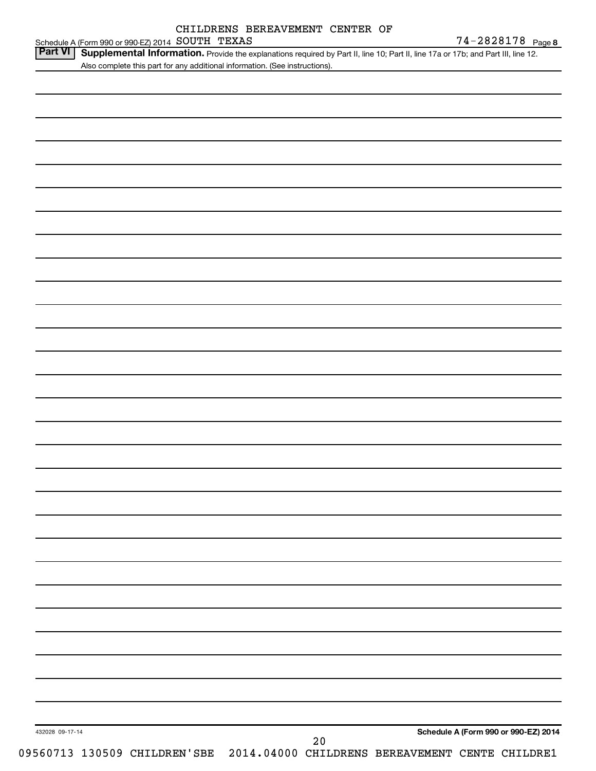|                 | Also complete this part for any additional information. (See instructions). |  |  |      |  |  |                                                                              |
|-----------------|-----------------------------------------------------------------------------|--|--|------|--|--|------------------------------------------------------------------------------|
|                 |                                                                             |  |  |      |  |  |                                                                              |
|                 |                                                                             |  |  |      |  |  |                                                                              |
|                 |                                                                             |  |  |      |  |  |                                                                              |
|                 |                                                                             |  |  |      |  |  |                                                                              |
|                 |                                                                             |  |  |      |  |  |                                                                              |
|                 |                                                                             |  |  |      |  |  |                                                                              |
|                 |                                                                             |  |  |      |  |  |                                                                              |
|                 |                                                                             |  |  |      |  |  |                                                                              |
|                 |                                                                             |  |  |      |  |  |                                                                              |
|                 |                                                                             |  |  |      |  |  |                                                                              |
|                 |                                                                             |  |  |      |  |  |                                                                              |
|                 |                                                                             |  |  |      |  |  |                                                                              |
|                 |                                                                             |  |  |      |  |  |                                                                              |
|                 |                                                                             |  |  |      |  |  |                                                                              |
|                 |                                                                             |  |  |      |  |  |                                                                              |
|                 |                                                                             |  |  |      |  |  |                                                                              |
|                 |                                                                             |  |  |      |  |  |                                                                              |
|                 |                                                                             |  |  |      |  |  |                                                                              |
|                 |                                                                             |  |  |      |  |  |                                                                              |
|                 |                                                                             |  |  |      |  |  |                                                                              |
|                 |                                                                             |  |  |      |  |  |                                                                              |
|                 |                                                                             |  |  |      |  |  |                                                                              |
|                 |                                                                             |  |  |      |  |  |                                                                              |
|                 |                                                                             |  |  |      |  |  |                                                                              |
|                 |                                                                             |  |  |      |  |  |                                                                              |
|                 |                                                                             |  |  |      |  |  |                                                                              |
|                 |                                                                             |  |  |      |  |  |                                                                              |
|                 |                                                                             |  |  |      |  |  |                                                                              |
|                 |                                                                             |  |  |      |  |  |                                                                              |
|                 |                                                                             |  |  |      |  |  |                                                                              |
|                 |                                                                             |  |  |      |  |  |                                                                              |
|                 |                                                                             |  |  |      |  |  |                                                                              |
|                 |                                                                             |  |  |      |  |  |                                                                              |
| 432028 09-17-14 |                                                                             |  |  | $20$ |  |  | Schedule A (Form 990 or 990-EZ) 2014                                         |
|                 |                                                                             |  |  |      |  |  | 09560713 130509 CHILDREN'SBE 2014.04000 CHILDRENS BEREAVEMENT CENTE CHILDRE1 |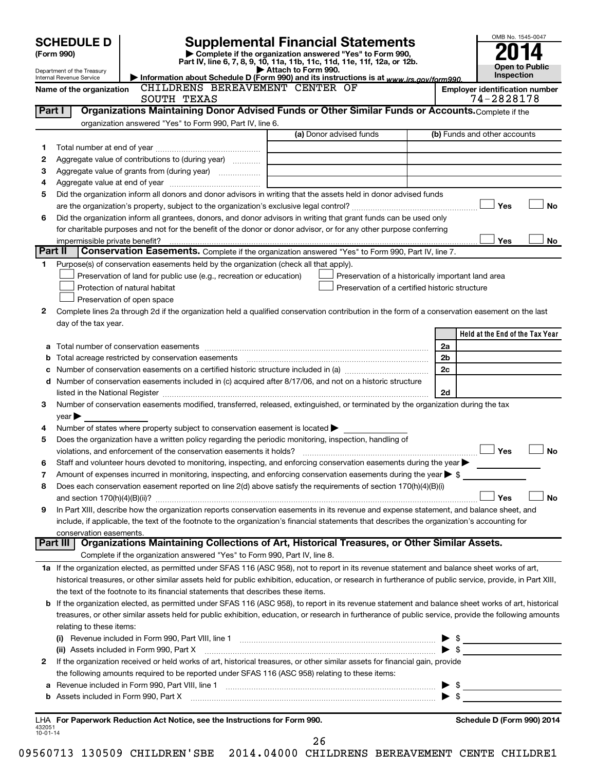|                | <b>SCHEDULE D</b>              |                                                                                                        | <b>Supplemental Financial Statements</b>                                                                                                                                                                                                                |    | OMB No. 1545-0047                     |
|----------------|--------------------------------|--------------------------------------------------------------------------------------------------------|---------------------------------------------------------------------------------------------------------------------------------------------------------------------------------------------------------------------------------------------------------|----|---------------------------------------|
|                | (Form 990)                     |                                                                                                        | Complete if the organization answered "Yes" to Form 990,                                                                                                                                                                                                |    |                                       |
|                | Department of the Treasury     |                                                                                                        | Part IV, line 6, 7, 8, 9, 10, 11a, 11b, 11c, 11d, 11e, 11f, 12a, or 12b.<br>Attach to Form 990.                                                                                                                                                         |    | Open to Public                        |
|                | Internal Revenue Service       |                                                                                                        | Information about Schedule D (Form 990) and its instructions is at www.irs.gov/form990.                                                                                                                                                                 |    | Inspection                            |
|                | Name of the organization       | CHILDRENS BEREAVEMENT CENTER OF                                                                        |                                                                                                                                                                                                                                                         |    | <b>Employer identification number</b> |
|                |                                | SOUTH TEXAS                                                                                            |                                                                                                                                                                                                                                                         |    | 74-2828178                            |
|                | Part I                         |                                                                                                        | Organizations Maintaining Donor Advised Funds or Other Similar Funds or Accounts. Complete if the                                                                                                                                                       |    |                                       |
|                |                                | organization answered "Yes" to Form 990, Part IV, line 6.                                              | (a) Donor advised funds                                                                                                                                                                                                                                 |    | (b) Funds and other accounts          |
|                |                                |                                                                                                        |                                                                                                                                                                                                                                                         |    |                                       |
| 1              |                                |                                                                                                        |                                                                                                                                                                                                                                                         |    |                                       |
| 2              |                                | Aggregate value of contributions to (during year)                                                      |                                                                                                                                                                                                                                                         |    |                                       |
| 3              |                                |                                                                                                        |                                                                                                                                                                                                                                                         |    |                                       |
| 4<br>5         |                                |                                                                                                        | Did the organization inform all donors and donor advisors in writing that the assets held in donor advised funds                                                                                                                                        |    |                                       |
|                |                                |                                                                                                        |                                                                                                                                                                                                                                                         |    | Yes<br><b>No</b>                      |
| 6              |                                |                                                                                                        | Did the organization inform all grantees, donors, and donor advisors in writing that grant funds can be used only                                                                                                                                       |    |                                       |
|                |                                |                                                                                                        | for charitable purposes and not for the benefit of the donor or donor advisor, or for any other purpose conferring                                                                                                                                      |    |                                       |
|                | impermissible private benefit? |                                                                                                        |                                                                                                                                                                                                                                                         |    | Yes<br>No                             |
| Part II        |                                |                                                                                                        | Conservation Easements. Complete if the organization answered "Yes" to Form 990, Part IV, line 7.                                                                                                                                                       |    |                                       |
| 1              |                                | Purpose(s) of conservation easements held by the organization (check all that apply).                  |                                                                                                                                                                                                                                                         |    |                                       |
|                |                                | Preservation of land for public use (e.g., recreation or education)                                    | Preservation of a historically important land area                                                                                                                                                                                                      |    |                                       |
|                |                                | Protection of natural habitat                                                                          | Preservation of a certified historic structure                                                                                                                                                                                                          |    |                                       |
|                |                                | Preservation of open space                                                                             |                                                                                                                                                                                                                                                         |    |                                       |
| 2              |                                |                                                                                                        | Complete lines 2a through 2d if the organization held a qualified conservation contribution in the form of a conservation easement on the last                                                                                                          |    |                                       |
|                | day of the tax year.           |                                                                                                        |                                                                                                                                                                                                                                                         |    |                                       |
|                |                                |                                                                                                        |                                                                                                                                                                                                                                                         |    | Held at the End of the Tax Year       |
|                |                                |                                                                                                        |                                                                                                                                                                                                                                                         | 2a |                                       |
| b              |                                |                                                                                                        |                                                                                                                                                                                                                                                         | 2b |                                       |
| с              |                                |                                                                                                        |                                                                                                                                                                                                                                                         | 2c |                                       |
| d              |                                |                                                                                                        | Number of conservation easements included in (c) acquired after 8/17/06, and not on a historic structure                                                                                                                                                |    |                                       |
|                |                                |                                                                                                        |                                                                                                                                                                                                                                                         | 2d |                                       |
| 3              |                                |                                                                                                        | Number of conservation easements modified, transferred, released, extinguished, or terminated by the organization during the tax                                                                                                                        |    |                                       |
|                | $year \blacktriangleright$     |                                                                                                        |                                                                                                                                                                                                                                                         |    |                                       |
| 4              |                                | Number of states where property subject to conservation easement is located $\blacktriangleright$      |                                                                                                                                                                                                                                                         |    |                                       |
| 5              |                                | Does the organization have a written policy regarding the periodic monitoring, inspection, handling of |                                                                                                                                                                                                                                                         |    |                                       |
|                |                                |                                                                                                        |                                                                                                                                                                                                                                                         |    | Yes<br><b>No</b>                      |
|                |                                |                                                                                                        | Staff and volunteer hours devoted to monitoring, inspecting, and enforcing conservation easements during the year                                                                                                                                       |    |                                       |
| 7              |                                |                                                                                                        | Amount of expenses incurred in monitoring, inspecting, and enforcing conservation easements during the year $\blacktriangleright$ \$<br>Does each conservation easement reported on line 2(d) above satisfy the requirements of section 170(h)(4)(B)(i) |    |                                       |
| 8              |                                |                                                                                                        |                                                                                                                                                                                                                                                         |    | Yes<br>No                             |
| 9              |                                |                                                                                                        | In Part XIII, describe how the organization reports conservation easements in its revenue and expense statement, and balance sheet, and                                                                                                                 |    |                                       |
|                |                                |                                                                                                        | include, if applicable, the text of the footnote to the organization's financial statements that describes the organization's accounting for                                                                                                            |    |                                       |
|                | conservation easements.        |                                                                                                        |                                                                                                                                                                                                                                                         |    |                                       |
|                |                                |                                                                                                        | Part III   Organizations Maintaining Collections of Art, Historical Treasures, or Other Similar Assets.                                                                                                                                                 |    |                                       |
|                |                                | Complete if the organization answered "Yes" to Form 990, Part IV, line 8.                              |                                                                                                                                                                                                                                                         |    |                                       |
|                |                                |                                                                                                        | 1a If the organization elected, as permitted under SFAS 116 (ASC 958), not to report in its revenue statement and balance sheet works of art,                                                                                                           |    |                                       |
|                |                                |                                                                                                        | historical treasures, or other similar assets held for public exhibition, education, or research in furtherance of public service, provide, in Part XIII,                                                                                               |    |                                       |
|                |                                | the text of the footnote to its financial statements that describes these items.                       |                                                                                                                                                                                                                                                         |    |                                       |
| b              |                                |                                                                                                        | If the organization elected, as permitted under SFAS 116 (ASC 958), to report in its revenue statement and balance sheet works of art, historical                                                                                                       |    |                                       |
|                |                                |                                                                                                        | treasures, or other similar assets held for public exhibition, education, or research in furtherance of public service, provide the following amounts                                                                                                   |    |                                       |
|                | relating to these items:       |                                                                                                        |                                                                                                                                                                                                                                                         |    |                                       |
|                |                                |                                                                                                        |                                                                                                                                                                                                                                                         |    |                                       |
|                |                                | (ii) Assets included in Form 990, Part X                                                               |                                                                                                                                                                                                                                                         |    | $\bullet$ \$                          |
| 2              |                                |                                                                                                        | If the organization received or held works of art, historical treasures, or other similar assets for financial gain, provide                                                                                                                            |    |                                       |
|                |                                | the following amounts required to be reported under SFAS 116 (ASC 958) relating to these items:        |                                                                                                                                                                                                                                                         |    |                                       |
| а              |                                |                                                                                                        | Revenue included in Form 990, Part VIII, line 1 [1] [2000] [2000] [2000] [2000] [3000] [3000] [3000] [3000] [3000] [                                                                                                                                    |    | $\triangleright$ \$                   |
| b              |                                |                                                                                                        |                                                                                                                                                                                                                                                         |    |                                       |
|                |                                |                                                                                                        |                                                                                                                                                                                                                                                         |    |                                       |
| 432051         |                                | LHA For Paperwork Reduction Act Notice, see the Instructions for Form 990.                             |                                                                                                                                                                                                                                                         |    | Schedule D (Form 990) 2014            |
| $10 - 01 - 14$ |                                |                                                                                                        | 26                                                                                                                                                                                                                                                      |    |                                       |
|                |                                |                                                                                                        |                                                                                                                                                                                                                                                         |    |                                       |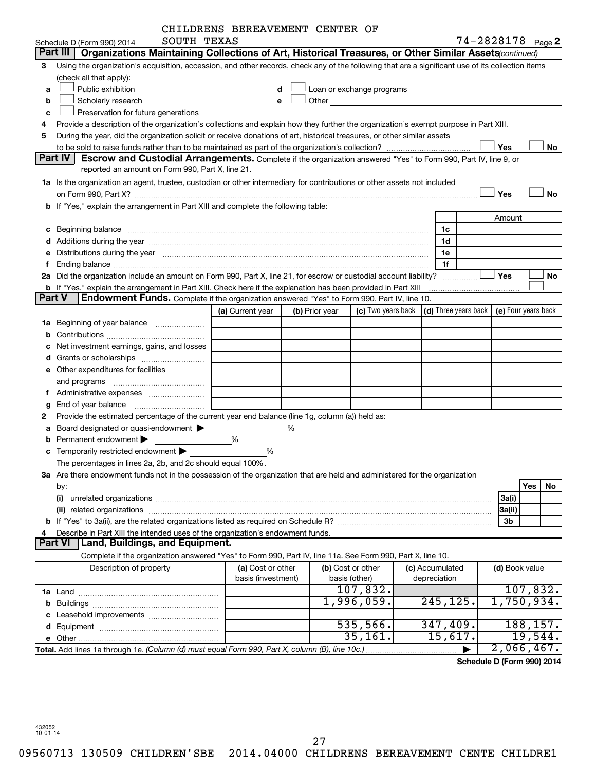|    |                                                                                                                                                                                                                                | CHILDRENS BEREAVEMENT CENTER OF |                |                   |                                                                                                                                                                                                                               |                 |                |                            |
|----|--------------------------------------------------------------------------------------------------------------------------------------------------------------------------------------------------------------------------------|---------------------------------|----------------|-------------------|-------------------------------------------------------------------------------------------------------------------------------------------------------------------------------------------------------------------------------|-----------------|----------------|----------------------------|
|    | SOUTH TEXAS<br>Schedule D (Form 990) 2014                                                                                                                                                                                      |                                 |                |                   |                                                                                                                                                                                                                               |                 |                | 74-2828178 Page 2          |
|    | Organizations Maintaining Collections of Art, Historical Treasures, or Other Similar Assets (continued)<br>Part III                                                                                                            |                                 |                |                   |                                                                                                                                                                                                                               |                 |                |                            |
| з  | Using the organization's acquisition, accession, and other records, check any of the following that are a significant use of its collection items                                                                              |                                 |                |                   |                                                                                                                                                                                                                               |                 |                |                            |
|    | (check all that apply):                                                                                                                                                                                                        |                                 |                |                   |                                                                                                                                                                                                                               |                 |                |                            |
| a  | Public exhibition                                                                                                                                                                                                              |                                 |                |                   | Loan or exchange programs                                                                                                                                                                                                     |                 |                |                            |
| b  | Scholarly research                                                                                                                                                                                                             | е                               |                |                   | Other and the contract of the contract of the contract of the contract of the contract of the contract of the contract of the contract of the contract of the contract of the contract of the contract of the contract of the |                 |                |                            |
| c  | Preservation for future generations                                                                                                                                                                                            |                                 |                |                   |                                                                                                                                                                                                                               |                 |                |                            |
| 4  | Provide a description of the organization's collections and explain how they further the organization's exempt purpose in Part XIII.                                                                                           |                                 |                |                   |                                                                                                                                                                                                                               |                 |                |                            |
| 5  | During the year, did the organization solicit or receive donations of art, historical treasures, or other similar assets                                                                                                       |                                 |                |                   |                                                                                                                                                                                                                               |                 |                |                            |
|    |                                                                                                                                                                                                                                |                                 |                |                   |                                                                                                                                                                                                                               |                 | Yes            | No                         |
|    | Part IV<br><b>Escrow and Custodial Arrangements.</b> Complete if the organization answered "Yes" to Form 990, Part IV, line 9, or                                                                                              |                                 |                |                   |                                                                                                                                                                                                                               |                 |                |                            |
|    | reported an amount on Form 990, Part X, line 21.                                                                                                                                                                               |                                 |                |                   |                                                                                                                                                                                                                               |                 |                |                            |
|    | 1a Is the organization an agent, trustee, custodian or other intermediary for contributions or other assets not included                                                                                                       |                                 |                |                   |                                                                                                                                                                                                                               |                 |                |                            |
|    |                                                                                                                                                                                                                                |                                 |                |                   |                                                                                                                                                                                                                               |                 | Yes            | <b>No</b>                  |
|    | b If "Yes," explain the arrangement in Part XIII and complete the following table:                                                                                                                                             |                                 |                |                   |                                                                                                                                                                                                                               |                 |                |                            |
|    |                                                                                                                                                                                                                                |                                 |                |                   |                                                                                                                                                                                                                               |                 | Amount         |                            |
| c  | Beginning balance manufactured and contract the contract of the contract of the contract of the contract of the contract of the contract of the contract of the contract of the contract of the contract of the contract of th |                                 |                |                   |                                                                                                                                                                                                                               | 1c              |                |                            |
|    |                                                                                                                                                                                                                                |                                 |                |                   |                                                                                                                                                                                                                               | 1d              |                |                            |
|    | e Distributions during the year measurement contracts and the year measurement of the state of the state of th                                                                                                                 |                                 |                |                   |                                                                                                                                                                                                                               | 1e              |                |                            |
|    |                                                                                                                                                                                                                                |                                 |                |                   |                                                                                                                                                                                                                               | 1f              |                |                            |
|    | 2a Did the organization include an amount on Form 990, Part X, line 21, for escrow or custodial account liability?                                                                                                             |                                 |                |                   |                                                                                                                                                                                                                               | .               | <b>Yes</b>     | No                         |
|    | <b>b</b> If "Yes," explain the arrangement in Part XIII. Check here if the explanation has been provided in Part XIII<br>Part V                                                                                                |                                 |                |                   |                                                                                                                                                                                                                               |                 |                |                            |
|    | Endowment Funds. Complete if the organization answered "Yes" to Form 990, Part IV, line 10.                                                                                                                                    |                                 |                |                   |                                                                                                                                                                                                                               |                 |                |                            |
|    |                                                                                                                                                                                                                                | (a) Current year                | (b) Prior year |                   | (c) Two years back $\vert$ (d) Three years back $\vert$                                                                                                                                                                       |                 |                | (e) Four years back        |
| 1a | Beginning of year balance                                                                                                                                                                                                      |                                 |                |                   |                                                                                                                                                                                                                               |                 |                |                            |
|    |                                                                                                                                                                                                                                |                                 |                |                   |                                                                                                                                                                                                                               |                 |                |                            |
|    | Net investment earnings, gains, and losses                                                                                                                                                                                     |                                 |                |                   |                                                                                                                                                                                                                               |                 |                |                            |
| d  | Grants or scholarships                                                                                                                                                                                                         |                                 |                |                   |                                                                                                                                                                                                                               |                 |                |                            |
|    | e Other expenditures for facilities                                                                                                                                                                                            |                                 |                |                   |                                                                                                                                                                                                                               |                 |                |                            |
|    | and programs                                                                                                                                                                                                                   |                                 |                |                   |                                                                                                                                                                                                                               |                 |                |                            |
|    |                                                                                                                                                                                                                                |                                 |                |                   |                                                                                                                                                                                                                               |                 |                |                            |
| g  |                                                                                                                                                                                                                                |                                 |                |                   |                                                                                                                                                                                                                               |                 |                |                            |
| 2  | Provide the estimated percentage of the current year end balance (line 1g, column (a)) held as:                                                                                                                                |                                 |                |                   |                                                                                                                                                                                                                               |                 |                |                            |
| а  | Board designated or quasi-endowment<br>Permanent endowment                                                                                                                                                                     |                                 | %              |                   |                                                                                                                                                                                                                               |                 |                |                            |
|    |                                                                                                                                                                                                                                | %                               |                |                   |                                                                                                                                                                                                                               |                 |                |                            |
|    | c Temporarily restricted endowment $\blacktriangleright$                                                                                                                                                                       | %                               |                |                   |                                                                                                                                                                                                                               |                 |                |                            |
|    | The percentages in lines 2a, 2b, and 2c should equal 100%.<br>3a Are there endowment funds not in the possession of the organization that are held and administered for the organization                                       |                                 |                |                   |                                                                                                                                                                                                                               |                 |                |                            |
|    |                                                                                                                                                                                                                                |                                 |                |                   |                                                                                                                                                                                                                               |                 |                | Yes<br>No                  |
|    | by:<br>(i)                                                                                                                                                                                                                     |                                 |                |                   |                                                                                                                                                                                                                               |                 | 3a(i)          |                            |
|    |                                                                                                                                                                                                                                |                                 |                |                   |                                                                                                                                                                                                                               |                 | 3a(ii)         |                            |
|    |                                                                                                                                                                                                                                |                                 |                |                   |                                                                                                                                                                                                                               |                 | 3b             |                            |
|    | Describe in Part XIII the intended uses of the organization's endowment funds.                                                                                                                                                 |                                 |                |                   |                                                                                                                                                                                                                               |                 |                |                            |
|    | Land, Buildings, and Equipment.<br><b>Part VI</b>                                                                                                                                                                              |                                 |                |                   |                                                                                                                                                                                                                               |                 |                |                            |
|    | Complete if the organization answered "Yes" to Form 990, Part IV, line 11a. See Form 990, Part X, line 10.                                                                                                                     |                                 |                |                   |                                                                                                                                                                                                                               |                 |                |                            |
|    | Description of property                                                                                                                                                                                                        | (a) Cost or other               |                | (b) Cost or other |                                                                                                                                                                                                                               | (c) Accumulated | (d) Book value |                            |
|    |                                                                                                                                                                                                                                | basis (investment)              |                | basis (other)     |                                                                                                                                                                                                                               | depreciation    |                |                            |
|    |                                                                                                                                                                                                                                |                                 |                |                   | 107,832.                                                                                                                                                                                                                      |                 |                | 107,832.                   |
| b  |                                                                                                                                                                                                                                |                                 |                |                   | 1,996,059.                                                                                                                                                                                                                    | 245, 125.       |                | 1,750,934.                 |
|    |                                                                                                                                                                                                                                |                                 |                |                   |                                                                                                                                                                                                                               |                 |                |                            |
|    |                                                                                                                                                                                                                                |                                 |                |                   | 535,566.                                                                                                                                                                                                                      | 347,409.        |                | 188, 157.                  |
|    |                                                                                                                                                                                                                                |                                 |                |                   | 35,161.                                                                                                                                                                                                                       | 15,617 <b>.</b> |                | 19,544.                    |
|    | Total. Add lines 1a through 1e. (Column (d) must equal Form 990, Part X, column (B), line 10c.)                                                                                                                                |                                 |                |                   |                                                                                                                                                                                                                               |                 |                | $2,066,467$ .              |
|    |                                                                                                                                                                                                                                |                                 |                |                   |                                                                                                                                                                                                                               |                 |                | Schedule D (Form 990) 2014 |

432052 10-01-14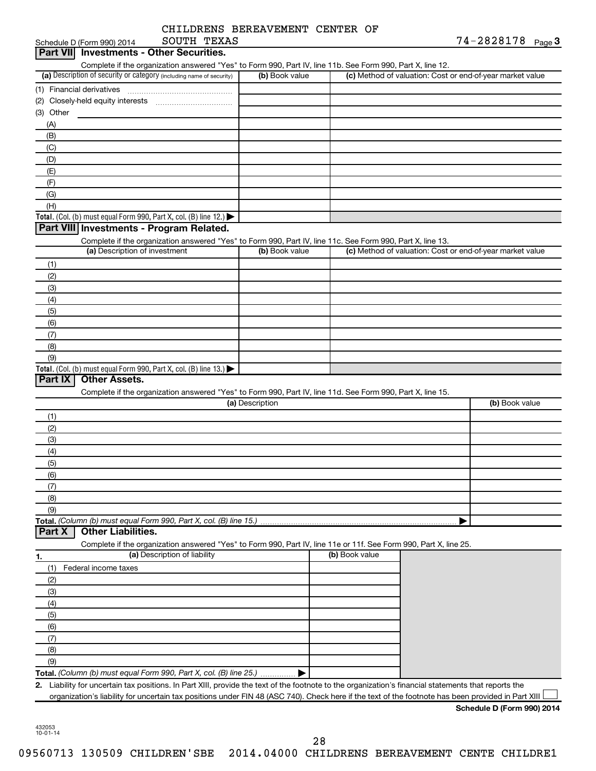| CHILDRENS BEREAVEMENT CENTER OF |  |
|---------------------------------|--|
|                                 |  |

| SOUTH TEXAS<br>Schedule D (Form 990) 2014                                                                                                               |                 |                |                                                           | 74-2828178 Page 3          |  |
|---------------------------------------------------------------------------------------------------------------------------------------------------------|-----------------|----------------|-----------------------------------------------------------|----------------------------|--|
| <b>Investments - Other Securities.</b><br>Part VIII                                                                                                     |                 |                |                                                           |                            |  |
| Complete if the organization answered "Yes" to Form 990, Part IV, line 11b. See Form 990, Part X, line 12.                                              |                 |                |                                                           |                            |  |
| (a) Description of security or category (including name of security)                                                                                    | (b) Book value  |                | (c) Method of valuation: Cost or end-of-year market value |                            |  |
| (1) Financial derivatives                                                                                                                               |                 |                |                                                           |                            |  |
|                                                                                                                                                         |                 |                |                                                           |                            |  |
| (3) Other                                                                                                                                               |                 |                |                                                           |                            |  |
| (A)                                                                                                                                                     |                 |                |                                                           |                            |  |
| (B)                                                                                                                                                     |                 |                |                                                           |                            |  |
| (C)                                                                                                                                                     |                 |                |                                                           |                            |  |
| (D)                                                                                                                                                     |                 |                |                                                           |                            |  |
| (E)                                                                                                                                                     |                 |                |                                                           |                            |  |
| (F)                                                                                                                                                     |                 |                |                                                           |                            |  |
| (G)                                                                                                                                                     |                 |                |                                                           |                            |  |
| (H)                                                                                                                                                     |                 |                |                                                           |                            |  |
| Total. (Col. (b) must equal Form 990, Part X, col. (B) line 12.) $\blacktriangleright$                                                                  |                 |                |                                                           |                            |  |
| Part VIII Investments - Program Related.                                                                                                                |                 |                |                                                           |                            |  |
| Complete if the organization answered "Yes" to Form 990, Part IV, line 11c. See Form 990, Part X, line 13.<br>(a) Description of investment             | (b) Book value  |                | (c) Method of valuation: Cost or end-of-year market value |                            |  |
|                                                                                                                                                         |                 |                |                                                           |                            |  |
| (1)                                                                                                                                                     |                 |                |                                                           |                            |  |
| (2)                                                                                                                                                     |                 |                |                                                           |                            |  |
| (3)                                                                                                                                                     |                 |                |                                                           |                            |  |
| (4)<br>(5)                                                                                                                                              |                 |                |                                                           |                            |  |
| (6)                                                                                                                                                     |                 |                |                                                           |                            |  |
| (7)                                                                                                                                                     |                 |                |                                                           |                            |  |
| (8)                                                                                                                                                     |                 |                |                                                           |                            |  |
| (9)                                                                                                                                                     |                 |                |                                                           |                            |  |
| Total. (Col. (b) must equal Form 990, Part X, col. (B) line 13.) $\blacktriangleright$                                                                  |                 |                |                                                           |                            |  |
| <b>Other Assets.</b><br>Part IX                                                                                                                         |                 |                |                                                           |                            |  |
| Complete if the organization answered "Yes" to Form 990, Part IV, line 11d. See Form 990, Part X, line 15.                                              |                 |                |                                                           |                            |  |
|                                                                                                                                                         | (a) Description |                |                                                           | (b) Book value             |  |
| (1)                                                                                                                                                     |                 |                |                                                           |                            |  |
| (2)                                                                                                                                                     |                 |                |                                                           |                            |  |
| (3)                                                                                                                                                     |                 |                |                                                           |                            |  |
| (4)                                                                                                                                                     |                 |                |                                                           |                            |  |
| (5)                                                                                                                                                     |                 |                |                                                           |                            |  |
| (6)                                                                                                                                                     |                 |                |                                                           |                            |  |
| (7)                                                                                                                                                     |                 |                |                                                           |                            |  |
| (8)                                                                                                                                                     |                 |                |                                                           |                            |  |
| (9)                                                                                                                                                     |                 |                |                                                           |                            |  |
| Total. (Column (b) must equal Form 990, Part X, col. (B) line 15.)                                                                                      |                 |                |                                                           |                            |  |
| <b>Other Liabilities.</b><br>Part X                                                                                                                     |                 |                |                                                           |                            |  |
| Complete if the organization answered "Yes" to Form 990, Part IV, line 11e or 11f. See Form 990, Part X, line 25.                                       |                 |                |                                                           |                            |  |
| (a) Description of liability<br>1.                                                                                                                      |                 | (b) Book value |                                                           |                            |  |
| (1)<br>Federal income taxes                                                                                                                             |                 |                |                                                           |                            |  |
| (2)                                                                                                                                                     |                 |                |                                                           |                            |  |
| (3)                                                                                                                                                     |                 |                |                                                           |                            |  |
| (4)                                                                                                                                                     |                 |                |                                                           |                            |  |
| (5)                                                                                                                                                     |                 |                |                                                           |                            |  |
| (6)                                                                                                                                                     |                 |                |                                                           |                            |  |
| (7)                                                                                                                                                     |                 |                |                                                           |                            |  |
| (8)                                                                                                                                                     |                 |                |                                                           |                            |  |
| (9)                                                                                                                                                     |                 |                |                                                           |                            |  |
| Total. (Column (b) must equal Form 990, Part X, col. (B) line 25.)                                                                                      |                 |                |                                                           |                            |  |
| Liability for uncertain tax positions. In Part XIII, provide the text of the footnote to the organization's financial statements that reports the<br>2. |                 |                |                                                           |                            |  |
| organization's liability for uncertain tax positions under FIN 48 (ASC 740). Check here if the text of the footnote has been provided in Part XIII      |                 |                |                                                           |                            |  |
|                                                                                                                                                         |                 |                |                                                           | Schedule D (Form 990) 2014 |  |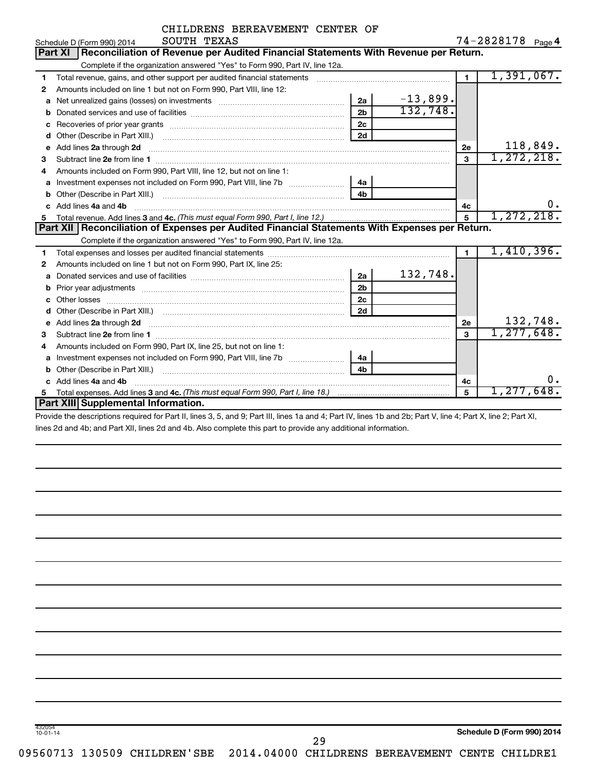|   | CHILDRENS BEREAVEMENT CENTER OF                                                                                                                                                                                                    |                |                                                                                                                                                                                                                               |                |                   |
|---|------------------------------------------------------------------------------------------------------------------------------------------------------------------------------------------------------------------------------------|----------------|-------------------------------------------------------------------------------------------------------------------------------------------------------------------------------------------------------------------------------|----------------|-------------------|
|   | SOUTH TEXAS<br>Schedule D (Form 990) 2014                                                                                                                                                                                          |                |                                                                                                                                                                                                                               |                | 74-2828178 Page 4 |
|   | Reconciliation of Revenue per Audited Financial Statements With Revenue per Return.<br>Part XI                                                                                                                                     |                |                                                                                                                                                                                                                               |                |                   |
|   | Complete if the organization answered "Yes" to Form 990, Part IV, line 12a.                                                                                                                                                        |                |                                                                                                                                                                                                                               |                |                   |
| 1 | Total revenue, gains, and other support per audited financial statements                                                                                                                                                           |                | and a construction of the construction of the construction of the construction of the construction of the construction of the construction of the construction of the construction of the construction of the construction of | $\overline{1}$ | 1,391,067.        |
| 2 | Amounts included on line 1 but not on Form 990, Part VIII, line 12:                                                                                                                                                                |                |                                                                                                                                                                                                                               |                |                   |
| a |                                                                                                                                                                                                                                    | 2a             | $-13,899.$                                                                                                                                                                                                                    |                |                   |
| b |                                                                                                                                                                                                                                    | 2 <sub>b</sub> | 132,748.                                                                                                                                                                                                                      |                |                   |
| с |                                                                                                                                                                                                                                    | 2c             |                                                                                                                                                                                                                               |                |                   |
| d |                                                                                                                                                                                                                                    | 2d             |                                                                                                                                                                                                                               |                |                   |
| e | Add lines 2a through 2d                                                                                                                                                                                                            |                |                                                                                                                                                                                                                               | 2e             | 118,849.          |
| 3 |                                                                                                                                                                                                                                    |                |                                                                                                                                                                                                                               | 3              | 1,272,218.        |
| 4 | Amounts included on Form 990, Part VIII, line 12, but not on line 1:                                                                                                                                                               |                |                                                                                                                                                                                                                               |                |                   |
| a |                                                                                                                                                                                                                                    | 4a             |                                                                                                                                                                                                                               |                |                   |
| b |                                                                                                                                                                                                                                    | 4b             |                                                                                                                                                                                                                               |                |                   |
| c | Add lines 4a and 4b                                                                                                                                                                                                                |                |                                                                                                                                                                                                                               | 4с             | υ.                |
| 5 |                                                                                                                                                                                                                                    |                |                                                                                                                                                                                                                               | 5              | 1, 272, 218.      |
|   | Part XII Reconciliation of Expenses per Audited Financial Statements With Expenses per Return.                                                                                                                                     |                |                                                                                                                                                                                                                               |                |                   |
|   | Complete if the organization answered "Yes" to Form 990, Part IV, line 12a.                                                                                                                                                        |                |                                                                                                                                                                                                                               |                |                   |
| 1 |                                                                                                                                                                                                                                    |                |                                                                                                                                                                                                                               | $\blacksquare$ | 1,410,396.        |
| 2 | Amounts included on line 1 but not on Form 990, Part IX, line 25:                                                                                                                                                                  |                |                                                                                                                                                                                                                               |                |                   |
| a |                                                                                                                                                                                                                                    | 2a             | 132,748.                                                                                                                                                                                                                      |                |                   |
| b | Prior year adjustments [111] matter contracts and the contracts and the contracts and prior vertical contracts                                                                                                                     | 2 <sub>b</sub> |                                                                                                                                                                                                                               |                |                   |
| c |                                                                                                                                                                                                                                    | 2 <sub>c</sub> |                                                                                                                                                                                                                               |                |                   |
| d |                                                                                                                                                                                                                                    | 2d             |                                                                                                                                                                                                                               |                |                   |
|   | Add lines 2a through 2d <b>contained a contained a contained a contained a</b> contained a contained a contained a contained a contact a contact a contact a contact a contact a contact a contact a contact a contact a contact a |                |                                                                                                                                                                                                                               | 2e             | 132,748.          |
| 3 |                                                                                                                                                                                                                                    |                |                                                                                                                                                                                                                               | 3              | 1, 277, 648.      |
| 4 | Amounts included on Form 990, Part IX, line 25, but not on line 1:                                                                                                                                                                 |                |                                                                                                                                                                                                                               |                |                   |
| a |                                                                                                                                                                                                                                    | 4a             |                                                                                                                                                                                                                               |                |                   |
| b |                                                                                                                                                                                                                                    | 4 <sub>h</sub> |                                                                                                                                                                                                                               |                |                   |
|   | c Add lines 4a and 4b                                                                                                                                                                                                              |                |                                                                                                                                                                                                                               | 4с             | Ο.                |
|   |                                                                                                                                                                                                                                    |                |                                                                                                                                                                                                                               | 5              | 1,277,648.        |
|   | Part XIII Supplemental Information.                                                                                                                                                                                                |                |                                                                                                                                                                                                                               |                |                   |
|   | State the december of contract for Death House O. P. and O. Death House de and A. Death House dhamad Obs Death House A. Death M. House O. Death M.                                                                                 |                |                                                                                                                                                                                                                               |                |                   |

Provide the descriptions required for Part II, lines 3, 5, and 9; Part III, lines 1a and 4; Part IV, lines 1b and 2b; Part V, line 4; Part X, line 2; Part XI, lines 2d and 4b; and Part XII, lines 2d and 4b. Also complete this part to provide any additional information.

09560713 130509 CHILDREN'SBE 2014.04000 CHILDRENS BEREAVEMENT CENTE CHILDRE1

432054 10-01-14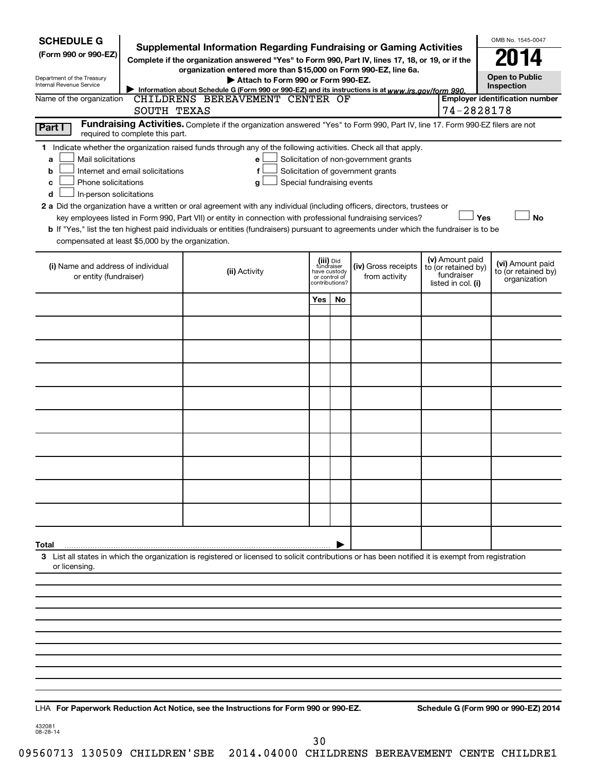| <b>SCHEDULE G</b><br>(Form 990 or 990-EZ)<br>Department of the Treasury<br>Internal Revenue Service                                                                                                                                                                                                                                                                                                                                                                                                                                                                                                                                                                                        | <b>Supplemental Information Regarding Fundraising or Gaming Activities</b><br>Complete if the organization answered "Yes" to Form 990, Part IV, lines 17, 18, or 19, or if the<br>organization entered more than \$15,000 on Form 990-EZ, line 6a.<br>Attach to Form 990 or Form 990-EZ.<br>Information about Schedule G (Form 990 or 990-EZ) and its instructions is at www.irs.gov/form 990. |                                 |                                         |                                                                            |                                                                            | OMB No. 1545-0047<br><b>Open to Public</b><br>Inspection |
|--------------------------------------------------------------------------------------------------------------------------------------------------------------------------------------------------------------------------------------------------------------------------------------------------------------------------------------------------------------------------------------------------------------------------------------------------------------------------------------------------------------------------------------------------------------------------------------------------------------------------------------------------------------------------------------------|------------------------------------------------------------------------------------------------------------------------------------------------------------------------------------------------------------------------------------------------------------------------------------------------------------------------------------------------------------------------------------------------|---------------------------------|-----------------------------------------|----------------------------------------------------------------------------|----------------------------------------------------------------------------|----------------------------------------------------------|
| Name of the organization<br>SOUTH TEXAS                                                                                                                                                                                                                                                                                                                                                                                                                                                                                                                                                                                                                                                    | CHILDRENS BEREAVEMENT CENTER OF                                                                                                                                                                                                                                                                                                                                                                |                                 |                                         |                                                                            | 74-2828178                                                                 | <b>Employer identification number</b>                    |
| Part I<br>required to complete this part.                                                                                                                                                                                                                                                                                                                                                                                                                                                                                                                                                                                                                                                  | Fundraising Activities. Complete if the organization answered "Yes" to Form 990, Part IV, line 17. Form 990-EZ filers are not                                                                                                                                                                                                                                                                  |                                 |                                         |                                                                            |                                                                            |                                                          |
| 1 Indicate whether the organization raised funds through any of the following activities. Check all that apply.<br>Mail solicitations<br>a<br>Internet and email solicitations<br>b<br>Phone solicitations<br>c<br>In-person solicitations<br>d<br>2 a Did the organization have a written or oral agreement with any individual (including officers, directors, trustees or<br>key employees listed in Form 990, Part VII) or entity in connection with professional fundraising services?<br>b If "Yes," list the ten highest paid individuals or entities (fundraisers) pursuant to agreements under which the fundraiser is to be<br>compensated at least \$5,000 by the organization. | е<br>f<br>Special fundraising events<br>g                                                                                                                                                                                                                                                                                                                                                      |                                 |                                         | Solicitation of non-government grants<br>Solicitation of government grants | Yes                                                                        | <b>No</b>                                                |
| (i) Name and address of individual<br>or entity (fundraiser)                                                                                                                                                                                                                                                                                                                                                                                                                                                                                                                                                                                                                               | (ii) Activity                                                                                                                                                                                                                                                                                                                                                                                  | or control of<br>contributions? | (iii) Did<br>fundraiser<br>have custody | (iv) Gross receipts<br>from activity                                       | (v) Amount paid<br>to (or retained by)<br>fundraiser<br>listed in col. (i) | (vi) Amount paid<br>to (or retained by)<br>organization  |
|                                                                                                                                                                                                                                                                                                                                                                                                                                                                                                                                                                                                                                                                                            |                                                                                                                                                                                                                                                                                                                                                                                                | Yes                             | No                                      |                                                                            |                                                                            |                                                          |
|                                                                                                                                                                                                                                                                                                                                                                                                                                                                                                                                                                                                                                                                                            |                                                                                                                                                                                                                                                                                                                                                                                                |                                 |                                         |                                                                            |                                                                            |                                                          |
|                                                                                                                                                                                                                                                                                                                                                                                                                                                                                                                                                                                                                                                                                            |                                                                                                                                                                                                                                                                                                                                                                                                |                                 |                                         |                                                                            |                                                                            |                                                          |
|                                                                                                                                                                                                                                                                                                                                                                                                                                                                                                                                                                                                                                                                                            |                                                                                                                                                                                                                                                                                                                                                                                                |                                 |                                         |                                                                            |                                                                            |                                                          |
|                                                                                                                                                                                                                                                                                                                                                                                                                                                                                                                                                                                                                                                                                            |                                                                                                                                                                                                                                                                                                                                                                                                |                                 |                                         |                                                                            |                                                                            |                                                          |
|                                                                                                                                                                                                                                                                                                                                                                                                                                                                                                                                                                                                                                                                                            |                                                                                                                                                                                                                                                                                                                                                                                                |                                 |                                         |                                                                            |                                                                            |                                                          |
|                                                                                                                                                                                                                                                                                                                                                                                                                                                                                                                                                                                                                                                                                            |                                                                                                                                                                                                                                                                                                                                                                                                |                                 |                                         |                                                                            |                                                                            |                                                          |
|                                                                                                                                                                                                                                                                                                                                                                                                                                                                                                                                                                                                                                                                                            |                                                                                                                                                                                                                                                                                                                                                                                                |                                 |                                         |                                                                            |                                                                            |                                                          |
|                                                                                                                                                                                                                                                                                                                                                                                                                                                                                                                                                                                                                                                                                            |                                                                                                                                                                                                                                                                                                                                                                                                |                                 |                                         |                                                                            |                                                                            |                                                          |
|                                                                                                                                                                                                                                                                                                                                                                                                                                                                                                                                                                                                                                                                                            |                                                                                                                                                                                                                                                                                                                                                                                                |                                 |                                         |                                                                            |                                                                            |                                                          |
| Total                                                                                                                                                                                                                                                                                                                                                                                                                                                                                                                                                                                                                                                                                      |                                                                                                                                                                                                                                                                                                                                                                                                |                                 |                                         |                                                                            |                                                                            |                                                          |
| 3 List all states in which the organization is registered or licensed to solicit contributions or has been notified it is exempt from registration<br>or licensing.                                                                                                                                                                                                                                                                                                                                                                                                                                                                                                                        |                                                                                                                                                                                                                                                                                                                                                                                                |                                 |                                         |                                                                            |                                                                            |                                                          |
|                                                                                                                                                                                                                                                                                                                                                                                                                                                                                                                                                                                                                                                                                            |                                                                                                                                                                                                                                                                                                                                                                                                |                                 |                                         |                                                                            |                                                                            |                                                          |
|                                                                                                                                                                                                                                                                                                                                                                                                                                                                                                                                                                                                                                                                                            |                                                                                                                                                                                                                                                                                                                                                                                                |                                 |                                         |                                                                            |                                                                            |                                                          |
|                                                                                                                                                                                                                                                                                                                                                                                                                                                                                                                                                                                                                                                                                            |                                                                                                                                                                                                                                                                                                                                                                                                |                                 |                                         |                                                                            |                                                                            |                                                          |
|                                                                                                                                                                                                                                                                                                                                                                                                                                                                                                                                                                                                                                                                                            |                                                                                                                                                                                                                                                                                                                                                                                                |                                 |                                         |                                                                            |                                                                            |                                                          |
|                                                                                                                                                                                                                                                                                                                                                                                                                                                                                                                                                                                                                                                                                            |                                                                                                                                                                                                                                                                                                                                                                                                |                                 |                                         |                                                                            |                                                                            |                                                          |

**For Paperwork Reduction Act Notice, see the Instructions for Form 990 or 990-EZ. Schedule G (Form 990 or 990-EZ) 2014** LHA

432081 08-28-14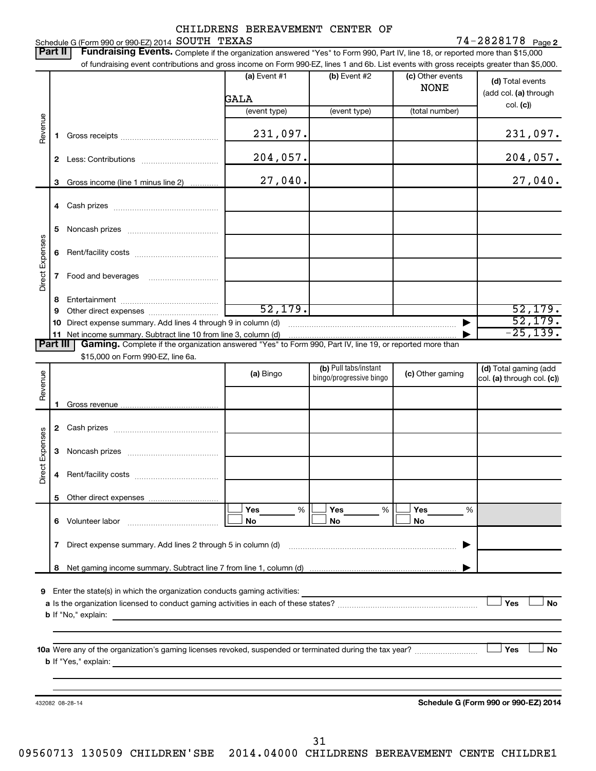### CHILDRENS BEREAVEMENT CENTER OF SOUTH TEXAS 74-2828178

#### 74-2828178 Page 2 Schedule G (Form 990 or 990-EZ) 2014  $\,$  SOUTH  $\,$  TEXAS  $\,$  The set of the set of the set of the set of the set of the set of the set of the set of the set of the set of the set of the set of the set of the set of the

|                 |                                                                                                                                                                                         |                      |                                                  |                                 | of fundraising event contributions and gross income on Form 990-EZ, lines 1 and 6b. List events with gross receipts greater than \$5,000. |
|-----------------|-----------------------------------------------------------------------------------------------------------------------------------------------------------------------------------------|----------------------|--------------------------------------------------|---------------------------------|-------------------------------------------------------------------------------------------------------------------------------------------|
|                 |                                                                                                                                                                                         | (a) Event #1<br>GALA | (b) Event #2                                     | (c) Other events<br><b>NONE</b> | (d) Total events<br>(add col. (a) through                                                                                                 |
|                 |                                                                                                                                                                                         | (event type)         | (event type)                                     | (total number)                  | col. (c)                                                                                                                                  |
| Revenue         | 1.                                                                                                                                                                                      | 231,097.             |                                                  |                                 | 231,097.                                                                                                                                  |
|                 |                                                                                                                                                                                         | 204,057.             |                                                  |                                 | 204,057.                                                                                                                                  |
|                 | Gross income (line 1 minus line 2)<br>3                                                                                                                                                 | 27,040.              |                                                  |                                 | 27,040.                                                                                                                                   |
|                 |                                                                                                                                                                                         |                      |                                                  |                                 |                                                                                                                                           |
|                 | 5                                                                                                                                                                                       |                      |                                                  |                                 |                                                                                                                                           |
|                 | 6                                                                                                                                                                                       |                      |                                                  |                                 |                                                                                                                                           |
| Direct Expenses | 7                                                                                                                                                                                       |                      |                                                  |                                 |                                                                                                                                           |
|                 | 8                                                                                                                                                                                       |                      |                                                  |                                 |                                                                                                                                           |
|                 | 9                                                                                                                                                                                       | 52, 179.             |                                                  |                                 | 52, 179.                                                                                                                                  |
|                 |                                                                                                                                                                                         |                      |                                                  | ▶                               | 52, 179.<br>$-25, 139.$                                                                                                                   |
|                 | 11 Net income summary. Subtract line 10 from line 3, column (d)<br>Part III<br>Gaming. Complete if the organization answered "Yes" to Form 990, Part IV, line 19, or reported more than |                      |                                                  |                                 |                                                                                                                                           |
|                 | \$15,000 on Form 990-EZ, line 6a.                                                                                                                                                       |                      |                                                  |                                 |                                                                                                                                           |
| Revenue         |                                                                                                                                                                                         | (a) Bingo            | (b) Pull tabs/instant<br>bingo/progressive bingo | (c) Other gaming                | (d) Total gaming (add<br>col. (a) through col. (c))                                                                                       |
|                 | 1                                                                                                                                                                                       |                      |                                                  |                                 |                                                                                                                                           |
|                 |                                                                                                                                                                                         |                      |                                                  |                                 |                                                                                                                                           |
|                 |                                                                                                                                                                                         |                      |                                                  |                                 |                                                                                                                                           |
| Direct Expenses | 3                                                                                                                                                                                       |                      |                                                  |                                 |                                                                                                                                           |
|                 |                                                                                                                                                                                         |                      |                                                  |                                 |                                                                                                                                           |
|                 |                                                                                                                                                                                         |                      |                                                  |                                 |                                                                                                                                           |
|                 |                                                                                                                                                                                         | Yes<br>%<br>No       | Yes<br>$\%$<br>No                                | Yes<br>%<br>No                  |                                                                                                                                           |
|                 | 7 Direct expense summary. Add lines 2 through 5 in column (d)                                                                                                                           |                      |                                                  | ▶                               |                                                                                                                                           |
|                 |                                                                                                                                                                                         |                      |                                                  |                                 |                                                                                                                                           |
|                 |                                                                                                                                                                                         |                      |                                                  |                                 |                                                                                                                                           |
| 9               | Enter the state(s) in which the organization conducts gaming activities:                                                                                                                |                      |                                                  |                                 |                                                                                                                                           |
|                 |                                                                                                                                                                                         |                      |                                                  |                                 | Yes<br><b>No</b>                                                                                                                          |
|                 |                                                                                                                                                                                         |                      |                                                  |                                 |                                                                                                                                           |
|                 | <b>b</b> If "No," explain:                                                                                                                                                              |                      |                                                  |                                 |                                                                                                                                           |
|                 |                                                                                                                                                                                         |                      |                                                  |                                 |                                                                                                                                           |
|                 | 10a Were any of the organization's gaming licenses revoked, suspended or terminated during the tax year?                                                                                |                      |                                                  |                                 | Yes                                                                                                                                       |
|                 |                                                                                                                                                                                         |                      |                                                  |                                 | <b>No</b>                                                                                                                                 |
|                 |                                                                                                                                                                                         |                      |                                                  |                                 |                                                                                                                                           |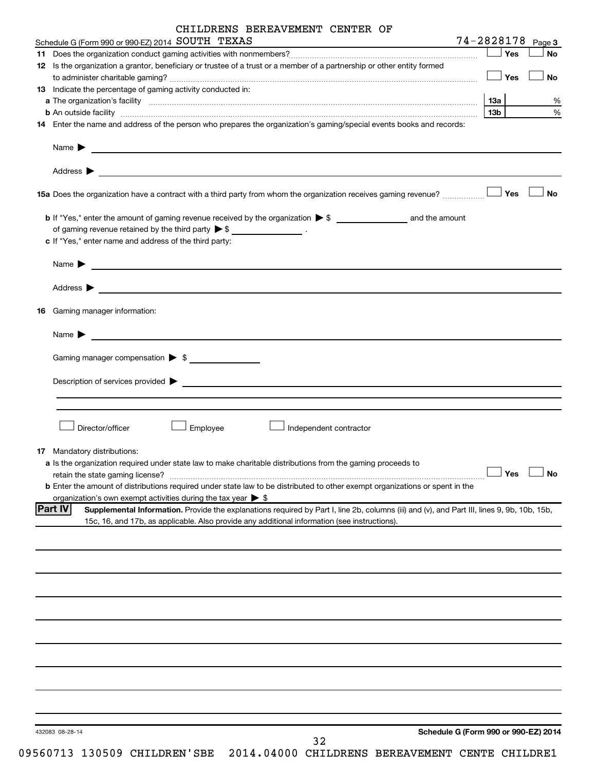|                                                  | CHILDRENS BEREAVEMENT CENTER OF |  |  |
|--------------------------------------------------|---------------------------------|--|--|
| $\sim$ $\sim$ $\sim$ $\sim$ $\sim$ $\sim$ $\sim$ |                                 |  |  |

| Schedule G (Form 990 or 990-EZ) 2014 SOUTH TEXAS<br>the control of the control of the control of the control of the control of                                |            |            | 74-2828178 Page 3                    |
|---------------------------------------------------------------------------------------------------------------------------------------------------------------|------------|------------|--------------------------------------|
|                                                                                                                                                               |            | Yes        | No                                   |
| 12 Is the organization a grantor, beneficiary or trustee of a trust or a member of a partnership or other entity formed                                       |            |            |                                      |
|                                                                                                                                                               | $\Box$ Yes |            | No                                   |
| 13 Indicate the percentage of gaming activity conducted in:                                                                                                   |            |            |                                      |
|                                                                                                                                                               |            |            | %                                    |
|                                                                                                                                                               | 13b        |            | $\%$                                 |
| 14 Enter the name and address of the person who prepares the organization's gaming/special events books and records:                                          |            |            |                                      |
|                                                                                                                                                               |            |            |                                      |
| Name $\sum_{n=1}^{\infty}$                                                                                                                                    |            |            |                                      |
|                                                                                                                                                               |            |            |                                      |
|                                                                                                                                                               |            |            | <b>No</b>                            |
|                                                                                                                                                               |            |            |                                      |
| of gaming revenue retained by the third party $\triangleright$ \$ _________________.                                                                          |            |            |                                      |
| c If "Yes," enter name and address of the third party:                                                                                                        |            |            |                                      |
| Name $\blacktriangleright$<br><u> Andreas Andreas Andreas Andreas Andreas Andreas Andreas Andreas Andreas Andreas Andreas Andreas Andreas Andr</u>            |            |            |                                      |
| Address $\blacktriangleright$                                                                                                                                 |            |            |                                      |
| 16 Gaming manager information:                                                                                                                                |            |            |                                      |
| Name $\blacktriangleright$<br><u> 1989 - Johann Barn, mars et al. (b. 1989)</u>                                                                               |            |            |                                      |
|                                                                                                                                                               |            |            |                                      |
| Gaming manager compensation > \$                                                                                                                              |            |            |                                      |
|                                                                                                                                                               |            |            |                                      |
|                                                                                                                                                               |            |            |                                      |
|                                                                                                                                                               |            |            |                                      |
|                                                                                                                                                               |            |            |                                      |
| Director/officer<br>Employee<br>Independent contractor                                                                                                        |            |            |                                      |
|                                                                                                                                                               |            |            |                                      |
| 17 Mandatory distributions:                                                                                                                                   |            |            |                                      |
| a Is the organization required under state law to make charitable distributions from the gaming proceeds to                                                   |            |            |                                      |
| retain the state gaming license?                                                                                                                              |            | $\Box$ Yes | ∟— No                                |
| <b>b</b> Enter the amount of distributions required under state law to be distributed to other exempt organizations or spent in the                           |            |            |                                      |
| organization's own exempt activities during the tax year $\triangleright$ \$                                                                                  |            |            |                                      |
| <b>Part IV</b><br>Supplemental Information. Provide the explanations required by Part I, line 2b, columns (iii) and (v), and Part III, lines 9, 9b, 10b, 15b, |            |            |                                      |
| 15c, 16, and 17b, as applicable. Also provide any additional information (see instructions).                                                                  |            |            |                                      |
|                                                                                                                                                               |            |            |                                      |
|                                                                                                                                                               |            |            |                                      |
|                                                                                                                                                               |            |            |                                      |
|                                                                                                                                                               |            |            |                                      |
|                                                                                                                                                               |            |            |                                      |
|                                                                                                                                                               |            |            |                                      |
|                                                                                                                                                               |            |            |                                      |
|                                                                                                                                                               |            |            |                                      |
|                                                                                                                                                               |            |            |                                      |
|                                                                                                                                                               |            |            |                                      |
|                                                                                                                                                               |            |            |                                      |
|                                                                                                                                                               |            |            |                                      |
|                                                                                                                                                               |            |            |                                      |
|                                                                                                                                                               |            |            |                                      |
|                                                                                                                                                               |            |            |                                      |
|                                                                                                                                                               |            |            |                                      |
|                                                                                                                                                               |            |            |                                      |
| 432083 08-28-14                                                                                                                                               |            |            | Schedule G (Form 990 or 990-EZ) 2014 |

32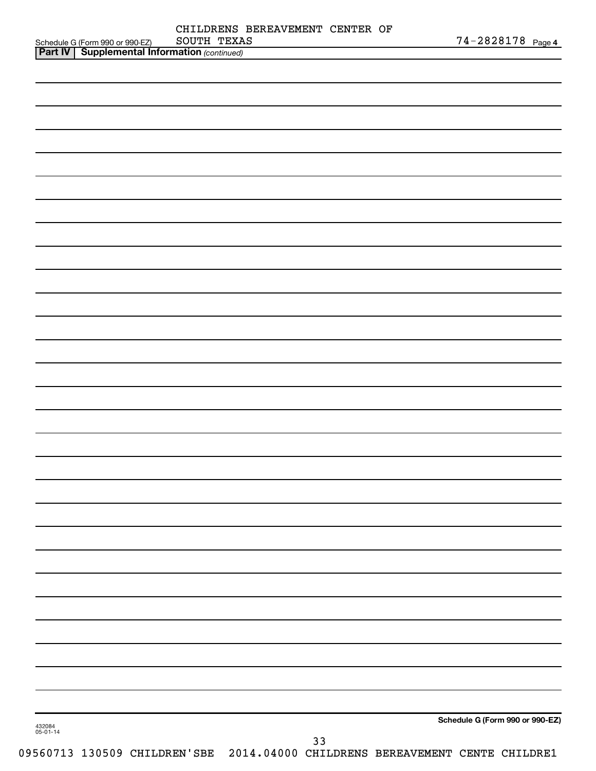|                    |                                                                                                     | SOUTH TEXAS | CHILDRENS BEREAVEMENT CENTER OF |  | 74-2828178 Page 4               |
|--------------------|-----------------------------------------------------------------------------------------------------|-------------|---------------------------------|--|---------------------------------|
|                    | Schedule G (Form 990 or 990-EZ) SOUTH TEXA<br><b>Part IV   Supplemental Information</b> (continued) |             |                                 |  |                                 |
|                    |                                                                                                     |             |                                 |  |                                 |
|                    |                                                                                                     |             |                                 |  |                                 |
|                    |                                                                                                     |             |                                 |  |                                 |
|                    |                                                                                                     |             |                                 |  |                                 |
|                    |                                                                                                     |             |                                 |  |                                 |
|                    |                                                                                                     |             |                                 |  |                                 |
|                    |                                                                                                     |             |                                 |  |                                 |
|                    |                                                                                                     |             |                                 |  |                                 |
|                    |                                                                                                     |             |                                 |  |                                 |
|                    |                                                                                                     |             |                                 |  |                                 |
|                    |                                                                                                     |             |                                 |  |                                 |
|                    |                                                                                                     |             |                                 |  |                                 |
|                    |                                                                                                     |             |                                 |  |                                 |
|                    |                                                                                                     |             |                                 |  |                                 |
|                    |                                                                                                     |             |                                 |  |                                 |
|                    |                                                                                                     |             |                                 |  |                                 |
|                    |                                                                                                     |             |                                 |  |                                 |
|                    |                                                                                                     |             |                                 |  |                                 |
|                    |                                                                                                     |             |                                 |  |                                 |
|                    |                                                                                                     |             |                                 |  |                                 |
|                    |                                                                                                     |             |                                 |  |                                 |
|                    |                                                                                                     |             |                                 |  |                                 |
|                    |                                                                                                     |             |                                 |  |                                 |
|                    |                                                                                                     |             |                                 |  |                                 |
|                    |                                                                                                     |             |                                 |  |                                 |
|                    |                                                                                                     |             |                                 |  |                                 |
|                    |                                                                                                     |             |                                 |  |                                 |
|                    |                                                                                                     |             |                                 |  |                                 |
|                    |                                                                                                     |             |                                 |  |                                 |
|                    |                                                                                                     |             |                                 |  |                                 |
|                    |                                                                                                     |             |                                 |  |                                 |
|                    |                                                                                                     |             |                                 |  |                                 |
|                    |                                                                                                     |             |                                 |  |                                 |
|                    |                                                                                                     |             |                                 |  |                                 |
|                    |                                                                                                     |             |                                 |  |                                 |
|                    |                                                                                                     |             |                                 |  |                                 |
|                    |                                                                                                     |             |                                 |  |                                 |
|                    |                                                                                                     |             |                                 |  |                                 |
|                    |                                                                                                     |             |                                 |  |                                 |
|                    |                                                                                                     |             |                                 |  |                                 |
|                    |                                                                                                     |             |                                 |  |                                 |
|                    |                                                                                                     |             |                                 |  |                                 |
|                    |                                                                                                     |             |                                 |  |                                 |
|                    |                                                                                                     |             |                                 |  |                                 |
|                    |                                                                                                     |             |                                 |  |                                 |
|                    |                                                                                                     |             |                                 |  |                                 |
|                    |                                                                                                     |             |                                 |  |                                 |
|                    |                                                                                                     |             |                                 |  |                                 |
|                    |                                                                                                     |             |                                 |  |                                 |
|                    |                                                                                                     |             |                                 |  |                                 |
|                    |                                                                                                     |             |                                 |  |                                 |
|                    |                                                                                                     |             |                                 |  |                                 |
|                    |                                                                                                     |             |                                 |  | Schedule G (Form 990 or 990-EZ) |
| 432084<br>05-01-14 |                                                                                                     |             | 33                              |  |                                 |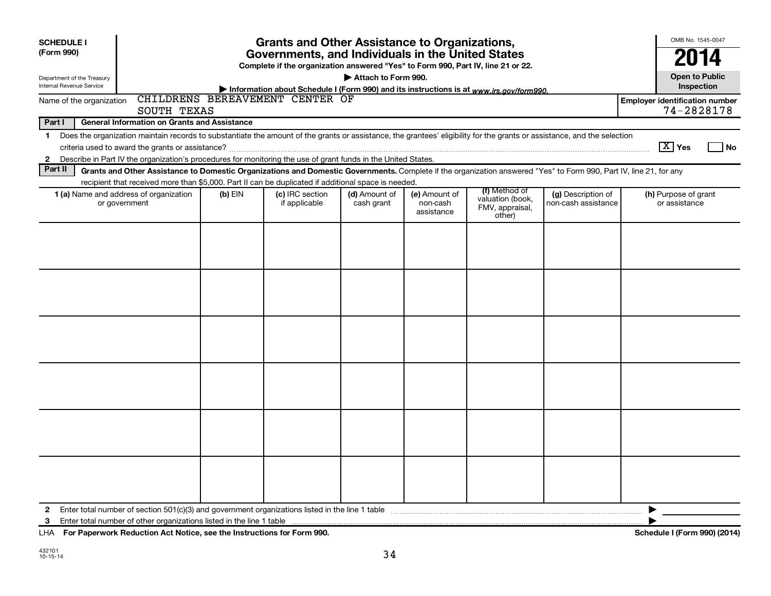| <b>Grants and Other Assistance to Organizations,</b><br><b>SCHEDULE I</b><br>(Form 990)<br>Governments, and Individuals in the United States                                                                                                                                                                   |           |                                                                                         |                             |                                         |                                                                |                                           |                                                     |
|----------------------------------------------------------------------------------------------------------------------------------------------------------------------------------------------------------------------------------------------------------------------------------------------------------------|-----------|-----------------------------------------------------------------------------------------|-----------------------------|-----------------------------------------|----------------------------------------------------------------|-------------------------------------------|-----------------------------------------------------|
|                                                                                                                                                                                                                                                                                                                |           | Complete if the organization answered "Yes" to Form 990, Part IV, line 21 or 22.        |                             |                                         |                                                                |                                           | 2014                                                |
| Department of the Treasury<br>Internal Revenue Service                                                                                                                                                                                                                                                         |           | Information about Schedule I (Form 990) and its instructions is at www.irs.gov/form990. | Attach to Form 990.         |                                         |                                                                |                                           | <b>Open to Public</b><br>Inspection                 |
| Name of the organization<br>SOUTH TEXAS                                                                                                                                                                                                                                                                        |           | CHILDRENS BEREAVEMENT CENTER OF                                                         |                             |                                         |                                                                |                                           | <b>Employer identification number</b><br>74-2828178 |
| <b>General Information on Grants and Assistance</b><br>Part I                                                                                                                                                                                                                                                  |           |                                                                                         |                             |                                         |                                                                |                                           |                                                     |
| Does the organization maintain records to substantiate the amount of the grants or assistance, the grantees' eligibility for the grants or assistance, and the selection<br>1<br>Describe in Part IV the organization's procedures for monitoring the use of grant funds in the United States.<br>$\mathbf{2}$ |           |                                                                                         |                             |                                         |                                                                |                                           | $\boxed{\text{X}}$ Yes<br>  No                      |
| Part II<br>Grants and Other Assistance to Domestic Organizations and Domestic Governments. Complete if the organization answered "Yes" to Form 990, Part IV, line 21, for any                                                                                                                                  |           |                                                                                         |                             |                                         |                                                                |                                           |                                                     |
| recipient that received more than \$5,000. Part II can be duplicated if additional space is needed.                                                                                                                                                                                                            |           |                                                                                         |                             |                                         |                                                                |                                           |                                                     |
| 1 (a) Name and address of organization<br>or government                                                                                                                                                                                                                                                        | $(b)$ EIN | (c) IRC section<br>if applicable                                                        | (d) Amount of<br>cash grant | (e) Amount of<br>non-cash<br>assistance | (f) Method of<br>valuation (book,<br>FMV, appraisal,<br>other) | (g) Description of<br>non-cash assistance | (h) Purpose of grant<br>or assistance               |
|                                                                                                                                                                                                                                                                                                                |           |                                                                                         |                             |                                         |                                                                |                                           |                                                     |
|                                                                                                                                                                                                                                                                                                                |           |                                                                                         |                             |                                         |                                                                |                                           |                                                     |
|                                                                                                                                                                                                                                                                                                                |           |                                                                                         |                             |                                         |                                                                |                                           |                                                     |
|                                                                                                                                                                                                                                                                                                                |           |                                                                                         |                             |                                         |                                                                |                                           |                                                     |
|                                                                                                                                                                                                                                                                                                                |           |                                                                                         |                             |                                         |                                                                |                                           |                                                     |
|                                                                                                                                                                                                                                                                                                                |           |                                                                                         |                             |                                         |                                                                |                                           |                                                     |
|                                                                                                                                                                                                                                                                                                                |           |                                                                                         |                             |                                         |                                                                |                                           |                                                     |
|                                                                                                                                                                                                                                                                                                                |           |                                                                                         |                             |                                         |                                                                |                                           |                                                     |
| $\mathbf{2}$<br>3                                                                                                                                                                                                                                                                                              |           |                                                                                         |                             |                                         |                                                                |                                           | ▶                                                   |

**For Paperwork Reduction Act Notice, see the Instructions for Form 990. Schedule I (Form 990) (2014)** LHA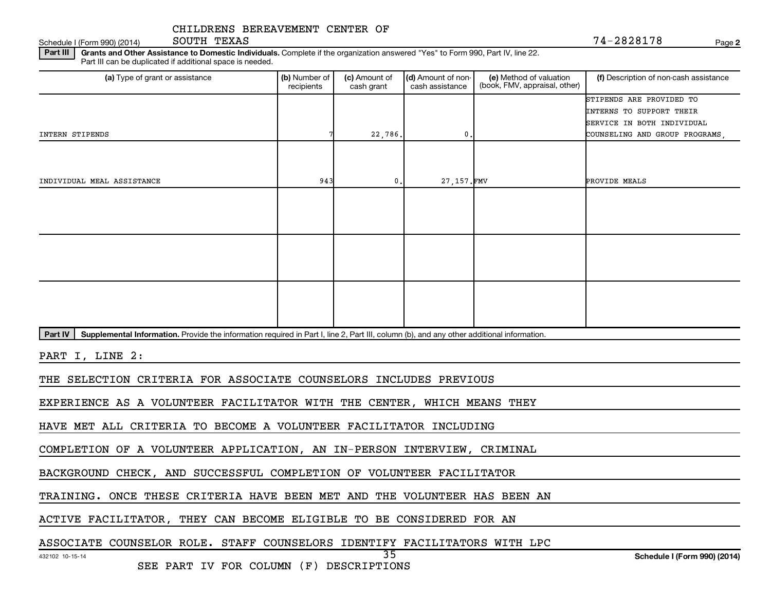Schedule I (Form 990) (2014)  $\qquad \qquad$   $\qquad$   $\qquad$   $\qquad$   $\qquad$   $\qquad$   $\qquad$   $\qquad$   $\qquad$   $\qquad$   $\qquad$   $\qquad$   $\qquad$   $\qquad$   $\qquad$   $\qquad$   $\qquad$   $\qquad$   $\qquad$   $\qquad$   $\qquad$   $\qquad$   $\qquad$   $\qquad$   $\qquad$   $\qquad$   $\qquad$   $\qquad$   $\qquad$   $\qquad$   $\qquad$   $\q$ SOUTH TEXAS

**2**

Part III | Grants and Other Assistance to Domestic Individuals. Complete if the organization answered "Yes" to Form 990, Part IV, line 22. Part III can be duplicated if additional space is needed.

| (a) Type of grant or assistance                                                                                                                      | (b) Number of<br>recipients | (c) Amount of<br>cash grant | (d) Amount of non-<br>cash assistance | (e) Method of valuation<br>(book, FMV, appraisal, other) | (f) Description of non-cash assistance                 |  |  |  |
|------------------------------------------------------------------------------------------------------------------------------------------------------|-----------------------------|-----------------------------|---------------------------------------|----------------------------------------------------------|--------------------------------------------------------|--|--|--|
|                                                                                                                                                      |                             |                             |                                       |                                                          | STIPENDS ARE PROVIDED TO                               |  |  |  |
|                                                                                                                                                      |                             |                             |                                       |                                                          | INTERNS TO SUPPORT THEIR<br>SERVICE IN BOTH INDIVIDUAL |  |  |  |
| INTERN STIPENDS                                                                                                                                      |                             | 22,786.                     | 0                                     |                                                          | COUNSELING AND GROUP PROGRAMS,                         |  |  |  |
|                                                                                                                                                      |                             |                             |                                       |                                                          |                                                        |  |  |  |
|                                                                                                                                                      |                             |                             |                                       |                                                          |                                                        |  |  |  |
| INDIVIDUAL MEAL ASSISTANCE                                                                                                                           | 943                         | 0.                          | 27, 157. FMV                          |                                                          | PROVIDE MEALS                                          |  |  |  |
|                                                                                                                                                      |                             |                             |                                       |                                                          |                                                        |  |  |  |
|                                                                                                                                                      |                             |                             |                                       |                                                          |                                                        |  |  |  |
|                                                                                                                                                      |                             |                             |                                       |                                                          |                                                        |  |  |  |
|                                                                                                                                                      |                             |                             |                                       |                                                          |                                                        |  |  |  |
|                                                                                                                                                      |                             |                             |                                       |                                                          |                                                        |  |  |  |
|                                                                                                                                                      |                             |                             |                                       |                                                          |                                                        |  |  |  |
|                                                                                                                                                      |                             |                             |                                       |                                                          |                                                        |  |  |  |
|                                                                                                                                                      |                             |                             |                                       |                                                          |                                                        |  |  |  |
| Supplemental Information. Provide the information required in Part I, line 2, Part III, column (b), and any other additional information.<br>Part IV |                             |                             |                                       |                                                          |                                                        |  |  |  |
|                                                                                                                                                      |                             |                             |                                       |                                                          |                                                        |  |  |  |
| PART I, LINE 2:                                                                                                                                      |                             |                             |                                       |                                                          |                                                        |  |  |  |
| THE SELECTION CRITERIA FOR ASSOCIATE COUNSELORS INCLUDES PREVIOUS                                                                                    |                             |                             |                                       |                                                          |                                                        |  |  |  |
| EXPERIENCE AS A VOLUNTEER FACILITATOR WITH THE CENTER, WHICH MEANS THEY                                                                              |                             |                             |                                       |                                                          |                                                        |  |  |  |
| HAVE MET ALL CRITERIA TO BECOME A VOLUNTEER FACILITATOR INCLUDING                                                                                    |                             |                             |                                       |                                                          |                                                        |  |  |  |

35

COMPLETION OF A VOLUNTEER APPLICATION, AN IN-PERSON INTERVIEW, CRIMINAL

BACKGROUND CHECK, AND SUCCESSFUL COMPLETION OF VOLUNTEER FACILITATOR

TRAINING. ONCE THESE CRITERIA HAVE BEEN MET AND THE VOLUNTEER HAS BEEN AN

ACTIVE FACILITATOR, THEY CAN BECOME ELIGIBLE TO BE CONSIDERED FOR AN

ASSOCIATE COUNSELOR ROLE. STAFF COUNSELORS IDENTIFY FACILITATORS WITH LPC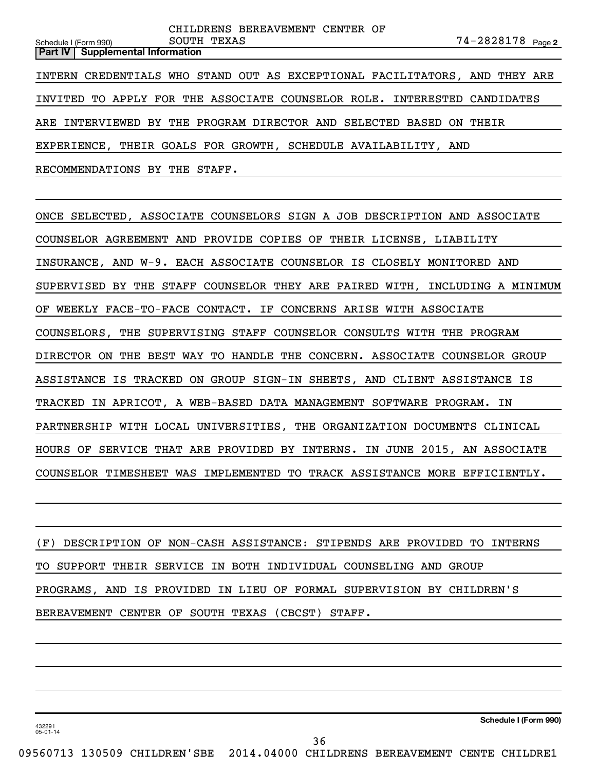**2** Schedule I (Form 990) Page SOUTH TEXAS 74-2828178 **Part IV Supplemental Information** CHILDRENS BEREAVEMENT CENTER OF INTERN CREDENTIALS WHO STAND OUT AS EXCEPTIONAL FACILITATORS, AND THEY ARE INVITED TO APPLY FOR THE ASSOCIATE COUNSELOR ROLE. INTERESTED CANDIDATES ARE INTERVIEWED BY THE PROGRAM DIRECTOR AND SELECTED BASED ON THEIR EXPERIENCE, THEIR GOALS FOR GROWTH, SCHEDULE AVAILABILITY, AND RECOMMENDATIONS BY THE STAFF.

ONCE SELECTED, ASSOCIATE COUNSELORS SIGN A JOB DESCRIPTION AND ASSOCIATE COUNSELOR AGREEMENT AND PROVIDE COPIES OF THEIR LICENSE, LIABILITY INSURANCE, AND W-9. EACH ASSOCIATE COUNSELOR IS CLOSELY MONITORED AND SUPERVISED BY THE STAFF COUNSELOR THEY ARE PAIRED WITH, INCLUDING A MINIMUM OF WEEKLY FACE-TO-FACE CONTACT. IF CONCERNS ARISE WITH ASSOCIATE COUNSELORS, THE SUPERVISING STAFF COUNSELOR CONSULTS WITH THE PROGRAM DIRECTOR ON THE BEST WAY TO HANDLE THE CONCERN. ASSOCIATE COUNSELOR GROUP ASSISTANCE IS TRACKED ON GROUP SIGN-IN SHEETS, AND CLIENT ASSISTANCE IS TRACKED IN APRICOT, A WEB-BASED DATA MANAGEMENT SOFTWARE PROGRAM. IN PARTNERSHIP WITH LOCAL UNIVERSITIES, THE ORGANIZATION DOCUMENTS CLINICAL HOURS OF SERVICE THAT ARE PROVIDED BY INTERNS. IN JUNE 2015, AN ASSOCIATE COUNSELOR TIMESHEET WAS IMPLEMENTED TO TRACK ASSISTANCE MORE EFFICIENTLY.

(F) DESCRIPTION OF NON-CASH ASSISTANCE: STIPENDS ARE PROVIDED TO INTERNS TO SUPPORT THEIR SERVICE IN BOTH INDIVIDUAL COUNSELING AND GROUP PROGRAMS, AND IS PROVIDED IN LIEU OF FORMAL SUPERVISION BY CHILDREN'S BEREAVEMENT CENTER OF SOUTH TEXAS (CBCST) STAFF.

**Schedule I (Form 990)**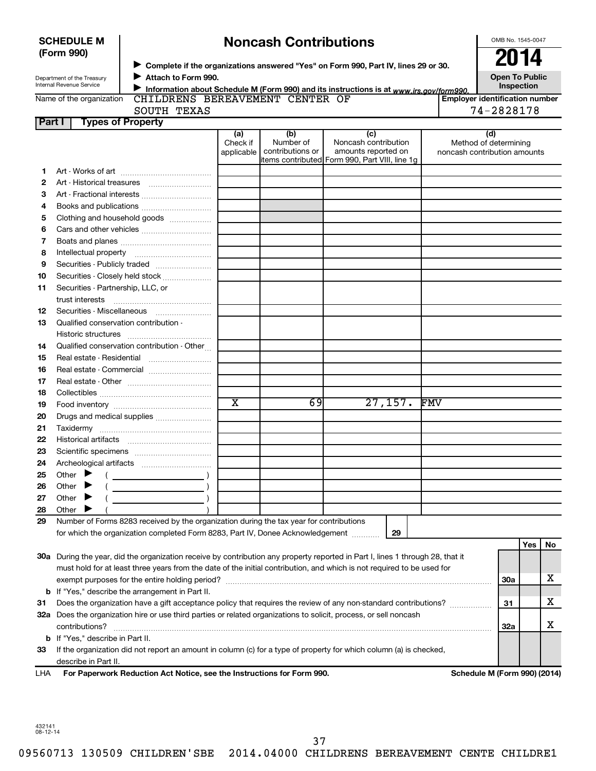| <b>SCHEDULE M</b> |  |
|-------------------|--|
| (Form 990)        |  |

# **Noncash Contributions**

OMB No. 1545-0047

| Department of the Treasury |
|----------------------------|
| Internal Revenue Service   |

◆ Complete if the organizations answered "Yes" on Form 990, Part IV, lines 29 or 30.<br>▶ Complete if the organizations answered "Yes" on Form 990, Part IV, lines 29 or 30. **Attach to Form 990.**  $\blacktriangleright$ 

**Open To Public Inspection**

|  | Name of the organization |
|--|--------------------------|
|  |                          |

Information about Schedule M (Form 990) and its instructions is at www.irs.gov/form990.

| <b>AVEMENT</b> | CENTER OF |  |
|----------------|-----------|--|

|               | Name of the organization CHILDRENS BEREAVEMENT CENTER OF<br>SOUTH TEXAS       |                               |                                      |                                                                                                       | <b>Employer identification number</b><br>74-2828178          |
|---------------|-------------------------------------------------------------------------------|-------------------------------|--------------------------------------|-------------------------------------------------------------------------------------------------------|--------------------------------------------------------------|
| <b>Part I</b> | <b>Types of Property</b>                                                      |                               |                                      |                                                                                                       |                                                              |
|               |                                                                               | (a)<br>Check if<br>applicable | (b)<br>Number of<br>contributions or | (c)<br>Noncash contribution<br>amounts reported on<br>litems contributed Form 990, Part VIII, line 1q | (d)<br>Method of determining<br>noncash contribution amounts |
| 1             |                                                                               |                               |                                      |                                                                                                       |                                                              |
| 2             |                                                                               |                               |                                      |                                                                                                       |                                                              |
| 3             |                                                                               |                               |                                      |                                                                                                       |                                                              |
| 4             | Books and publications                                                        |                               |                                      |                                                                                                       |                                                              |
| 5             | Clothing and household goods                                                  |                               |                                      |                                                                                                       |                                                              |
| 6             |                                                                               |                               |                                      |                                                                                                       |                                                              |
| 7             |                                                                               |                               |                                      |                                                                                                       |                                                              |
| 8             |                                                                               |                               |                                      |                                                                                                       |                                                              |
| 9             |                                                                               |                               |                                      |                                                                                                       |                                                              |
| 10            | Securities - Closely held stock                                               |                               |                                      |                                                                                                       |                                                              |
| 11            | Securities - Partnership, LLC, or                                             |                               |                                      |                                                                                                       |                                                              |
|               | trust interests                                                               |                               |                                      |                                                                                                       |                                                              |
| 12            | Securities - Miscellaneous                                                    |                               |                                      |                                                                                                       |                                                              |
| 13            | Qualified conservation contribution -                                         |                               |                                      |                                                                                                       |                                                              |
|               | Historic structures                                                           |                               |                                      |                                                                                                       |                                                              |
| 14            | Qualified conservation contribution - Other                                   |                               |                                      |                                                                                                       |                                                              |
| 15            |                                                                               |                               |                                      |                                                                                                       |                                                              |
| 16            | Real estate - Commercial                                                      |                               |                                      |                                                                                                       |                                                              |
| 17            |                                                                               |                               |                                      |                                                                                                       |                                                              |
| 18            |                                                                               |                               |                                      |                                                                                                       |                                                              |
| 19            |                                                                               | $\overline{\mathtt{x}}$       | 69                                   | 27, 157.                                                                                              | <b>FMV</b>                                                   |
| 20            | Drugs and medical supplies                                                    |                               |                                      |                                                                                                       |                                                              |
| 21            |                                                                               |                               |                                      |                                                                                                       |                                                              |
| 22            |                                                                               |                               |                                      |                                                                                                       |                                                              |
| 23            |                                                                               |                               |                                      |                                                                                                       |                                                              |
| 24            |                                                                               |                               |                                      |                                                                                                       |                                                              |
| 25            | Other $\blacktriangleright$<br>$\overline{\phantom{a}}$ )                     |                               |                                      |                                                                                                       |                                                              |
| 26            | Other<br>▸                                                                    |                               |                                      |                                                                                                       |                                                              |
| 27            | Other $\blacktriangleright$<br><u>and the state of the state of the state</u> |                               |                                      |                                                                                                       |                                                              |
| 28            | Other $\blacktriangleright$                                                   |                               |                                      |                                                                                                       |                                                              |

**29** Number of Forms 8283 received by the organization during the tax year for contributions for which the organization completed Form 8283, Part IV, Donee Acknowledgement ...........

|     |                                                                                                                            |     | Yes | No |
|-----|----------------------------------------------------------------------------------------------------------------------------|-----|-----|----|
| 30a | During the year, did the organization receive by contribution any property reported in Part I, lines 1 through 28, that it |     |     |    |
|     | must hold for at least three years from the date of the initial contribution, and which is not required to be used for     |     |     |    |
|     | exempt purposes for the entire holding period?                                                                             | 30a |     |    |
|     | <b>b</b> If "Yes," describe the arrangement in Part II.                                                                    |     |     |    |
| 31  | Does the organization have a gift acceptance policy that requires the review of any non-standard contributions?            | 31  |     |    |
| 32а | Does the organization hire or use third parties or related organizations to solicit, process, or sell noncash              |     |     |    |
|     | contributions?                                                                                                             | 32a |     |    |
|     | <b>b</b> If "Yes," describe in Part II.                                                                                    |     |     |    |
| 33  | If the organization did not report an amount in column (c) for a type of property for which column (a) is checked,         |     |     |    |
|     | describe in Part II.                                                                                                       |     |     |    |

**29**

**For Paperwork Reduction Act Notice, see the Instructions for Form 990. Schedule M (Form 990) (2014)** LHA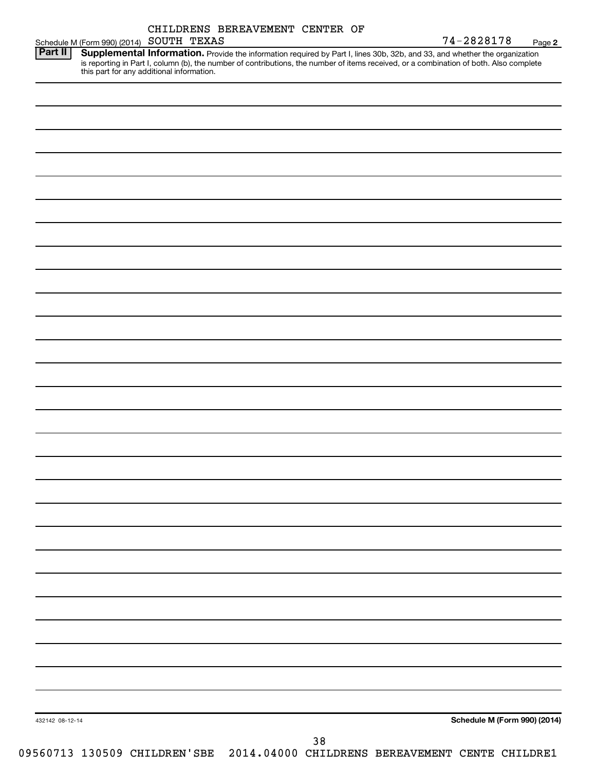| CHILDRENS BEREAVEMENT CENTER OF |  |
|---------------------------------|--|

| Part II         | Schedule M (Form 990) (2014) SOUTH TEXAS |  |                                                                                                                                                                                                                                                                                                                |    | 74-2828178                          | Page 2 |
|-----------------|------------------------------------------|--|----------------------------------------------------------------------------------------------------------------------------------------------------------------------------------------------------------------------------------------------------------------------------------------------------------------|----|-------------------------------------|--------|
|                 |                                          |  | Supplemental Information. Provide the information required by Part I, lines 30b, 32b, and 33, and whether the organization<br>is reporting in Part I, column (b), the number of contributions, the number of items received, or a combination of both. Also complete this part for any additional information. |    |                                     |        |
|                 |                                          |  |                                                                                                                                                                                                                                                                                                                |    |                                     |        |
|                 |                                          |  |                                                                                                                                                                                                                                                                                                                |    |                                     |        |
|                 |                                          |  |                                                                                                                                                                                                                                                                                                                |    |                                     |        |
|                 |                                          |  |                                                                                                                                                                                                                                                                                                                |    |                                     |        |
|                 |                                          |  |                                                                                                                                                                                                                                                                                                                |    |                                     |        |
|                 |                                          |  |                                                                                                                                                                                                                                                                                                                |    |                                     |        |
|                 |                                          |  |                                                                                                                                                                                                                                                                                                                |    |                                     |        |
|                 |                                          |  |                                                                                                                                                                                                                                                                                                                |    |                                     |        |
|                 |                                          |  |                                                                                                                                                                                                                                                                                                                |    |                                     |        |
|                 |                                          |  |                                                                                                                                                                                                                                                                                                                |    |                                     |        |
|                 |                                          |  |                                                                                                                                                                                                                                                                                                                |    |                                     |        |
|                 |                                          |  |                                                                                                                                                                                                                                                                                                                |    |                                     |        |
|                 |                                          |  |                                                                                                                                                                                                                                                                                                                |    |                                     |        |
|                 |                                          |  |                                                                                                                                                                                                                                                                                                                |    |                                     |        |
|                 |                                          |  |                                                                                                                                                                                                                                                                                                                |    |                                     |        |
|                 |                                          |  |                                                                                                                                                                                                                                                                                                                |    |                                     |        |
|                 |                                          |  |                                                                                                                                                                                                                                                                                                                |    |                                     |        |
|                 |                                          |  |                                                                                                                                                                                                                                                                                                                |    |                                     |        |
|                 |                                          |  |                                                                                                                                                                                                                                                                                                                |    |                                     |        |
|                 |                                          |  |                                                                                                                                                                                                                                                                                                                |    |                                     |        |
|                 |                                          |  |                                                                                                                                                                                                                                                                                                                |    |                                     |        |
|                 |                                          |  |                                                                                                                                                                                                                                                                                                                |    |                                     |        |
|                 |                                          |  |                                                                                                                                                                                                                                                                                                                |    |                                     |        |
|                 |                                          |  |                                                                                                                                                                                                                                                                                                                |    |                                     |        |
|                 |                                          |  |                                                                                                                                                                                                                                                                                                                |    |                                     |        |
|                 |                                          |  |                                                                                                                                                                                                                                                                                                                |    |                                     |        |
|                 |                                          |  |                                                                                                                                                                                                                                                                                                                |    |                                     |        |
|                 |                                          |  |                                                                                                                                                                                                                                                                                                                |    |                                     |        |
|                 |                                          |  |                                                                                                                                                                                                                                                                                                                |    |                                     |        |
|                 |                                          |  |                                                                                                                                                                                                                                                                                                                |    |                                     |        |
| 432142 08-12-14 |                                          |  |                                                                                                                                                                                                                                                                                                                |    | <b>Schedule M (Form 990) (2014)</b> |        |
|                 |                                          |  |                                                                                                                                                                                                                                                                                                                | 38 |                                     |        |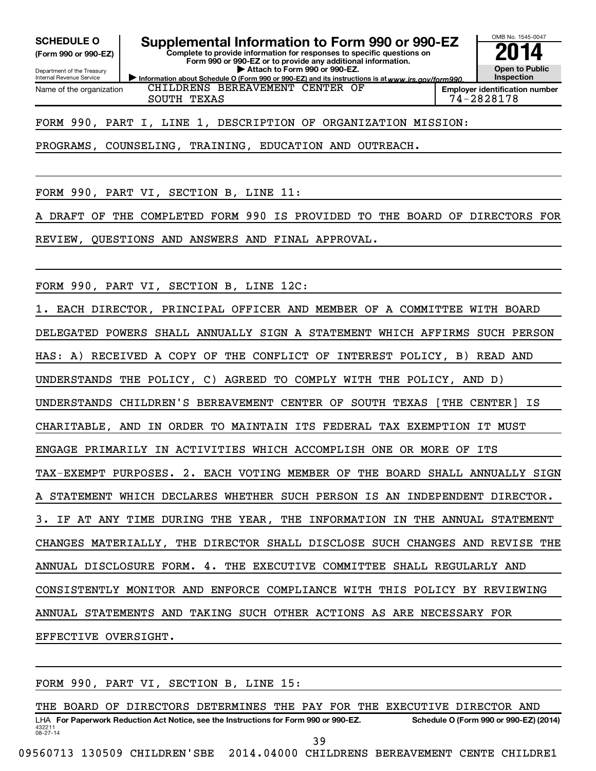**(Form 990 or 990-EZ)**

Department of the Treasury Internal Revenue Service Name of the organization

SCHEDULE O **Supplemental Information to Form 990 or 990-EZ 2014** 

Information about Schedule O (Form 990 or 990-EZ) and its instructions is at www.irs.gov/form990. **Complete to provide information for responses to specific questions on Form 990 or 990-EZ or to provide any additional information. | Attach to Form 990 or 990-EZ.**



SOUTH TEXAS 74-2828178

FORM 990, PART I, LINE 1, DESCRIPTION OF ORGANIZATION MISSION:

CHILDRENS BEREAVEMENT CENTER OF

PROGRAMS, COUNSELING, TRAINING, EDUCATION AND OUTREACH.

FORM 990, PART VI, SECTION B, LINE 11:

DRAFT OF THE COMPLETED FORM 990 IS PROVIDED TO THE BOARD OF DIRECTORS FOR

REVIEW, QUESTIONS AND ANSWERS AND FINAL APPROVAL.

FORM 990, PART VI, SECTION B, LINE 12C:

1. EACH DIRECTOR, PRINCIPAL OFFICER AND MEMBER OF A COMMITTEE WITH BOARD DELEGATED POWERS SHALL ANNUALLY SIGN A STATEMENT WHICH AFFIRMS SUCH PERSON HAS: A) RECEIVED A COPY OF THE CONFLICT OF INTEREST POLICY, B) READ AND UNDERSTANDS THE POLICY, C) AGREED TO COMPLY WITH THE POLICY, AND D) UNDERSTANDS CHILDREN'S BEREAVEMENT CENTER OF SOUTH TEXAS [THE CENTER] IS CHARITABLE, AND IN ORDER TO MAINTAIN ITS FEDERAL TAX EXEMPTION IT MUST ENGAGE PRIMARILY IN ACTIVITIES WHICH ACCOMPLISH ONE OR MORE OF ITS TAX-EXEMPT PURPOSES. 2. EACH VOTING MEMBER OF THE BOARD SHALL ANNUALLY SIGN STATEMENT WHICH DECLARES WHETHER SUCH PERSON IS AN INDEPENDENT DIRECTOR. 3. IF AT ANY TIME DURING THE YEAR, THE INFORMATION IN THE ANNUAL STATEMENT CHANGES MATERIALLY, THE DIRECTOR SHALL DISCLOSE SUCH CHANGES AND REVISE THE ANNUAL DISCLOSURE FORM. 4. THE EXECUTIVE COMMITTEE SHALL REGULARLY AND CONSISTENTLY MONITOR AND ENFORCE COMPLIANCE WITH THIS POLICY BY REVIEWING ANNUAL STATEMENTS AND TAKING SUCH OTHER ACTIONS AS ARE NECESSARY FOR EFFECTIVE OVERSIGHT.

FORM 990, PART VI, SECTION B, LINE 15:

432211 08-27-14 LHA For Paperwork Reduction Act Notice, see the Instructions for Form 990 or 990-EZ. Schedule O (Form 990 or 990-EZ) (2014) THE BOARD OF DIRECTORS DETERMINES THE PAY FOR THE EXECUTIVE DIRECTOR AND

39